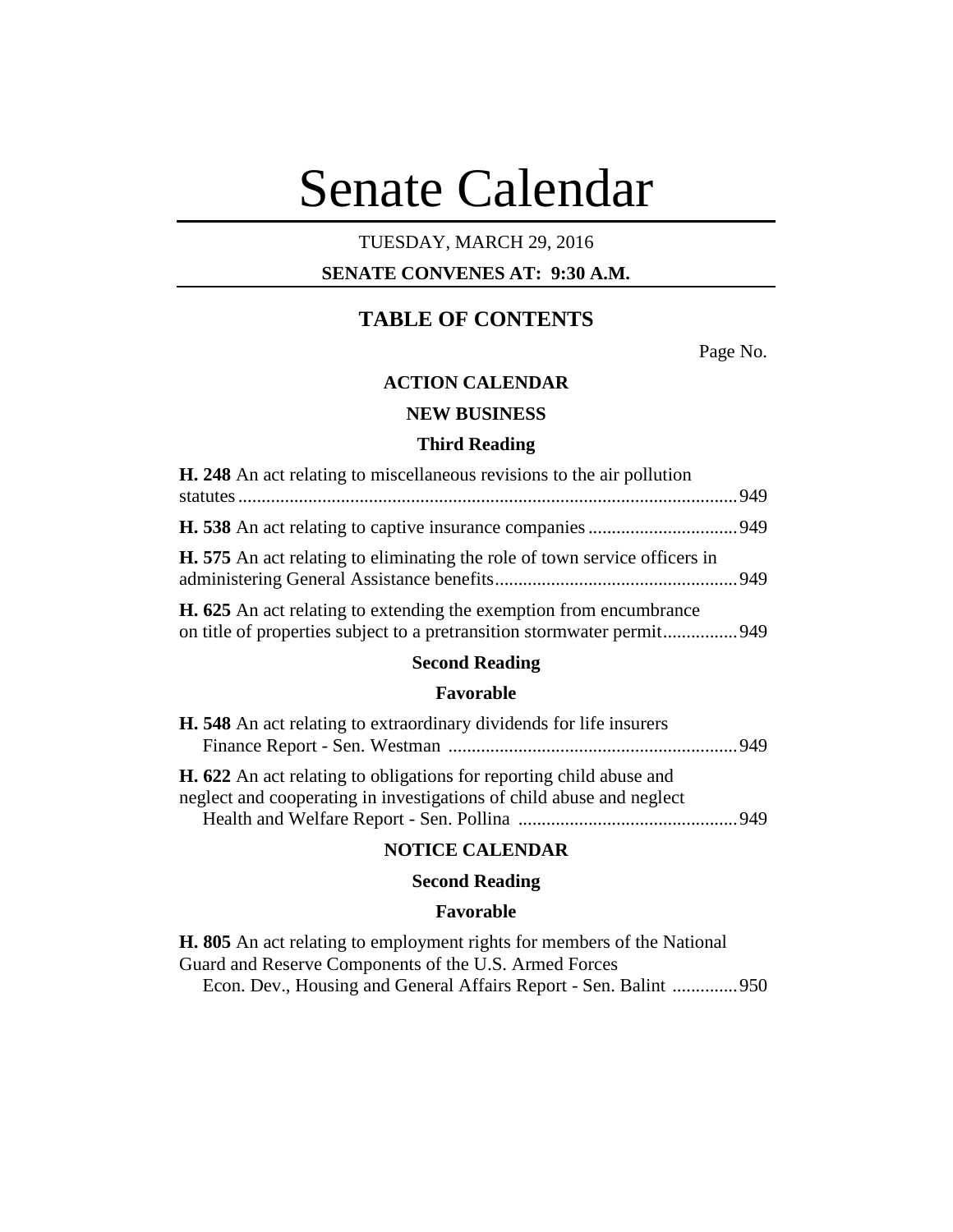# Senate Calendar

## TUESDAY, MARCH 29, 2016

## **SENATE CONVENES AT: 9:30 A.M.**

# **TABLE OF CONTENTS**

Page No.

## **ACTION CALENDAR**

## **NEW BUSINESS**

#### **Third Reading**

| <b>H. 248</b> An act relating to miscellaneous revisions to the air pollution                                                                       |  |
|-----------------------------------------------------------------------------------------------------------------------------------------------------|--|
|                                                                                                                                                     |  |
| <b>H.</b> 575 An act relating to eliminating the role of town service officers in                                                                   |  |
| <b>H. 625</b> An act relating to extending the exemption from encumbrance<br>on title of properties subject to a pretransition stormwater permit949 |  |

#### **Second Reading**

#### **Favorable**

| <b>H.</b> 548 An act relating to extraordinary dividends for life insurers |  |
|----------------------------------------------------------------------------|--|
|                                                                            |  |
| <b>H. 622</b> An act relating to obligations for reporting child abuse and |  |
| neglect and cooperating in investigations of child abuse and neglect       |  |
|                                                                            |  |

## **NOTICE CALENDAR**

## **Second Reading**

#### **Favorable**

**H. 805** An act relating to employment rights for members of the National Guard and Reserve Components of the U.S. Armed Forces Econ. Dev., Housing and General Affairs Report - Sen. Balint ..............950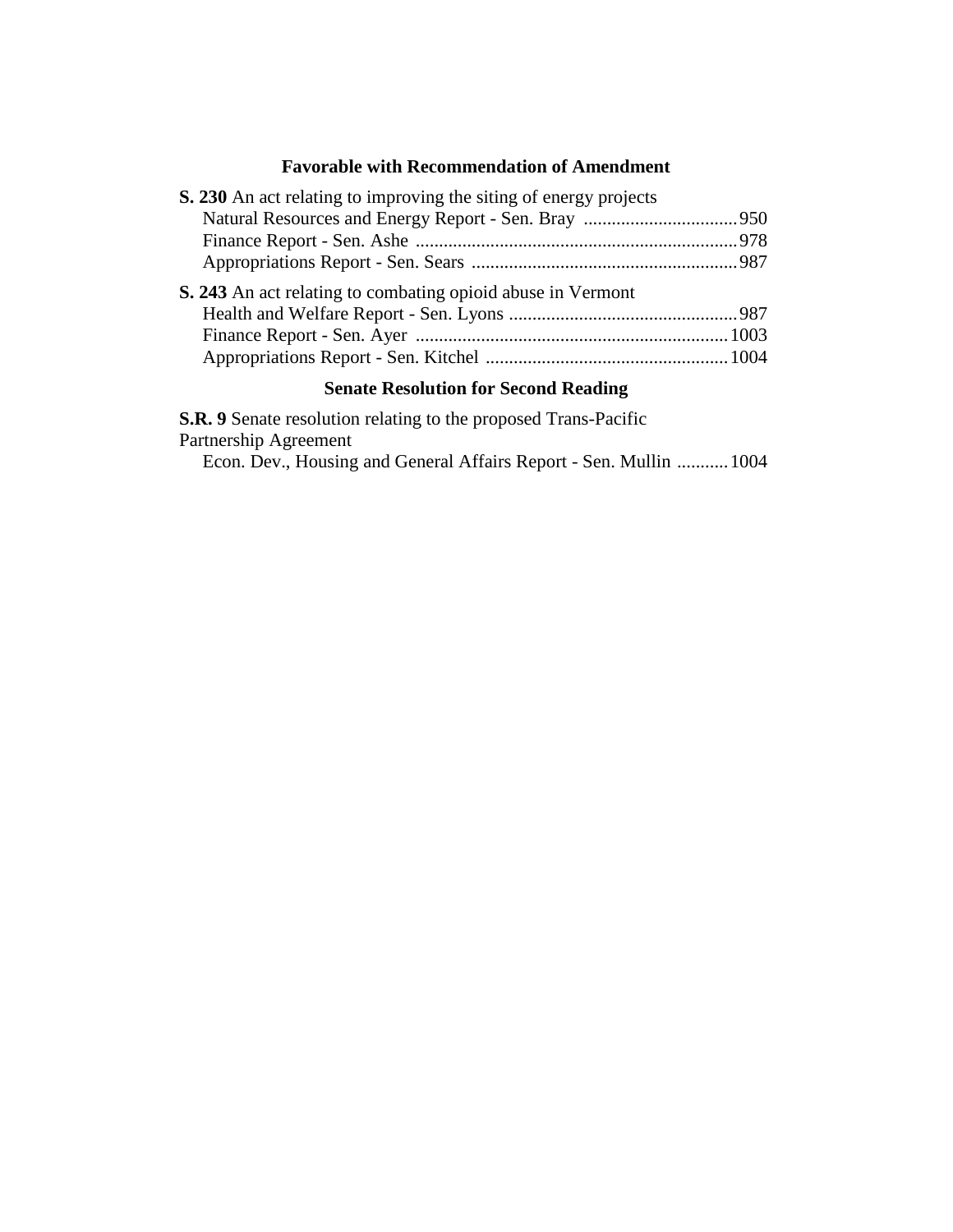## **Favorable with Recommendation of Amendment**

| S. 230 An act relating to improving the siting of energy projects |  |
|-------------------------------------------------------------------|--|
|                                                                   |  |
|                                                                   |  |
|                                                                   |  |
| S. 243 An act relating to combating opioid abuse in Vermont       |  |
|                                                                   |  |
|                                                                   |  |
|                                                                   |  |
|                                                                   |  |

## **Senate Resolution for Second Reading**

**S.R. 9** Senate resolution relating to the proposed Trans-Pacific Partnership Agreement

Econ. Dev., Housing and General Affairs Report - Sen. Mullin ...........1004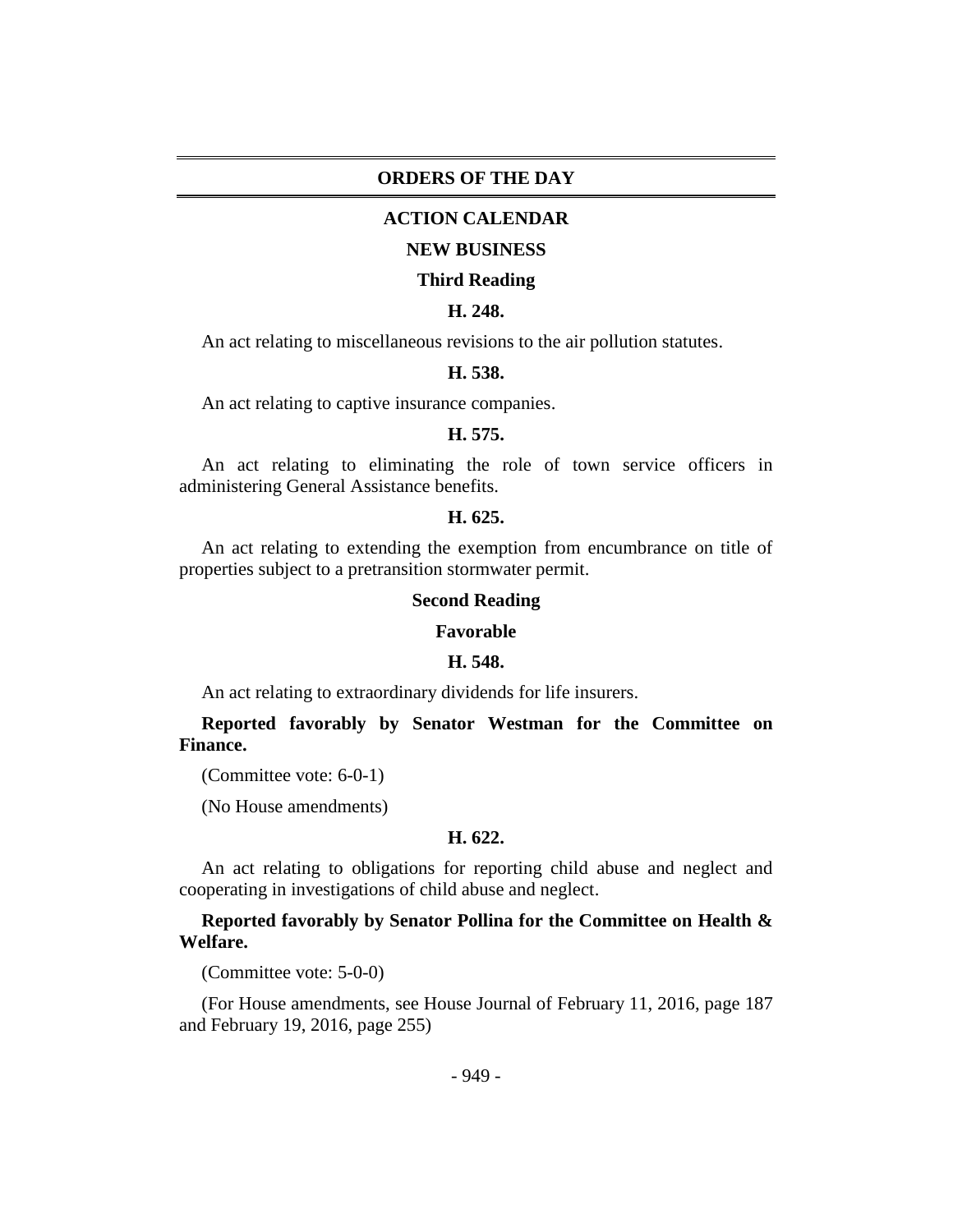#### **ORDERS OF THE DAY**

#### **ACTION CALENDAR**

#### **NEW BUSINESS**

#### **Third Reading**

## **H. 248.**

An act relating to miscellaneous revisions to the air pollution statutes.

#### **H. 538.**

An act relating to captive insurance companies.

#### **H. 575.**

An act relating to eliminating the role of town service officers in administering General Assistance benefits.

#### **H. 625.**

An act relating to extending the exemption from encumbrance on title of properties subject to a pretransition stormwater permit.

#### **Second Reading**

#### **Favorable**

#### **H. 548.**

An act relating to extraordinary dividends for life insurers.

**Reported favorably by Senator Westman for the Committee on Finance.**

(Committee vote: 6-0-1)

(No House amendments)

#### **H. 622.**

An act relating to obligations for reporting child abuse and neglect and cooperating in investigations of child abuse and neglect.

## **Reported favorably by Senator Pollina for the Committee on Health & Welfare.**

(Committee vote: 5-0-0)

(For House amendments, see House Journal of February 11, 2016, page 187 and February 19, 2016, page 255)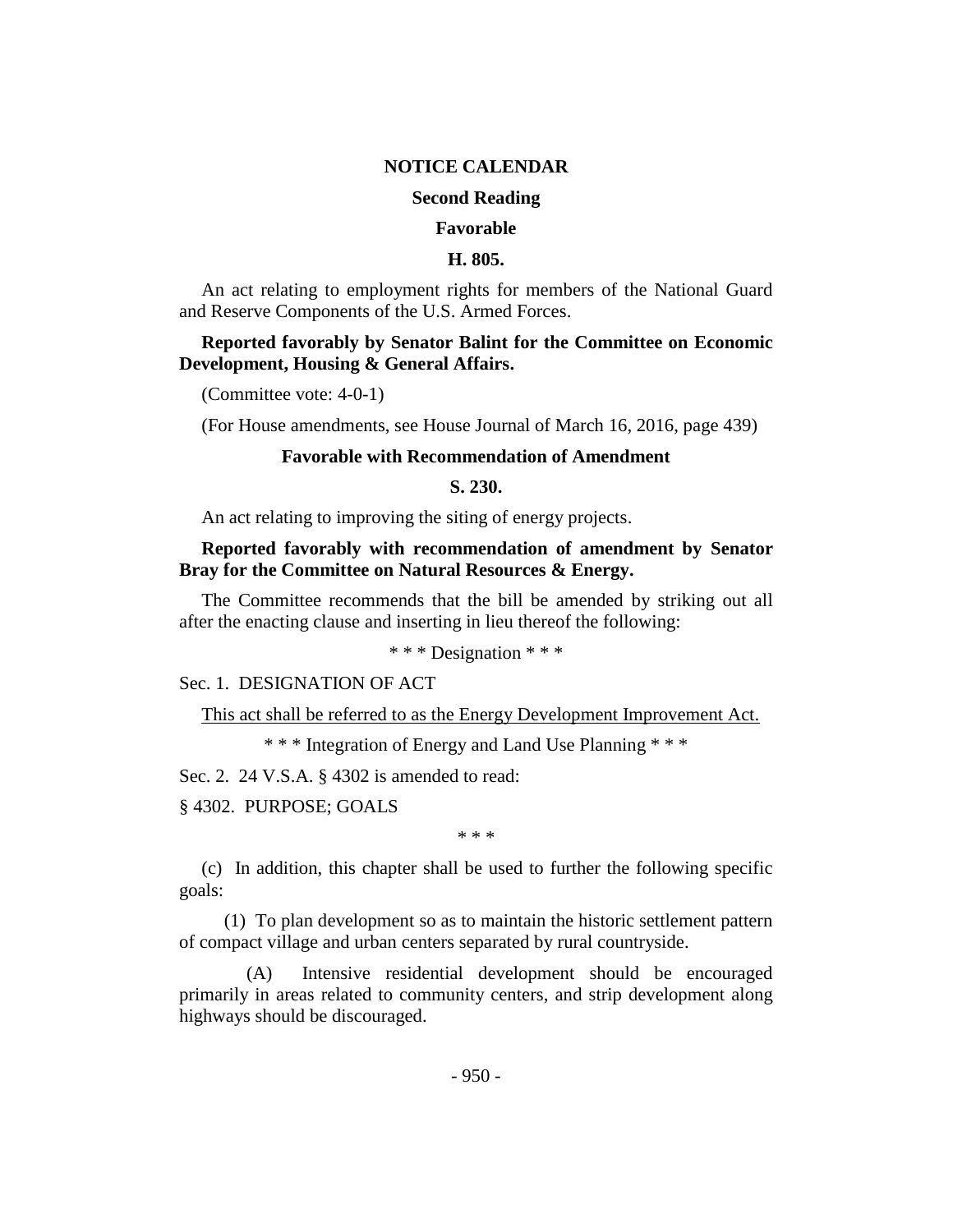#### **NOTICE CALENDAR**

#### **Second Reading**

#### **Favorable**

#### **H. 805.**

An act relating to employment rights for members of the National Guard and Reserve Components of the U.S. Armed Forces.

## **Reported favorably by Senator Balint for the Committee on Economic Development, Housing & General Affairs.**

(Committee vote: 4-0-1)

(For House amendments, see House Journal of March 16, 2016, page 439)

#### **Favorable with Recommendation of Amendment**

**S. 230.**

An act relating to improving the siting of energy projects.

## **Reported favorably with recommendation of amendment by Senator Bray for the Committee on Natural Resources & Energy.**

The Committee recommends that the bill be amended by striking out all after the enacting clause and inserting in lieu thereof the following:

\* \* \* Designation \* \* \*

#### Sec. 1. DESIGNATION OF ACT

This act shall be referred to as the Energy Development Improvement Act.

\* \* \* Integration of Energy and Land Use Planning \* \* \*

Sec. 2. 24 V.S.A. § 4302 is amended to read:

§ 4302. PURPOSE; GOALS

\* \* \*

(c) In addition, this chapter shall be used to further the following specific goals:

(1) To plan development so as to maintain the historic settlement pattern of compact village and urban centers separated by rural countryside.

(A) Intensive residential development should be encouraged primarily in areas related to community centers, and strip development along highways should be discouraged.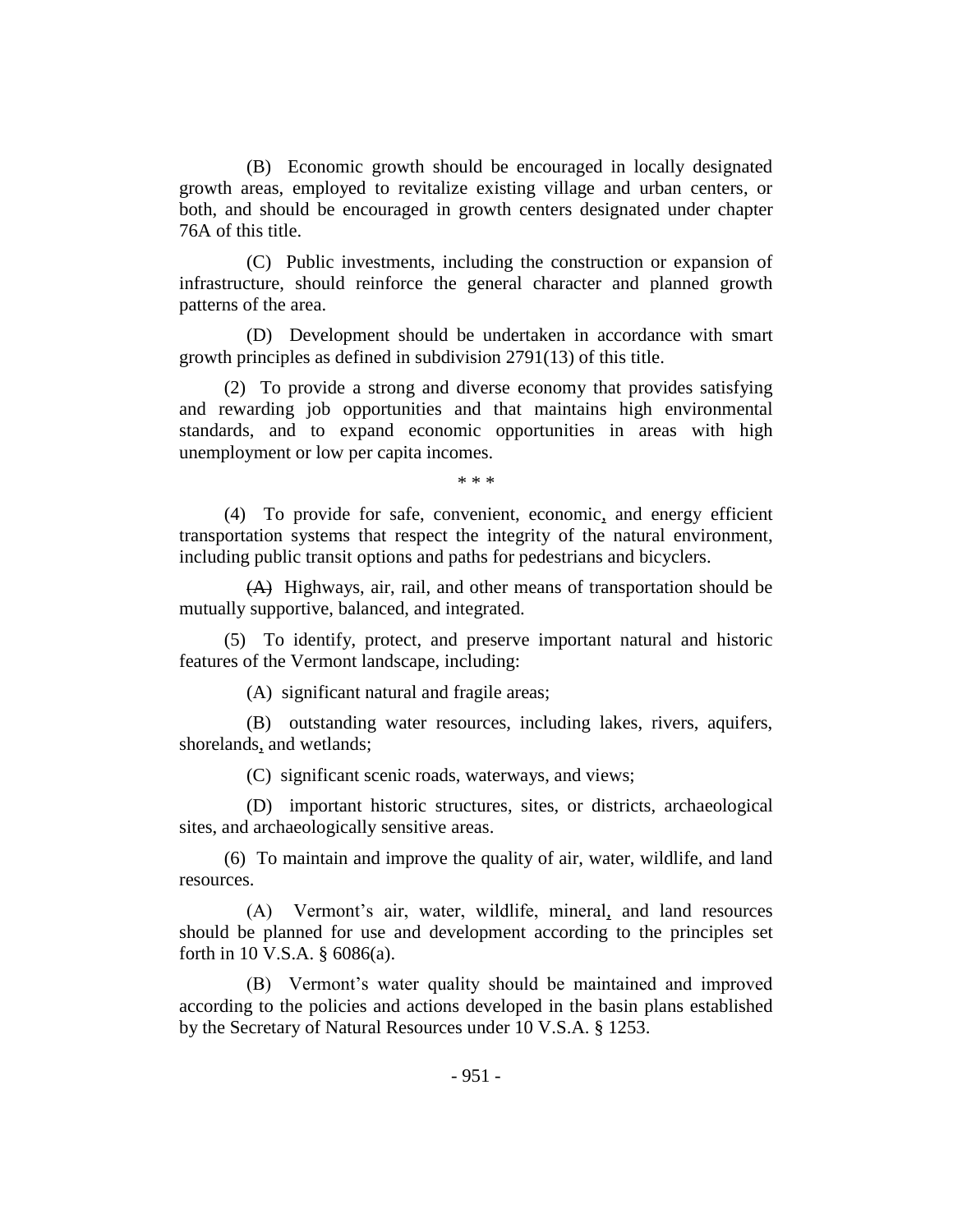(B) Economic growth should be encouraged in locally designated growth areas, employed to revitalize existing village and urban centers, or both, and should be encouraged in growth centers designated under chapter 76A of this title.

(C) Public investments, including the construction or expansion of infrastructure, should reinforce the general character and planned growth patterns of the area.

(D) Development should be undertaken in accordance with smart growth principles as defined in subdivision 2791(13) of this title.

(2) To provide a strong and diverse economy that provides satisfying and rewarding job opportunities and that maintains high environmental standards, and to expand economic opportunities in areas with high unemployment or low per capita incomes.

\* \* \*

(4) To provide for safe, convenient, economic, and energy efficient transportation systems that respect the integrity of the natural environment, including public transit options and paths for pedestrians and bicyclers.

(A) Highways, air, rail, and other means of transportation should be mutually supportive, balanced, and integrated.

(5) To identify, protect, and preserve important natural and historic features of the Vermont landscape, including:

(A) significant natural and fragile areas;

(B) outstanding water resources, including lakes, rivers, aquifers, shorelands, and wetlands;

(C) significant scenic roads, waterways, and views;

(D) important historic structures, sites, or districts, archaeological sites, and archaeologically sensitive areas.

(6) To maintain and improve the quality of air, water, wildlife, and land resources.

(A) Vermont's air, water, wildlife, mineral, and land resources should be planned for use and development according to the principles set forth in 10 V.S.A. § 6086(a).

(B) Vermont's water quality should be maintained and improved according to the policies and actions developed in the basin plans established by the Secretary of Natural Resources under 10 V.S.A. § 1253.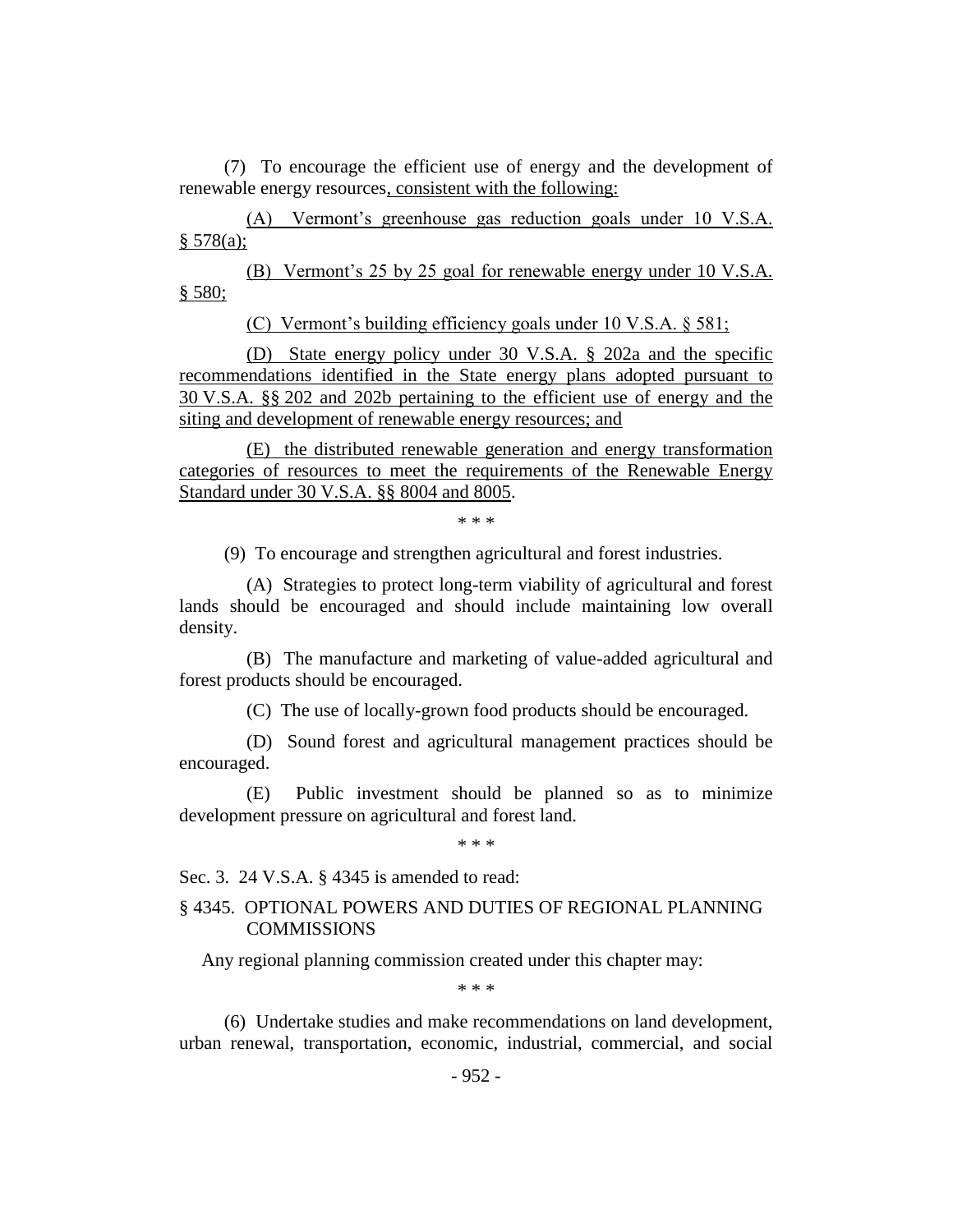(7) To encourage the efficient use of energy and the development of renewable energy resources, consistent with the following:

(A) Vermont's greenhouse gas reduction goals under 10 V.S.A. § 578(a);

(B) Vermont's 25 by 25 goal for renewable energy under 10 V.S.A. § 580;

(C) Vermont's building efficiency goals under 10 V.S.A. § 581;

(D) State energy policy under 30 V.S.A. § 202a and the specific recommendations identified in the State energy plans adopted pursuant to 30 V.S.A. §§ 202 and 202b pertaining to the efficient use of energy and the siting and development of renewable energy resources; and

(E) the distributed renewable generation and energy transformation categories of resources to meet the requirements of the Renewable Energy Standard under 30 V.S.A. §§ 8004 and 8005.

\* \* \*

(9) To encourage and strengthen agricultural and forest industries.

(A) Strategies to protect long-term viability of agricultural and forest lands should be encouraged and should include maintaining low overall density.

(B) The manufacture and marketing of value-added agricultural and forest products should be encouraged.

(C) The use of locally-grown food products should be encouraged.

(D) Sound forest and agricultural management practices should be encouraged.

(E) Public investment should be planned so as to minimize development pressure on agricultural and forest land.

\* \* \*

Sec. 3. 24 V.S.A. § 4345 is amended to read:

## § 4345. OPTIONAL POWERS AND DUTIES OF REGIONAL PLANNING **COMMISSIONS**

Any regional planning commission created under this chapter may:

\* \* \*

(6) Undertake studies and make recommendations on land development, urban renewal, transportation, economic, industrial, commercial, and social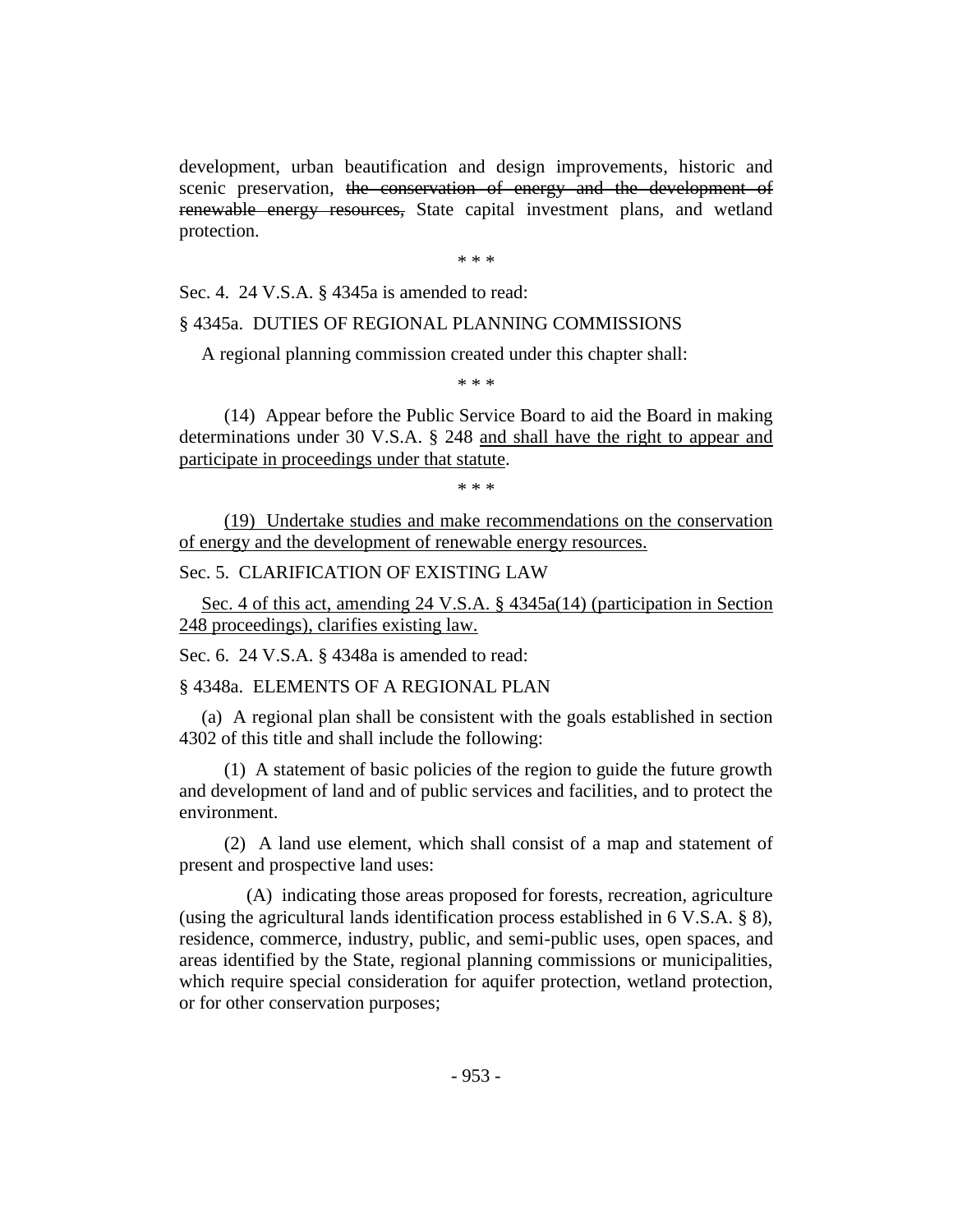development, urban beautification and design improvements, historic and scenic preservation, the conservation of energy and the development of renewable energy resources, State capital investment plans, and wetland protection.

\* \* \*

Sec. 4. 24 V.S.A. § 4345a is amended to read:

#### § 4345a. DUTIES OF REGIONAL PLANNING COMMISSIONS

A regional planning commission created under this chapter shall:

\* \* \*

(14) Appear before the Public Service Board to aid the Board in making determinations under 30 V.S.A. § 248 and shall have the right to appear and participate in proceedings under that statute.

\* \* \*

(19) Undertake studies and make recommendations on the conservation of energy and the development of renewable energy resources.

Sec. 5. CLARIFICATION OF EXISTING LAW

Sec. 4 of this act, amending 24 V.S.A. § 4345a(14) (participation in Section 248 proceedings), clarifies existing law.

Sec. 6. 24 V.S.A. § 4348a is amended to read:

§ 4348a. ELEMENTS OF A REGIONAL PLAN

(a) A regional plan shall be consistent with the goals established in section 4302 of this title and shall include the following:

(1) A statement of basic policies of the region to guide the future growth and development of land and of public services and facilities, and to protect the environment.

(2) A land use element, which shall consist of a map and statement of present and prospective land uses:

(A) indicating those areas proposed for forests, recreation, agriculture (using the agricultural lands identification process established in 6 V.S.A. § 8), residence, commerce, industry, public, and semi-public uses, open spaces, and areas identified by the State, regional planning commissions or municipalities, which require special consideration for aquifer protection, wetland protection, or for other conservation purposes;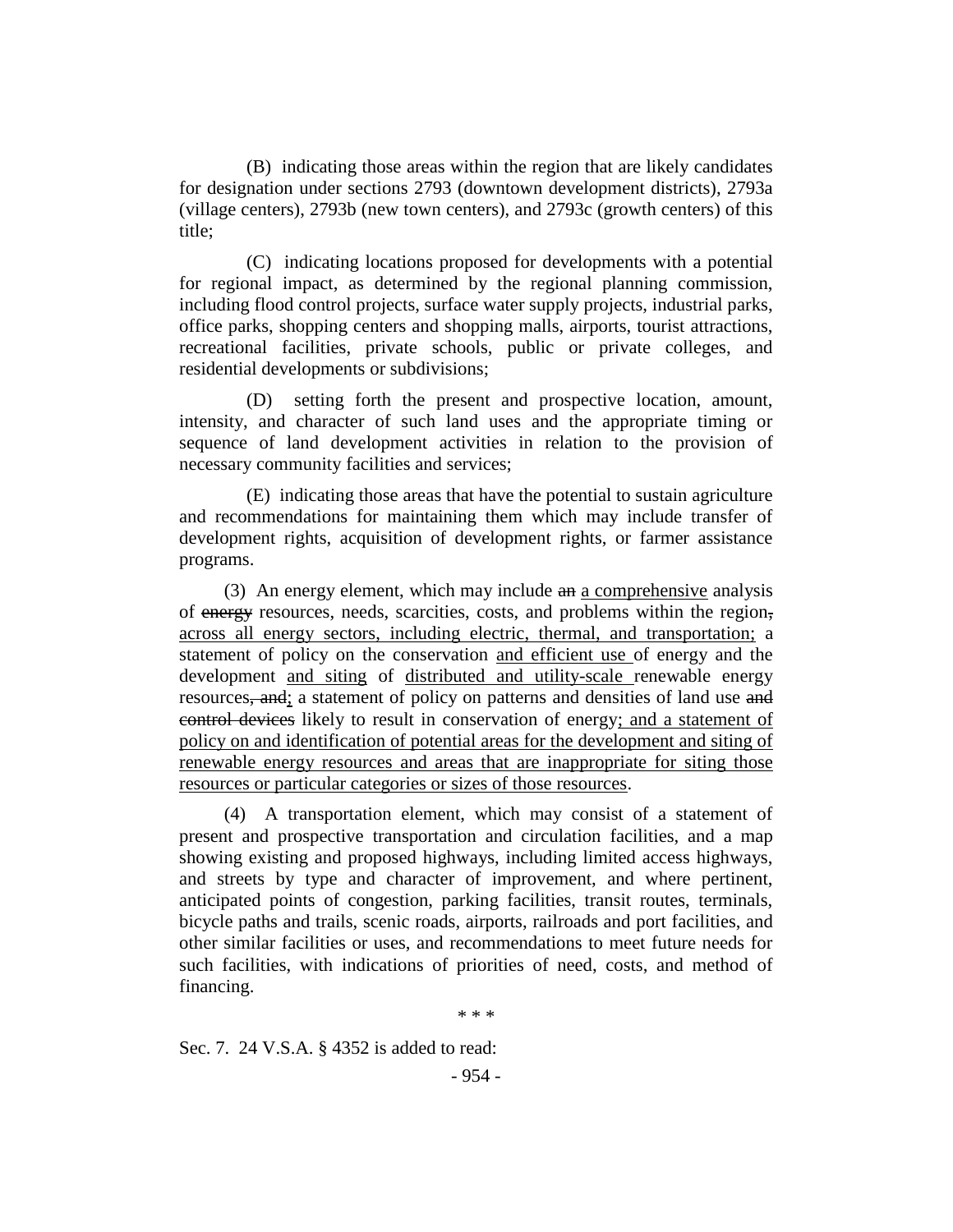(B) indicating those areas within the region that are likely candidates for designation under sections 2793 (downtown development districts), 2793a (village centers), 2793b (new town centers), and 2793c (growth centers) of this title;

(C) indicating locations proposed for developments with a potential for regional impact, as determined by the regional planning commission, including flood control projects, surface water supply projects, industrial parks, office parks, shopping centers and shopping malls, airports, tourist attractions, recreational facilities, private schools, public or private colleges, and residential developments or subdivisions;

(D) setting forth the present and prospective location, amount, intensity, and character of such land uses and the appropriate timing or sequence of land development activities in relation to the provision of necessary community facilities and services;

(E) indicating those areas that have the potential to sustain agriculture and recommendations for maintaining them which may include transfer of development rights, acquisition of development rights, or farmer assistance programs.

(3) An energy element, which may include an a comprehensive analysis of energy resources, needs, scarcities, costs, and problems within the region, across all energy sectors, including electric, thermal, and transportation; a statement of policy on the conservation and efficient use of energy and the development and siting of distributed and utility-scale renewable energy resources, and; a statement of policy on patterns and densities of land use and control devices likely to result in conservation of energy; and a statement of policy on and identification of potential areas for the development and siting of renewable energy resources and areas that are inappropriate for siting those resources or particular categories or sizes of those resources.

(4) A transportation element, which may consist of a statement of present and prospective transportation and circulation facilities, and a map showing existing and proposed highways, including limited access highways, and streets by type and character of improvement, and where pertinent, anticipated points of congestion, parking facilities, transit routes, terminals, bicycle paths and trails, scenic roads, airports, railroads and port facilities, and other similar facilities or uses, and recommendations to meet future needs for such facilities, with indications of priorities of need, costs, and method of financing.

\* \* \*

Sec. 7. 24 V.S.A. § 4352 is added to read: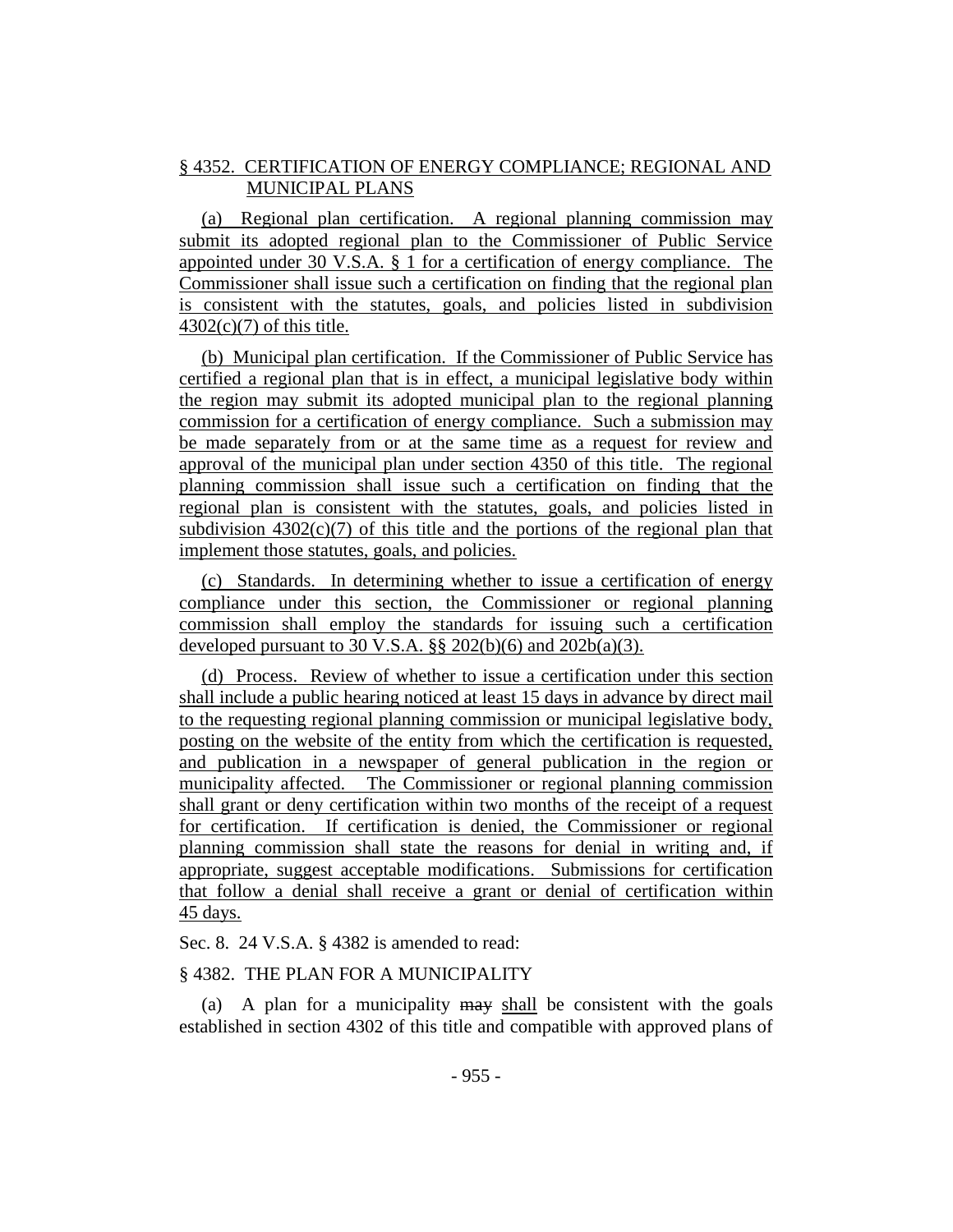## § 4352. CERTIFICATION OF ENERGY COMPLIANCE; REGIONAL AND MUNICIPAL PLANS

(a) Regional plan certification. A regional planning commission may submit its adopted regional plan to the Commissioner of Public Service appointed under 30 V.S.A. § 1 for a certification of energy compliance. The Commissioner shall issue such a certification on finding that the regional plan is consistent with the statutes, goals, and policies listed in subdivision  $4302(c)(7)$  of this title.

(b) Municipal plan certification. If the Commissioner of Public Service has certified a regional plan that is in effect, a municipal legislative body within the region may submit its adopted municipal plan to the regional planning commission for a certification of energy compliance. Such a submission may be made separately from or at the same time as a request for review and approval of the municipal plan under section 4350 of this title. The regional planning commission shall issue such a certification on finding that the regional plan is consistent with the statutes, goals, and policies listed in subdivision  $4302(c)(7)$  of this title and the portions of the regional plan that implement those statutes, goals, and policies.

(c) Standards. In determining whether to issue a certification of energy compliance under this section, the Commissioner or regional planning commission shall employ the standards for issuing such a certification developed pursuant to 30 V.S.A.  $\S$ § 202(b)(6) and 202b(a)(3).

(d) Process. Review of whether to issue a certification under this section shall include a public hearing noticed at least 15 days in advance by direct mail to the requesting regional planning commission or municipal legislative body, posting on the website of the entity from which the certification is requested, and publication in a newspaper of general publication in the region or municipality affected. The Commissioner or regional planning commission shall grant or deny certification within two months of the receipt of a request for certification. If certification is denied, the Commissioner or regional planning commission shall state the reasons for denial in writing and, if appropriate, suggest acceptable modifications. Submissions for certification that follow a denial shall receive a grant or denial of certification within 45 days.

## Sec. 8. 24 V.S.A. § 4382 is amended to read:

## § 4382. THE PLAN FOR A MUNICIPALITY

(a) A plan for a municipality may shall be consistent with the goals established in section 4302 of this title and compatible with approved plans of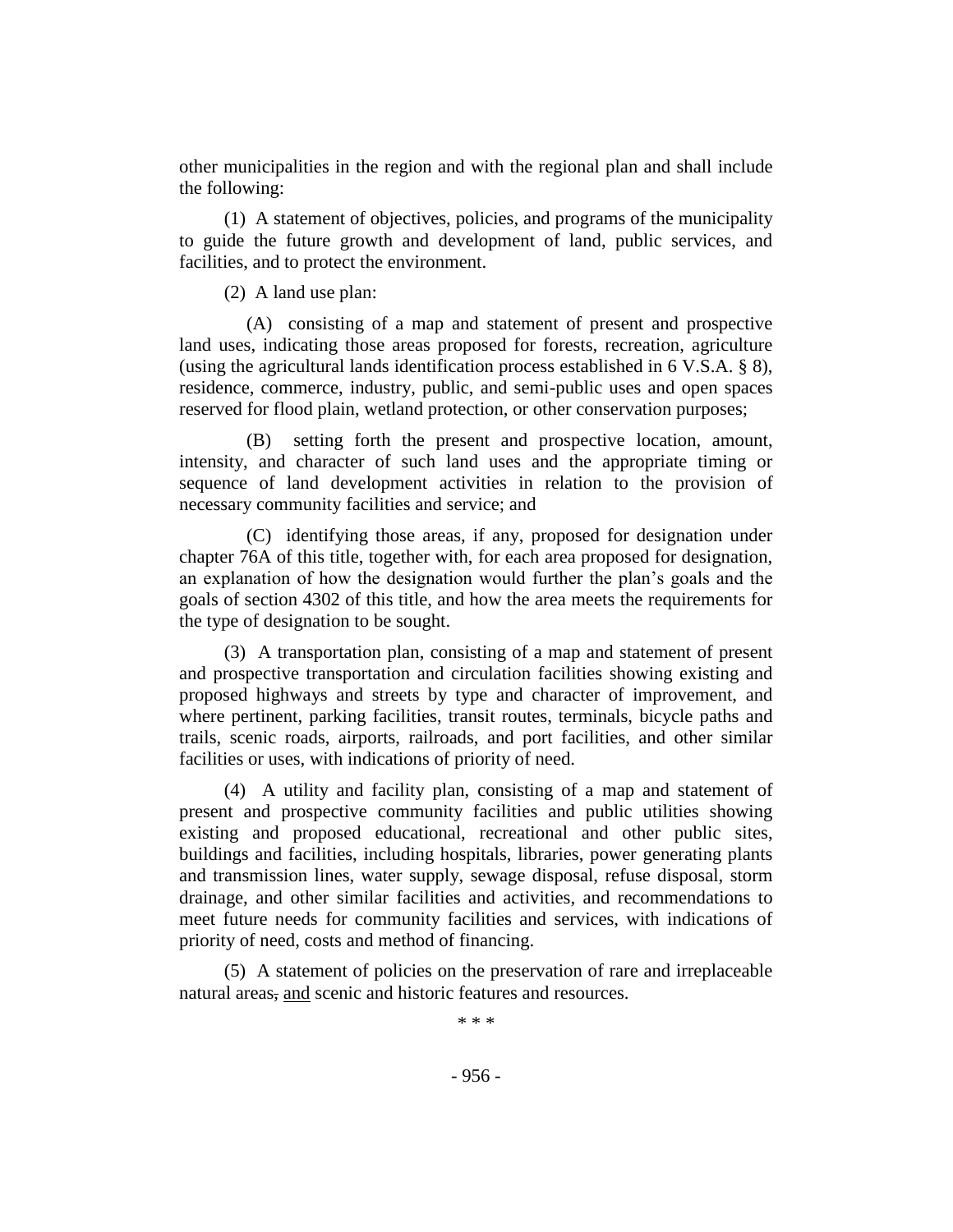other municipalities in the region and with the regional plan and shall include the following:

(1) A statement of objectives, policies, and programs of the municipality to guide the future growth and development of land, public services, and facilities, and to protect the environment.

(2) A land use plan:

(A) consisting of a map and statement of present and prospective land uses, indicating those areas proposed for forests, recreation, agriculture (using the agricultural lands identification process established in 6 V.S.A. § 8), residence, commerce, industry, public, and semi-public uses and open spaces reserved for flood plain, wetland protection, or other conservation purposes;

(B) setting forth the present and prospective location, amount, intensity, and character of such land uses and the appropriate timing or sequence of land development activities in relation to the provision of necessary community facilities and service; and

(C) identifying those areas, if any, proposed for designation under chapter 76A of this title, together with, for each area proposed for designation, an explanation of how the designation would further the plan's goals and the goals of section 4302 of this title, and how the area meets the requirements for the type of designation to be sought.

(3) A transportation plan, consisting of a map and statement of present and prospective transportation and circulation facilities showing existing and proposed highways and streets by type and character of improvement, and where pertinent, parking facilities, transit routes, terminals, bicycle paths and trails, scenic roads, airports, railroads, and port facilities, and other similar facilities or uses, with indications of priority of need.

(4) A utility and facility plan, consisting of a map and statement of present and prospective community facilities and public utilities showing existing and proposed educational, recreational and other public sites, buildings and facilities, including hospitals, libraries, power generating plants and transmission lines, water supply, sewage disposal, refuse disposal, storm drainage, and other similar facilities and activities, and recommendations to meet future needs for community facilities and services, with indications of priority of need, costs and method of financing.

(5) A statement of policies on the preservation of rare and irreplaceable natural areas, and scenic and historic features and resources.

\* \* \*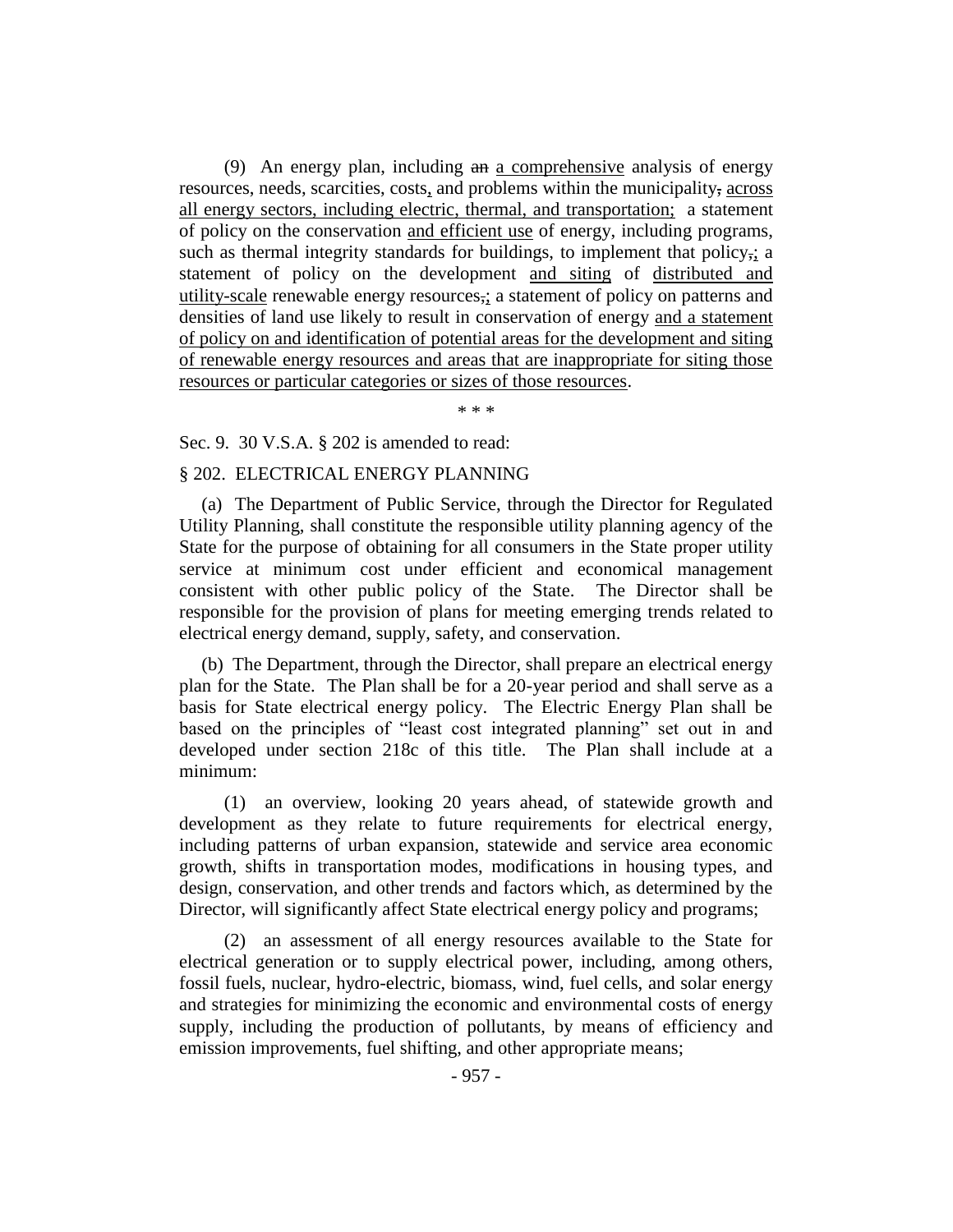(9) An energy plan, including an a comprehensive analysis of energy resources, needs, scarcities, costs, and problems within the municipality, across all energy sectors, including electric, thermal, and transportation; a statement of policy on the conservation and efficient use of energy, including programs, such as thermal integrity standards for buildings, to implement that policy,; a statement of policy on the development and siting of distributed and utility-scale renewable energy resources,; a statement of policy on patterns and densities of land use likely to result in conservation of energy and a statement of policy on and identification of potential areas for the development and siting of renewable energy resources and areas that are inappropriate for siting those resources or particular categories or sizes of those resources.

\* \* \*

#### Sec. 9. 30 V.S.A. § 202 is amended to read:

#### § 202. ELECTRICAL ENERGY PLANNING

(a) The Department of Public Service, through the Director for Regulated Utility Planning, shall constitute the responsible utility planning agency of the State for the purpose of obtaining for all consumers in the State proper utility service at minimum cost under efficient and economical management consistent with other public policy of the State. The Director shall be responsible for the provision of plans for meeting emerging trends related to electrical energy demand, supply, safety, and conservation.

(b) The Department, through the Director, shall prepare an electrical energy plan for the State. The Plan shall be for a 20-year period and shall serve as a basis for State electrical energy policy. The Electric Energy Plan shall be based on the principles of "least cost integrated planning" set out in and developed under section 218c of this title. The Plan shall include at a minimum:

(1) an overview, looking 20 years ahead, of statewide growth and development as they relate to future requirements for electrical energy, including patterns of urban expansion, statewide and service area economic growth, shifts in transportation modes, modifications in housing types, and design, conservation, and other trends and factors which, as determined by the Director, will significantly affect State electrical energy policy and programs;

(2) an assessment of all energy resources available to the State for electrical generation or to supply electrical power, including, among others, fossil fuels, nuclear, hydro-electric, biomass, wind, fuel cells, and solar energy and strategies for minimizing the economic and environmental costs of energy supply, including the production of pollutants, by means of efficiency and emission improvements, fuel shifting, and other appropriate means;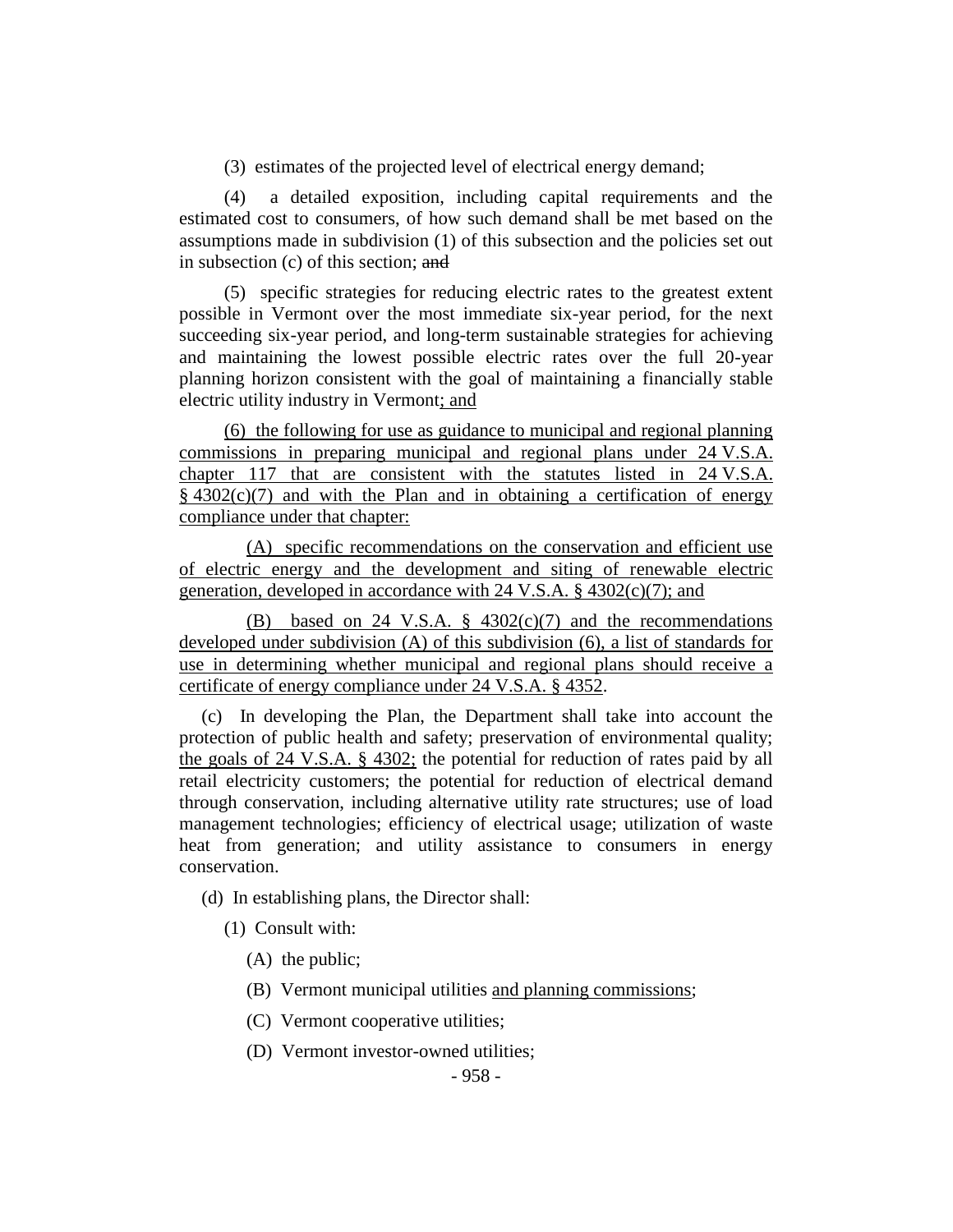(3) estimates of the projected level of electrical energy demand;

(4) a detailed exposition, including capital requirements and the estimated cost to consumers, of how such demand shall be met based on the assumptions made in subdivision (1) of this subsection and the policies set out in subsection (c) of this section; and

(5) specific strategies for reducing electric rates to the greatest extent possible in Vermont over the most immediate six-year period, for the next succeeding six-year period, and long-term sustainable strategies for achieving and maintaining the lowest possible electric rates over the full 20-year planning horizon consistent with the goal of maintaining a financially stable electric utility industry in Vermont; and

(6) the following for use as guidance to municipal and regional planning commissions in preparing municipal and regional plans under 24 V.S.A. chapter 117 that are consistent with the statutes listed in 24 V.S.A.  $§$  4302(c)(7) and with the Plan and in obtaining a certification of energy compliance under that chapter:

(A) specific recommendations on the conservation and efficient use of electric energy and the development and siting of renewable electric generation, developed in accordance with 24 V.S.A. § 4302(c)(7); and

(B) based on 24 V.S.A. § 4302(c)(7) and the recommendations developed under subdivision (A) of this subdivision (6), a list of standards for use in determining whether municipal and regional plans should receive a certificate of energy compliance under 24 V.S.A. § 4352.

(c) In developing the Plan, the Department shall take into account the protection of public health and safety; preservation of environmental quality; the goals of 24 V.S.A. § 4302; the potential for reduction of rates paid by all retail electricity customers; the potential for reduction of electrical demand through conservation, including alternative utility rate structures; use of load management technologies; efficiency of electrical usage; utilization of waste heat from generation; and utility assistance to consumers in energy conservation.

(d) In establishing plans, the Director shall:

- (1) Consult with:
	- (A) the public;
	- (B) Vermont municipal utilities and planning commissions;
	- (C) Vermont cooperative utilities;
	- (D) Vermont investor-owned utilities;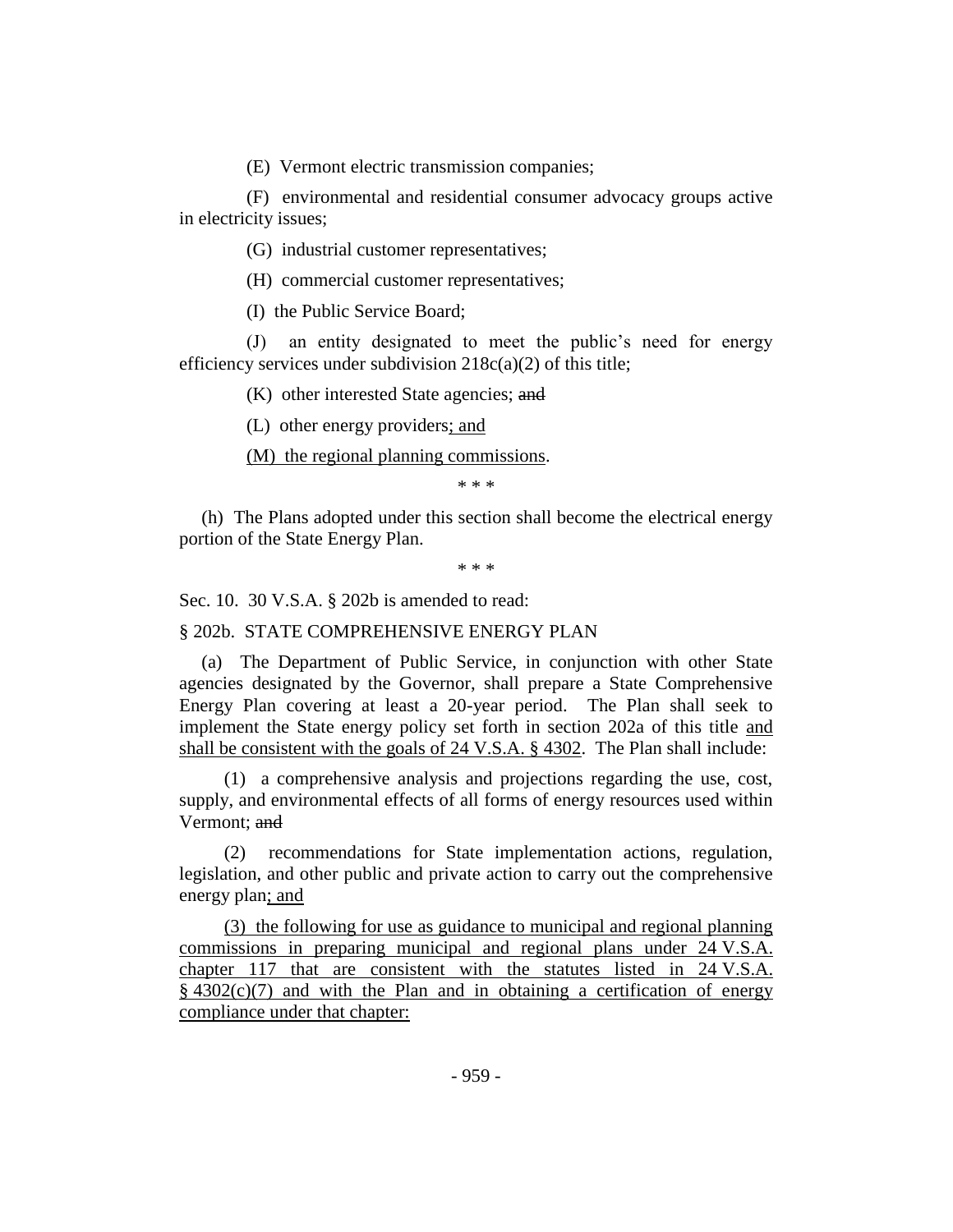(E) Vermont electric transmission companies;

(F) environmental and residential consumer advocacy groups active in electricity issues;

(G) industrial customer representatives;

(H) commercial customer representatives;

(I) the Public Service Board;

(J) an entity designated to meet the public's need for energy efficiency services under subdivision  $218c(a)(2)$  of this title;

(K) other interested State agencies; and

(L) other energy providers; and

(M) the regional planning commissions.

\* \* \*

(h) The Plans adopted under this section shall become the electrical energy portion of the State Energy Plan.

\* \* \*

Sec. 10. 30 V.S.A. § 202b is amended to read:

§ 202b. STATE COMPREHENSIVE ENERGY PLAN

(a) The Department of Public Service, in conjunction with other State agencies designated by the Governor, shall prepare a State Comprehensive Energy Plan covering at least a 20-year period. The Plan shall seek to implement the State energy policy set forth in section 202a of this title and shall be consistent with the goals of 24 V.S.A. § 4302. The Plan shall include:

(1) a comprehensive analysis and projections regarding the use, cost, supply, and environmental effects of all forms of energy resources used within Vermont; and

(2) recommendations for State implementation actions, regulation, legislation, and other public and private action to carry out the comprehensive energy plan; and

(3) the following for use as guidance to municipal and regional planning commissions in preparing municipal and regional plans under 24 V.S.A. chapter 117 that are consistent with the statutes listed in 24 V.S.A.  $§$  4302(c)(7) and with the Plan and in obtaining a certification of energy compliance under that chapter: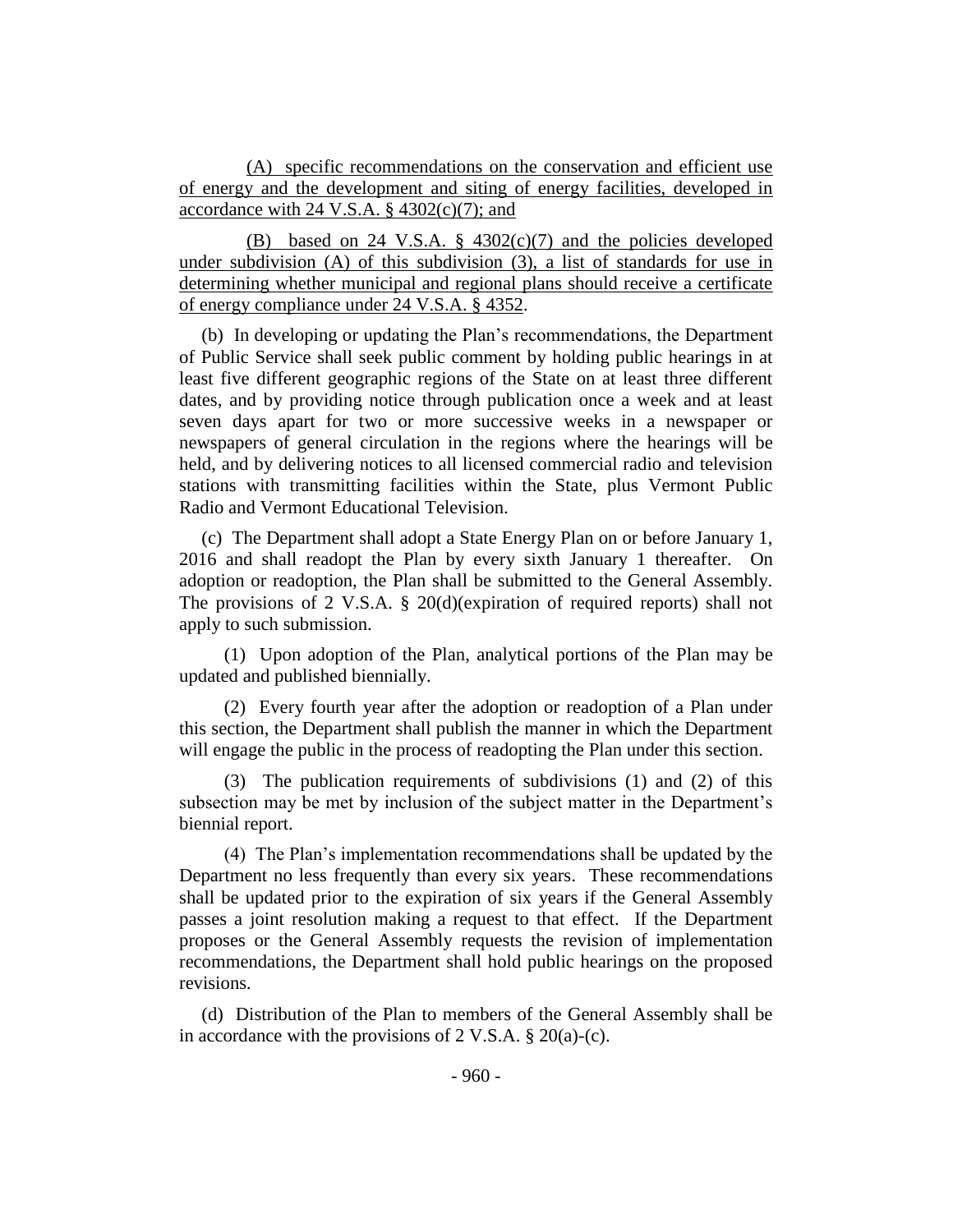(A) specific recommendations on the conservation and efficient use of energy and the development and siting of energy facilities, developed in accordance with 24 V.S.A.  $\S$  4302(c)(7); and

(B) based on 24 V.S.A.  $\S$  4302(c)(7) and the policies developed under subdivision (A) of this subdivision (3), a list of standards for use in determining whether municipal and regional plans should receive a certificate of energy compliance under 24 V.S.A. § 4352.

(b) In developing or updating the Plan's recommendations, the Department of Public Service shall seek public comment by holding public hearings in at least five different geographic regions of the State on at least three different dates, and by providing notice through publication once a week and at least seven days apart for two or more successive weeks in a newspaper or newspapers of general circulation in the regions where the hearings will be held, and by delivering notices to all licensed commercial radio and television stations with transmitting facilities within the State, plus Vermont Public Radio and Vermont Educational Television.

(c) The Department shall adopt a State Energy Plan on or before January 1, 2016 and shall readopt the Plan by every sixth January 1 thereafter. On adoption or readoption, the Plan shall be submitted to the General Assembly. The provisions of 2 V.S.A. § 20(d)(expiration of required reports) shall not apply to such submission.

(1) Upon adoption of the Plan, analytical portions of the Plan may be updated and published biennially.

(2) Every fourth year after the adoption or readoption of a Plan under this section, the Department shall publish the manner in which the Department will engage the public in the process of readopting the Plan under this section.

(3) The publication requirements of subdivisions (1) and (2) of this subsection may be met by inclusion of the subject matter in the Department's biennial report.

(4) The Plan's implementation recommendations shall be updated by the Department no less frequently than every six years. These recommendations shall be updated prior to the expiration of six years if the General Assembly passes a joint resolution making a request to that effect. If the Department proposes or the General Assembly requests the revision of implementation recommendations, the Department shall hold public hearings on the proposed revisions.

(d) Distribution of the Plan to members of the General Assembly shall be in accordance with the provisions of  $2 \text{ V.S.A.} \$   $20(a)-(c)$ .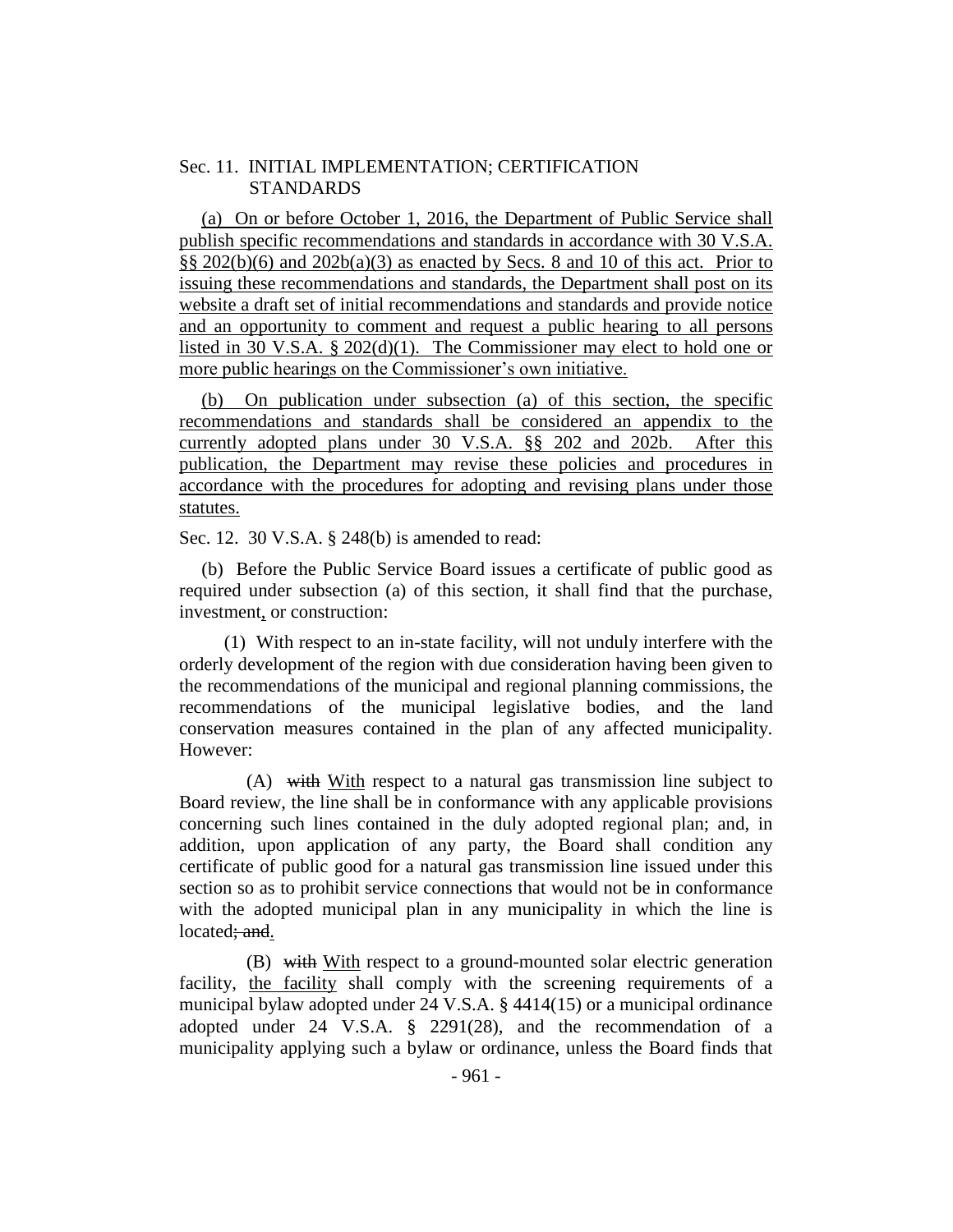#### Sec. 11. INITIAL IMPLEMENTATION; CERTIFICATION **STANDARDS**

(a) On or before October 1, 2016, the Department of Public Service shall publish specific recommendations and standards in accordance with 30 V.S.A.  $\S$ § 202(b)(6) and 202b(a)(3) as enacted by Secs. 8 and 10 of this act. Prior to issuing these recommendations and standards, the Department shall post on its website a draft set of initial recommendations and standards and provide notice and an opportunity to comment and request a public hearing to all persons listed in 30 V.S.A. § 202(d)(1). The Commissioner may elect to hold one or more public hearings on the Commissioner's own initiative.

(b) On publication under subsection (a) of this section, the specific recommendations and standards shall be considered an appendix to the currently adopted plans under 30 V.S.A. §§ 202 and 202b. After this publication, the Department may revise these policies and procedures in accordance with the procedures for adopting and revising plans under those statutes.

Sec. 12. 30 V.S.A. § 248(b) is amended to read:

(b) Before the Public Service Board issues a certificate of public good as required under subsection (a) of this section, it shall find that the purchase, investment, or construction:

(1) With respect to an in-state facility, will not unduly interfere with the orderly development of the region with due consideration having been given to the recommendations of the municipal and regional planning commissions, the recommendations of the municipal legislative bodies, and the land conservation measures contained in the plan of any affected municipality. However:

(A) with With respect to a natural gas transmission line subject to Board review, the line shall be in conformance with any applicable provisions concerning such lines contained in the duly adopted regional plan; and, in addition, upon application of any party, the Board shall condition any certificate of public good for a natural gas transmission line issued under this section so as to prohibit service connections that would not be in conformance with the adopted municipal plan in any municipality in which the line is located; and.

(B) with With respect to a ground-mounted solar electric generation facility, the facility shall comply with the screening requirements of a municipal bylaw adopted under 24 V.S.A. § 4414(15) or a municipal ordinance adopted under 24 V.S.A. § 2291(28), and the recommendation of a municipality applying such a bylaw or ordinance, unless the Board finds that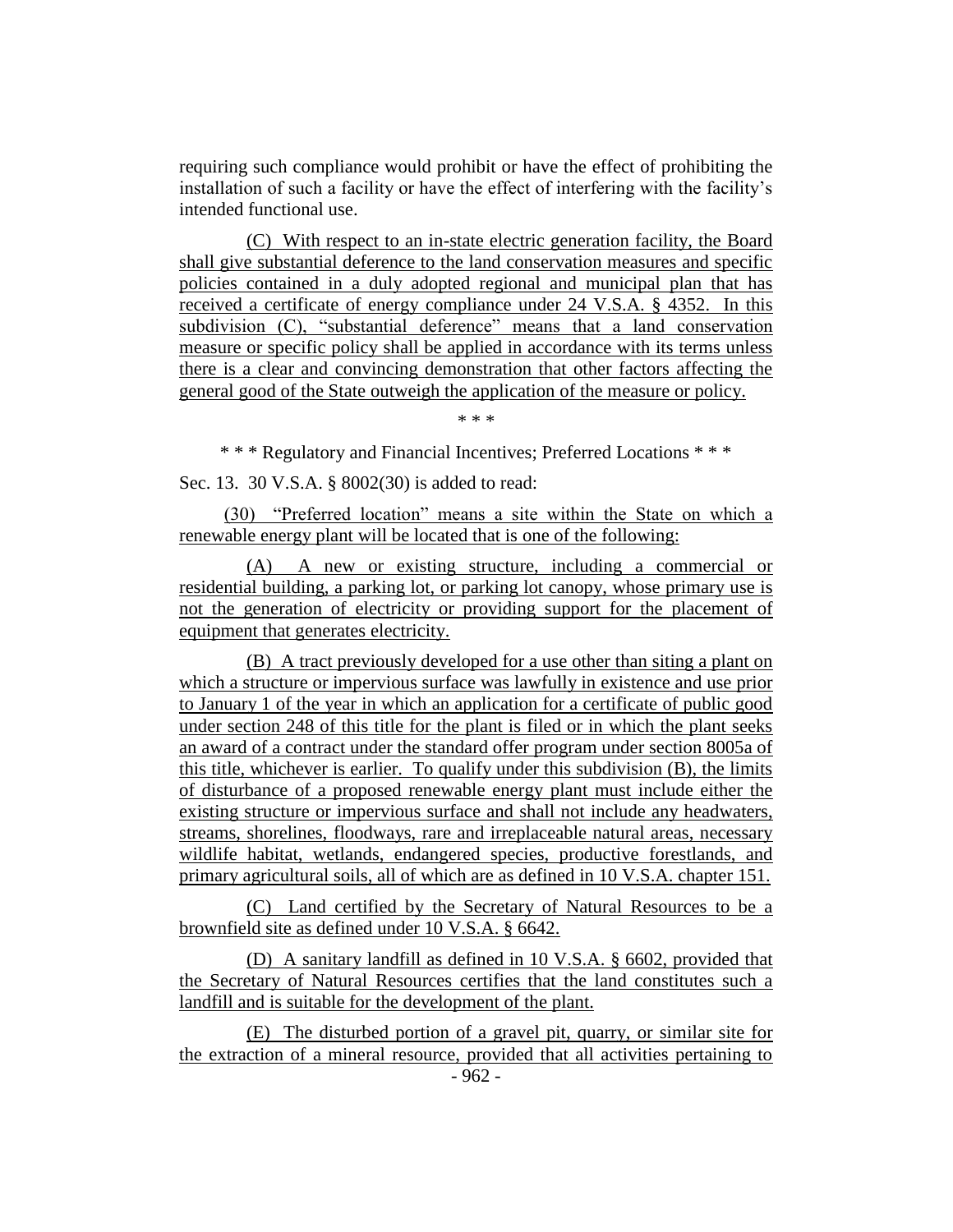requiring such compliance would prohibit or have the effect of prohibiting the installation of such a facility or have the effect of interfering with the facility's intended functional use.

(C) With respect to an in-state electric generation facility, the Board shall give substantial deference to the land conservation measures and specific policies contained in a duly adopted regional and municipal plan that has received a certificate of energy compliance under 24 V.S.A. § 4352. In this subdivision (C), "substantial deference" means that a land conservation measure or specific policy shall be applied in accordance with its terms unless there is a clear and convincing demonstration that other factors affecting the general good of the State outweigh the application of the measure or policy.

\* \* \*

\* \* \* Regulatory and Financial Incentives; Preferred Locations \* \* \*

Sec. 13. 30 V.S.A. § 8002(30) is added to read:

(30) "Preferred location" means a site within the State on which a renewable energy plant will be located that is one of the following:

(A) A new or existing structure, including a commercial or residential building, a parking lot, or parking lot canopy, whose primary use is not the generation of electricity or providing support for the placement of equipment that generates electricity.

(B) A tract previously developed for a use other than siting a plant on which a structure or impervious surface was lawfully in existence and use prior to January 1 of the year in which an application for a certificate of public good under section 248 of this title for the plant is filed or in which the plant seeks an award of a contract under the standard offer program under section 8005a of this title, whichever is earlier. To qualify under this subdivision (B), the limits of disturbance of a proposed renewable energy plant must include either the existing structure or impervious surface and shall not include any headwaters, streams, shorelines, floodways, rare and irreplaceable natural areas, necessary wildlife habitat, wetlands, endangered species, productive forestlands, and primary agricultural soils, all of which are as defined in 10 V.S.A. chapter 151.

(C) Land certified by the Secretary of Natural Resources to be a brownfield site as defined under 10 V.S.A. § 6642.

(D) A sanitary landfill as defined in 10 V.S.A. § 6602, provided that the Secretary of Natural Resources certifies that the land constitutes such a landfill and is suitable for the development of the plant.

(E) The disturbed portion of a gravel pit, quarry, or similar site for the extraction of a mineral resource, provided that all activities pertaining to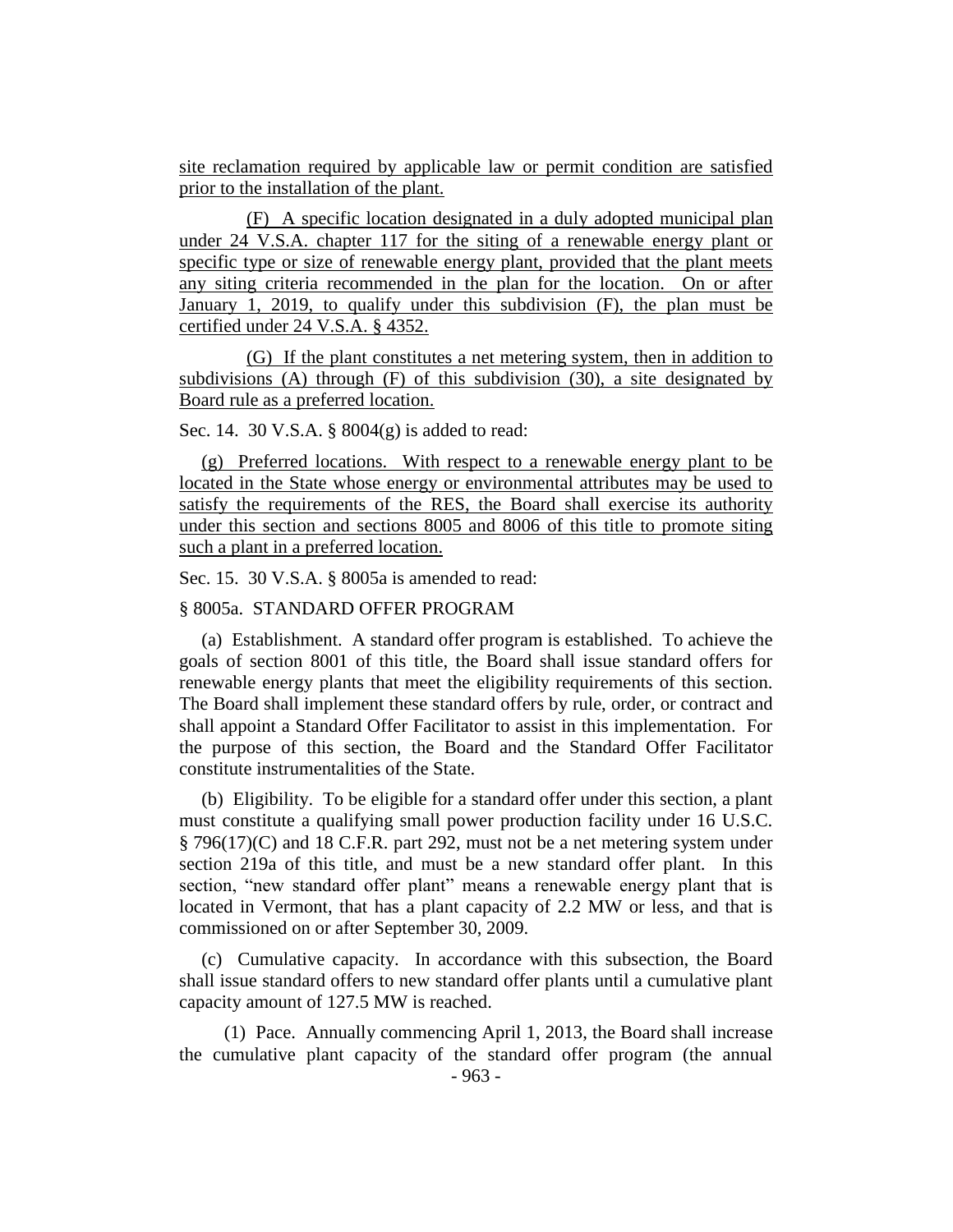site reclamation required by applicable law or permit condition are satisfied prior to the installation of the plant.

(F) A specific location designated in a duly adopted municipal plan under 24 V.S.A. chapter 117 for the siting of a renewable energy plant or specific type or size of renewable energy plant, provided that the plant meets any siting criteria recommended in the plan for the location. On or after January 1, 2019, to qualify under this subdivision (F), the plan must be certified under 24 V.S.A. § 4352.

(G) If the plant constitutes a net metering system, then in addition to subdivisions (A) through (F) of this subdivision (30), a site designated by Board rule as a preferred location.

Sec. 14. 30 V.S.A. § 8004(g) is added to read:

(g) Preferred locations. With respect to a renewable energy plant to be located in the State whose energy or environmental attributes may be used to satisfy the requirements of the RES, the Board shall exercise its authority under this section and sections 8005 and 8006 of this title to promote siting such a plant in a preferred location.

Sec. 15. 30 V.S.A. § 8005a is amended to read:

#### § 8005a. STANDARD OFFER PROGRAM

(a) Establishment. A standard offer program is established. To achieve the goals of section 8001 of this title, the Board shall issue standard offers for renewable energy plants that meet the eligibility requirements of this section. The Board shall implement these standard offers by rule, order, or contract and shall appoint a Standard Offer Facilitator to assist in this implementation. For the purpose of this section, the Board and the Standard Offer Facilitator constitute instrumentalities of the State.

(b) Eligibility. To be eligible for a standard offer under this section, a plant must constitute a qualifying small power production facility under 16 U.S.C. § 796(17)(C) and 18 C.F.R. part 292, must not be a net metering system under section 219a of this title, and must be a new standard offer plant. In this section, "new standard offer plant" means a renewable energy plant that is located in Vermont, that has a plant capacity of 2.2 MW or less, and that is commissioned on or after September 30, 2009.

(c) Cumulative capacity. In accordance with this subsection, the Board shall issue standard offers to new standard offer plants until a cumulative plant capacity amount of 127.5 MW is reached.

(1) Pace. Annually commencing April 1, 2013, the Board shall increase the cumulative plant capacity of the standard offer program (the annual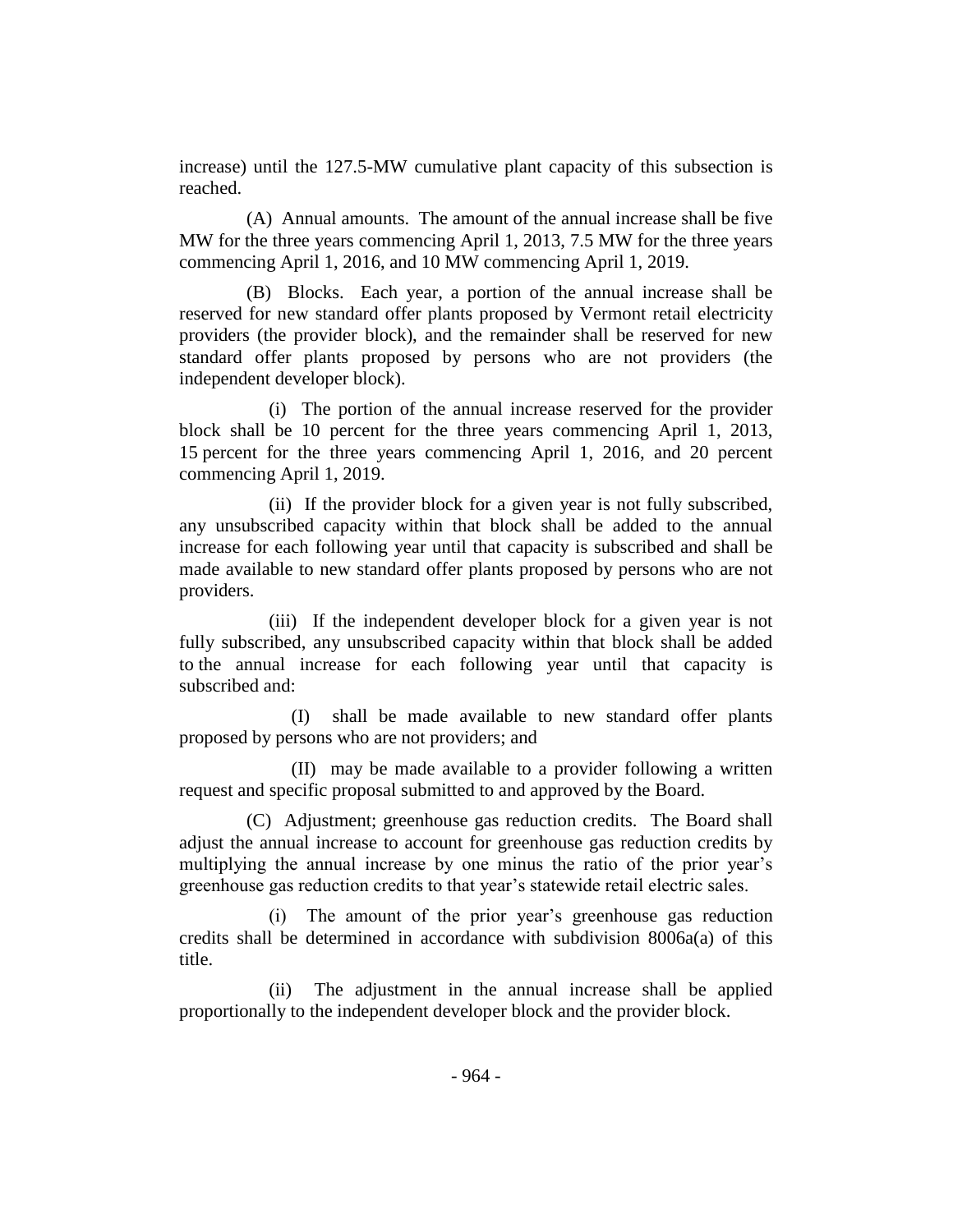increase) until the 127.5-MW cumulative plant capacity of this subsection is reached.

(A) Annual amounts. The amount of the annual increase shall be five MW for the three years commencing April 1, 2013, 7.5 MW for the three years commencing April 1, 2016, and 10 MW commencing April 1, 2019.

(B) Blocks. Each year, a portion of the annual increase shall be reserved for new standard offer plants proposed by Vermont retail electricity providers (the provider block), and the remainder shall be reserved for new standard offer plants proposed by persons who are not providers (the independent developer block).

(i) The portion of the annual increase reserved for the provider block shall be 10 percent for the three years commencing April 1, 2013, 15 percent for the three years commencing April 1, 2016, and 20 percent commencing April 1, 2019.

(ii) If the provider block for a given year is not fully subscribed, any unsubscribed capacity within that block shall be added to the annual increase for each following year until that capacity is subscribed and shall be made available to new standard offer plants proposed by persons who are not providers.

(iii) If the independent developer block for a given year is not fully subscribed, any unsubscribed capacity within that block shall be added to the annual increase for each following year until that capacity is subscribed and:

(I) shall be made available to new standard offer plants proposed by persons who are not providers; and

(II) may be made available to a provider following a written request and specific proposal submitted to and approved by the Board.

(C) Adjustment; greenhouse gas reduction credits. The Board shall adjust the annual increase to account for greenhouse gas reduction credits by multiplying the annual increase by one minus the ratio of the prior year's greenhouse gas reduction credits to that year's statewide retail electric sales.

(i) The amount of the prior year's greenhouse gas reduction credits shall be determined in accordance with subdivision 8006a(a) of this title.

(ii) The adjustment in the annual increase shall be applied proportionally to the independent developer block and the provider block.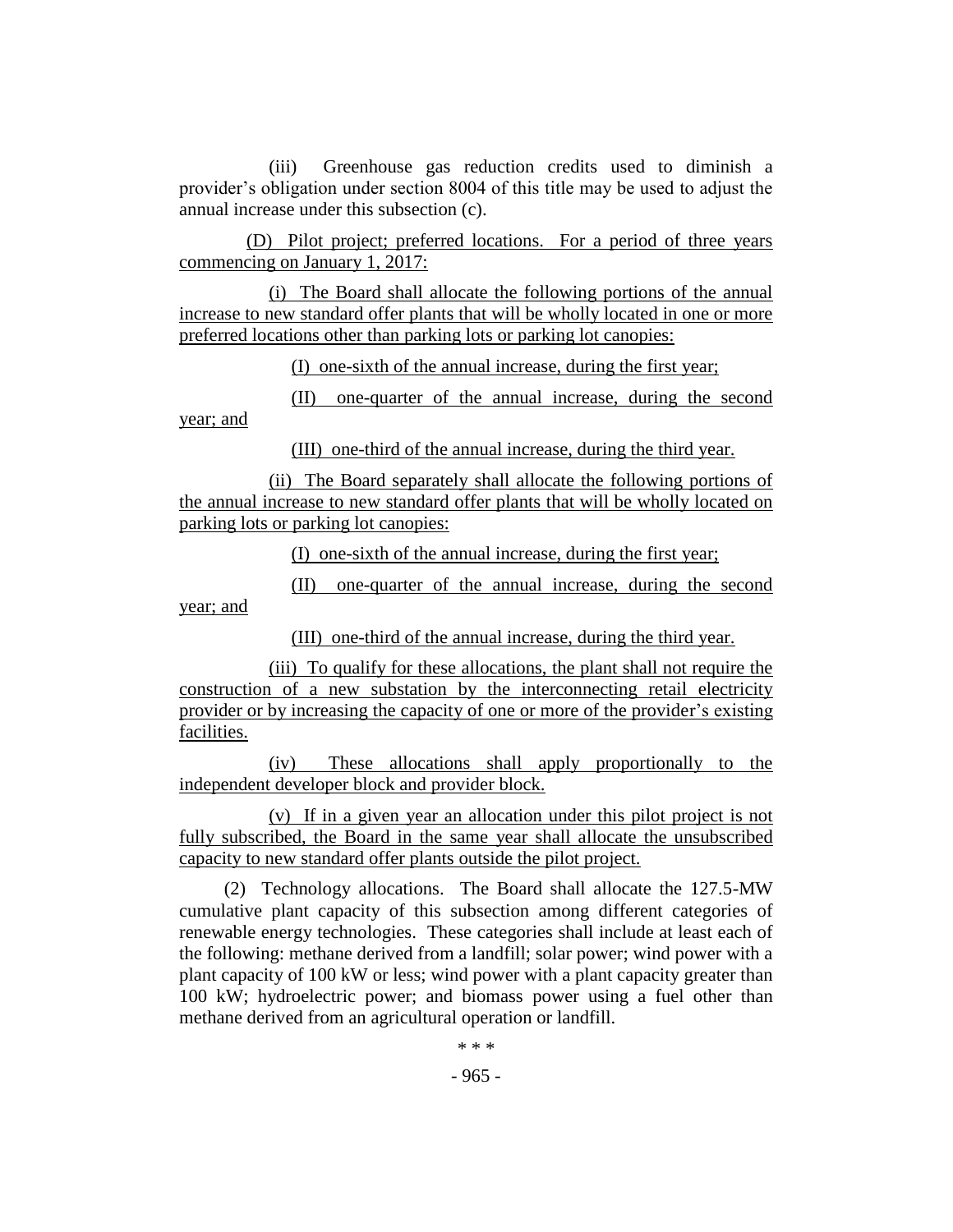(iii) Greenhouse gas reduction credits used to diminish a provider's obligation under section 8004 of this title may be used to adjust the annual increase under this subsection (c).

(D) Pilot project; preferred locations. For a period of three years commencing on January 1, 2017:

(i) The Board shall allocate the following portions of the annual increase to new standard offer plants that will be wholly located in one or more preferred locations other than parking lots or parking lot canopies:

(I) one-sixth of the annual increase, during the first year;

(II) one-quarter of the annual increase, during the second year; and

(III) one-third of the annual increase, during the third year.

(ii) The Board separately shall allocate the following portions of the annual increase to new standard offer plants that will be wholly located on parking lots or parking lot canopies:

(I) one-sixth of the annual increase, during the first year;

(II) one-quarter of the annual increase, during the second year; and

(III) one-third of the annual increase, during the third year.

(iii) To qualify for these allocations, the plant shall not require the construction of a new substation by the interconnecting retail electricity provider or by increasing the capacity of one or more of the provider's existing facilities.

(iv) These allocations shall apply proportionally to the independent developer block and provider block.

(v) If in a given year an allocation under this pilot project is not fully subscribed, the Board in the same year shall allocate the unsubscribed capacity to new standard offer plants outside the pilot project.

(2) Technology allocations. The Board shall allocate the 127.5-MW cumulative plant capacity of this subsection among different categories of renewable energy technologies. These categories shall include at least each of the following: methane derived from a landfill; solar power; wind power with a plant capacity of 100 kW or less; wind power with a plant capacity greater than 100 kW; hydroelectric power; and biomass power using a fuel other than methane derived from an agricultural operation or landfill.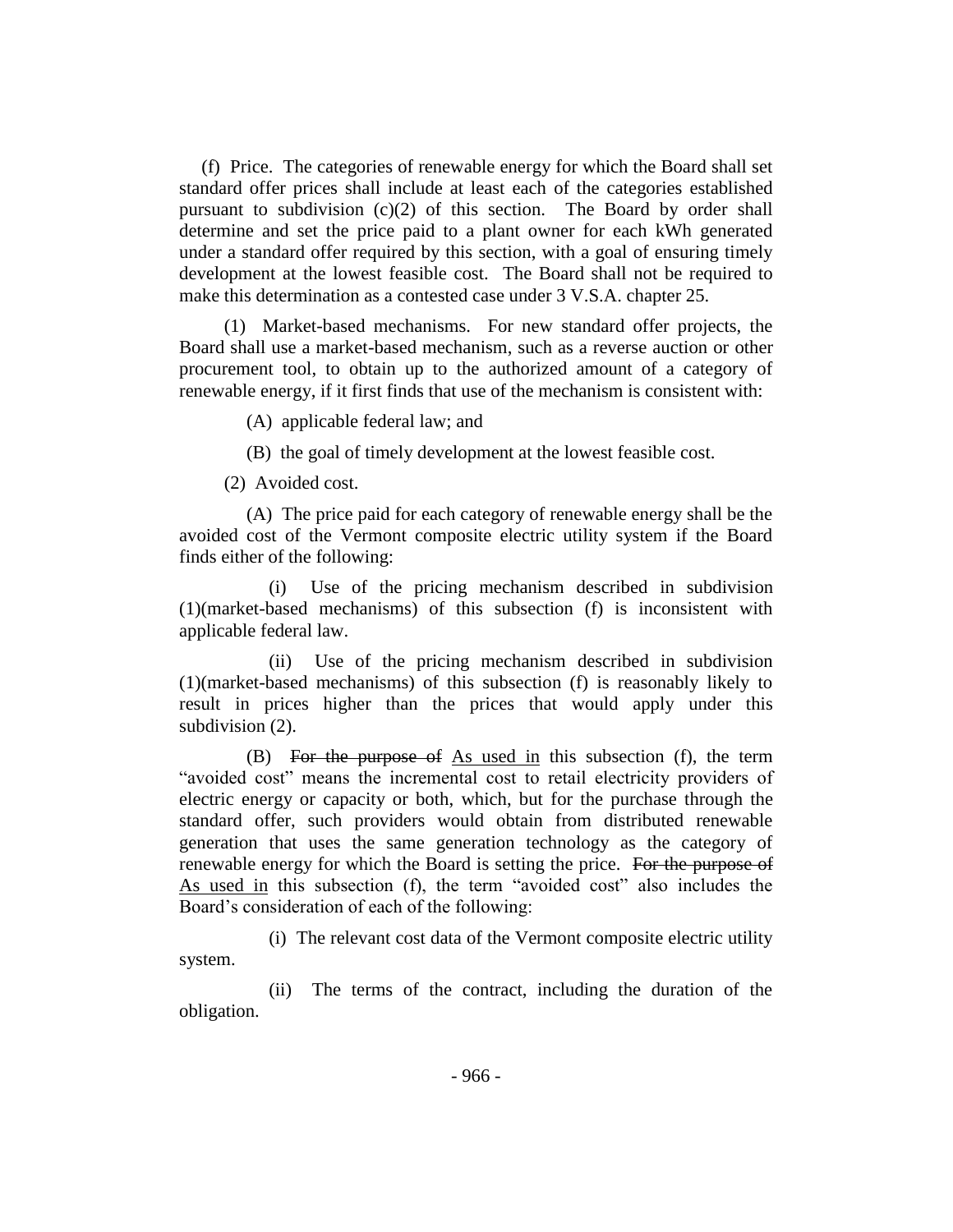(f) Price. The categories of renewable energy for which the Board shall set standard offer prices shall include at least each of the categories established pursuant to subdivision  $(c)(2)$  of this section. The Board by order shall determine and set the price paid to a plant owner for each kWh generated under a standard offer required by this section, with a goal of ensuring timely development at the lowest feasible cost. The Board shall not be required to make this determination as a contested case under 3 V.S.A. chapter 25.

(1) Market-based mechanisms. For new standard offer projects, the Board shall use a market-based mechanism, such as a reverse auction or other procurement tool, to obtain up to the authorized amount of a category of renewable energy, if it first finds that use of the mechanism is consistent with:

(A) applicable federal law; and

(B) the goal of timely development at the lowest feasible cost.

(2) Avoided cost.

(A) The price paid for each category of renewable energy shall be the avoided cost of the Vermont composite electric utility system if the Board finds either of the following:

(i) Use of the pricing mechanism described in subdivision (1)(market-based mechanisms) of this subsection (f) is inconsistent with applicable federal law.

(ii) Use of the pricing mechanism described in subdivision (1)(market-based mechanisms) of this subsection (f) is reasonably likely to result in prices higher than the prices that would apply under this subdivision  $(2)$ .

(B) For the purpose of As used in this subsection (f), the term "avoided cost" means the incremental cost to retail electricity providers of electric energy or capacity or both, which, but for the purchase through the standard offer, such providers would obtain from distributed renewable generation that uses the same generation technology as the category of renewable energy for which the Board is setting the price. For the purpose of As used in this subsection (f), the term "avoided cost" also includes the Board's consideration of each of the following:

(i) The relevant cost data of the Vermont composite electric utility system.

(ii) The terms of the contract, including the duration of the obligation.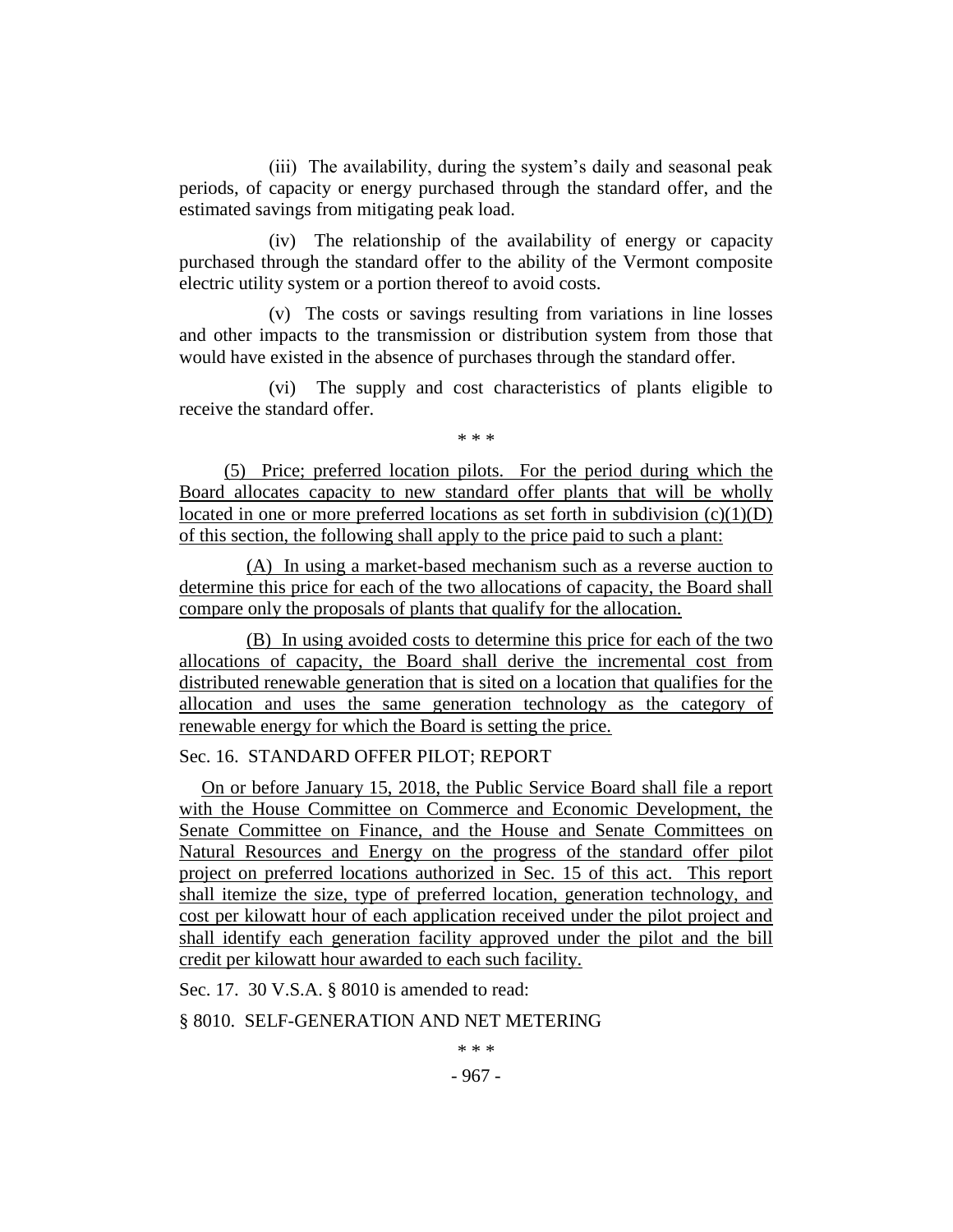(iii) The availability, during the system's daily and seasonal peak periods, of capacity or energy purchased through the standard offer, and the estimated savings from mitigating peak load.

(iv) The relationship of the availability of energy or capacity purchased through the standard offer to the ability of the Vermont composite electric utility system or a portion thereof to avoid costs.

(v) The costs or savings resulting from variations in line losses and other impacts to the transmission or distribution system from those that would have existed in the absence of purchases through the standard offer.

(vi) The supply and cost characteristics of plants eligible to receive the standard offer.

\* \* \*

(5) Price; preferred location pilots. For the period during which the Board allocates capacity to new standard offer plants that will be wholly located in one or more preferred locations as set forth in subdivision  $(c)(1)(D)$ of this section, the following shall apply to the price paid to such a plant:

(A) In using a market-based mechanism such as a reverse auction to determine this price for each of the two allocations of capacity, the Board shall compare only the proposals of plants that qualify for the allocation.

(B) In using avoided costs to determine this price for each of the two allocations of capacity, the Board shall derive the incremental cost from distributed renewable generation that is sited on a location that qualifies for the allocation and uses the same generation technology as the category of renewable energy for which the Board is setting the price.

## Sec. 16. STANDARD OFFER PILOT; REPORT

On or before January 15, 2018, the Public Service Board shall file a report with the House Committee on Commerce and Economic Development, the Senate Committee on Finance, and the House and Senate Committees on Natural Resources and Energy on the progress of the standard offer pilot project on preferred locations authorized in Sec. 15 of this act. This report shall itemize the size, type of preferred location, generation technology, and cost per kilowatt hour of each application received under the pilot project and shall identify each generation facility approved under the pilot and the bill credit per kilowatt hour awarded to each such facility.

Sec. 17. 30 V.S.A. § 8010 is amended to read:

§ 8010. SELF-GENERATION AND NET METERING

\* \* \*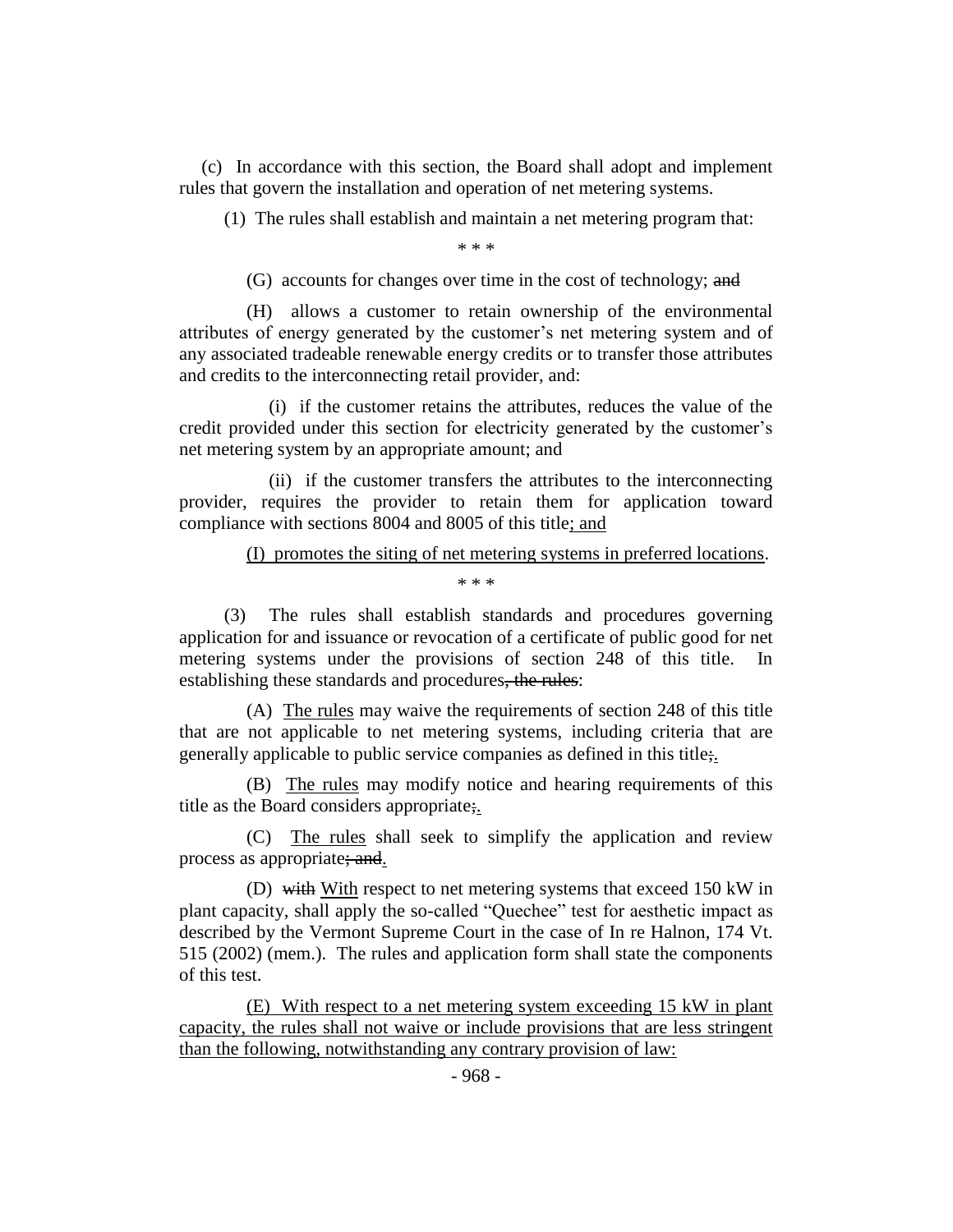(c) In accordance with this section, the Board shall adopt and implement rules that govern the installation and operation of net metering systems.

(1) The rules shall establish and maintain a net metering program that:

\* \* \*

(G) accounts for changes over time in the cost of technology; and

(H) allows a customer to retain ownership of the environmental attributes of energy generated by the customer's net metering system and of any associated tradeable renewable energy credits or to transfer those attributes and credits to the interconnecting retail provider, and:

(i) if the customer retains the attributes, reduces the value of the credit provided under this section for electricity generated by the customer's net metering system by an appropriate amount; and

(ii) if the customer transfers the attributes to the interconnecting provider, requires the provider to retain them for application toward compliance with sections 8004 and 8005 of this title; and

(I) promotes the siting of net metering systems in preferred locations.

\* \* \*

(3) The rules shall establish standards and procedures governing application for and issuance or revocation of a certificate of public good for net metering systems under the provisions of section 248 of this title. In establishing these standards and procedures, the rules:

(A) The rules may waive the requirements of section 248 of this title that are not applicable to net metering systems, including criteria that are generally applicable to public service companies as defined in this title;.

(B) The rules may modify notice and hearing requirements of this title as the Board considers appropriate;.

(C) The rules shall seek to simplify the application and review process as appropriate; and.

(D) with With respect to net metering systems that exceed 150 kW in plant capacity, shall apply the so-called "Quechee" test for aesthetic impact as described by the Vermont Supreme Court in the case of In re Halnon, 174 Vt. 515 (2002) (mem.). The rules and application form shall state the components of this test.

(E) With respect to a net metering system exceeding 15 kW in plant capacity, the rules shall not waive or include provisions that are less stringent than the following, notwithstanding any contrary provision of law: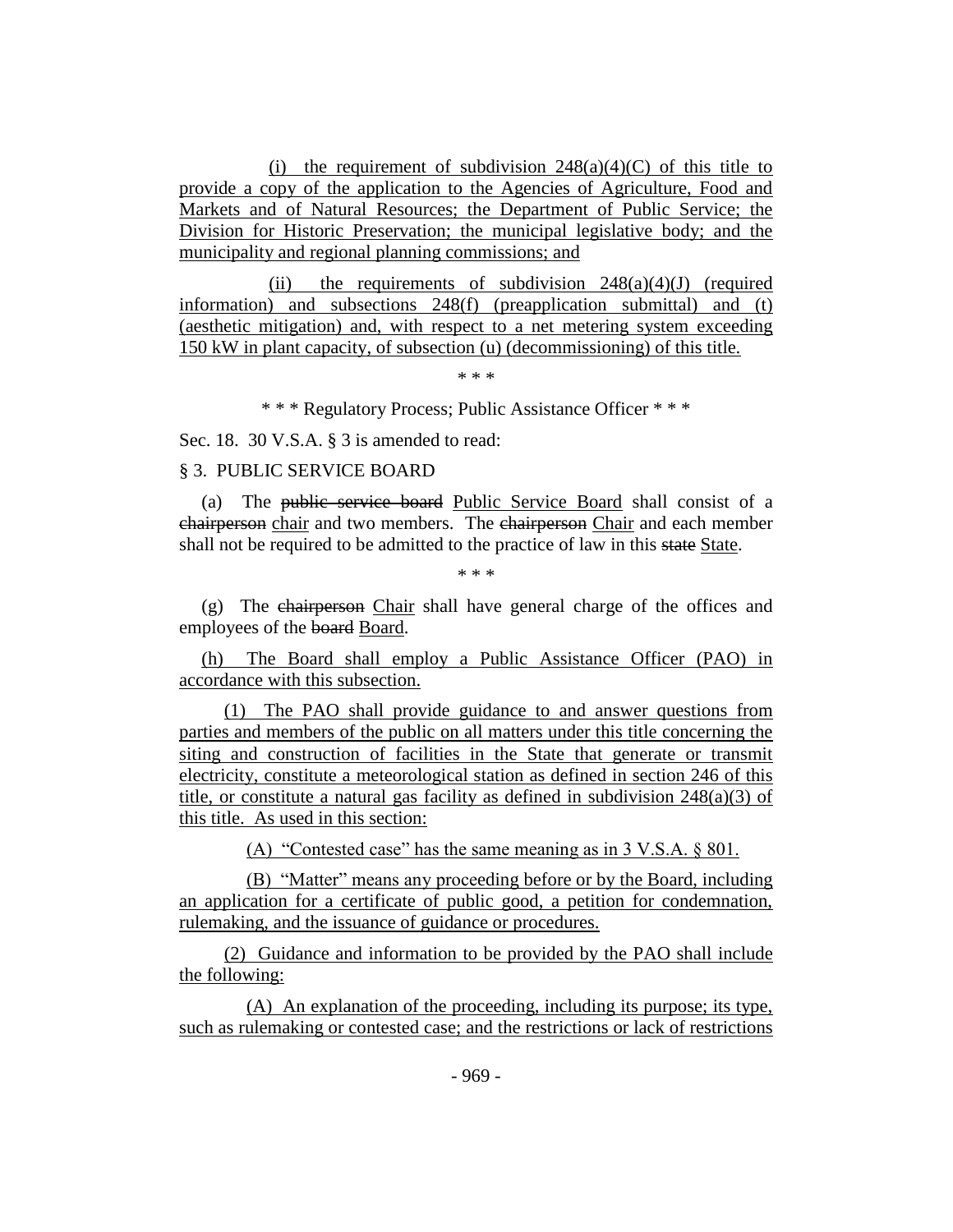(i) the requirement of subdivision  $248(a)(4)(C)$  of this title to provide a copy of the application to the Agencies of Agriculture, Food and Markets and of Natural Resources; the Department of Public Service; the Division for Historic Preservation; the municipal legislative body; and the municipality and regional planning commissions; and

(ii) the requirements of subdivision  $248(a)(4)(J)$  (required information) and subsections 248(f) (preapplication submittal) and (t) (aesthetic mitigation) and, with respect to a net metering system exceeding 150 kW in plant capacity, of subsection (u) (decommissioning) of this title.

\* \* \*

\* \* \* Regulatory Process; Public Assistance Officer \* \* \*

Sec. 18. 30 V.S.A. § 3 is amended to read:

## § 3. PUBLIC SERVICE BOARD

(a) The public service board Public Service Board shall consist of a chairperson chair and two members. The chairperson Chair and each member shall not be required to be admitted to the practice of law in this state State.

\* \* \*

(g) The chairperson Chair shall have general charge of the offices and employees of the board Board.

(h) The Board shall employ a Public Assistance Officer (PAO) in accordance with this subsection.

(1) The PAO shall provide guidance to and answer questions from parties and members of the public on all matters under this title concerning the siting and construction of facilities in the State that generate or transmit electricity, constitute a meteorological station as defined in section 246 of this title, or constitute a natural gas facility as defined in subdivision 248(a)(3) of this title. As used in this section:

(A) "Contested case" has the same meaning as in 3 V.S.A. § 801.

(B) "Matter" means any proceeding before or by the Board, including an application for a certificate of public good, a petition for condemnation, rulemaking, and the issuance of guidance or procedures.

(2) Guidance and information to be provided by the PAO shall include the following:

(A) An explanation of the proceeding, including its purpose; its type, such as rulemaking or contested case; and the restrictions or lack of restrictions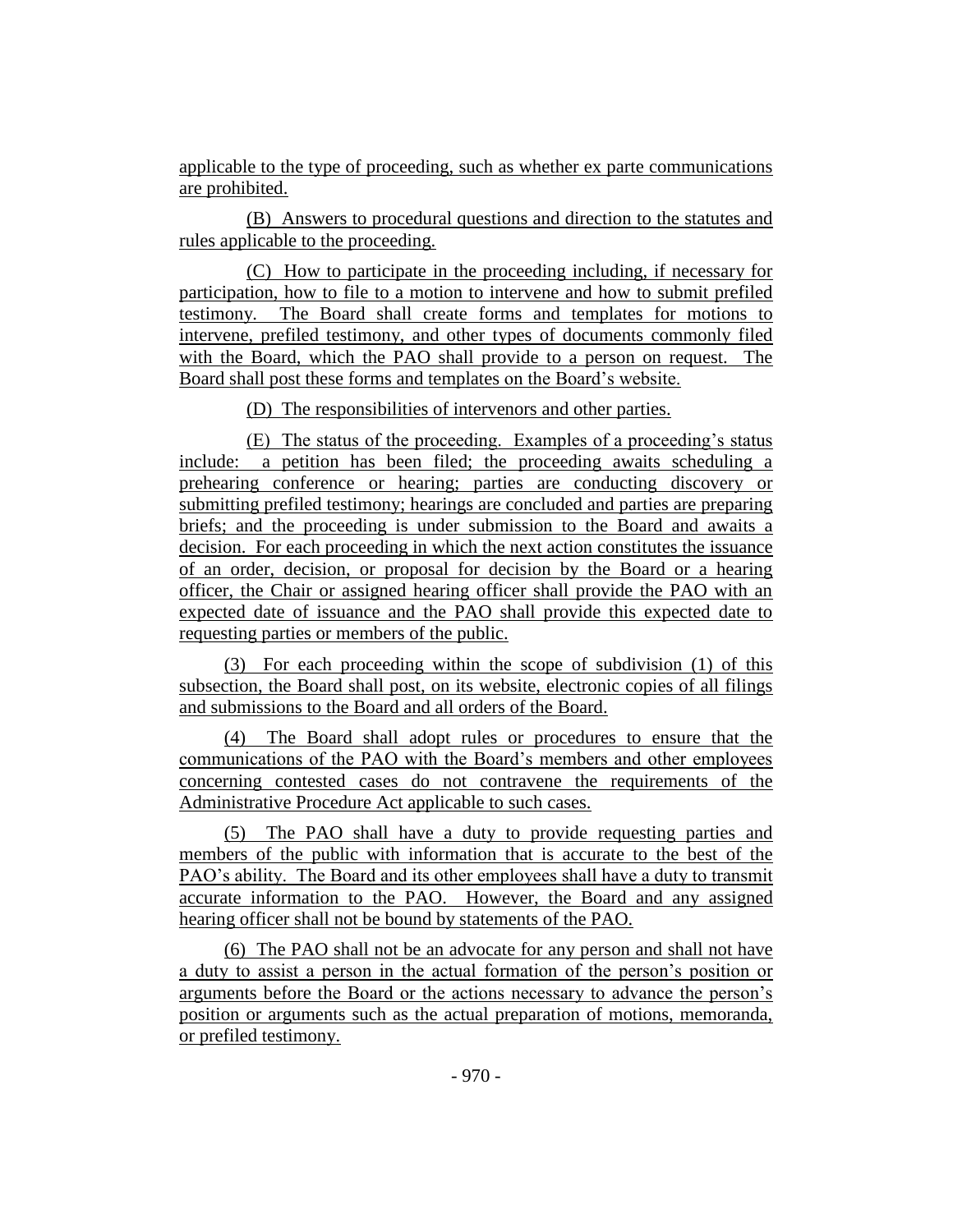applicable to the type of proceeding, such as whether ex parte communications are prohibited.

(B) Answers to procedural questions and direction to the statutes and rules applicable to the proceeding.

(C) How to participate in the proceeding including, if necessary for participation, how to file to a motion to intervene and how to submit prefiled testimony. The Board shall create forms and templates for motions to intervene, prefiled testimony, and other types of documents commonly filed with the Board, which the PAO shall provide to a person on request. The Board shall post these forms and templates on the Board's website.

(D) The responsibilities of intervenors and other parties.

(E) The status of the proceeding. Examples of a proceeding's status include: a petition has been filed; the proceeding awaits scheduling a prehearing conference or hearing; parties are conducting discovery or submitting prefiled testimony; hearings are concluded and parties are preparing briefs; and the proceeding is under submission to the Board and awaits a decision. For each proceeding in which the next action constitutes the issuance of an order, decision, or proposal for decision by the Board or a hearing officer, the Chair or assigned hearing officer shall provide the PAO with an expected date of issuance and the PAO shall provide this expected date to requesting parties or members of the public.

(3) For each proceeding within the scope of subdivision (1) of this subsection, the Board shall post, on its website, electronic copies of all filings and submissions to the Board and all orders of the Board.

(4) The Board shall adopt rules or procedures to ensure that the communications of the PAO with the Board's members and other employees concerning contested cases do not contravene the requirements of the Administrative Procedure Act applicable to such cases.

(5) The PAO shall have a duty to provide requesting parties and members of the public with information that is accurate to the best of the PAO's ability. The Board and its other employees shall have a duty to transmit accurate information to the PAO. However, the Board and any assigned hearing officer shall not be bound by statements of the PAO.

(6) The PAO shall not be an advocate for any person and shall not have a duty to assist a person in the actual formation of the person's position or arguments before the Board or the actions necessary to advance the person's position or arguments such as the actual preparation of motions, memoranda, or prefiled testimony.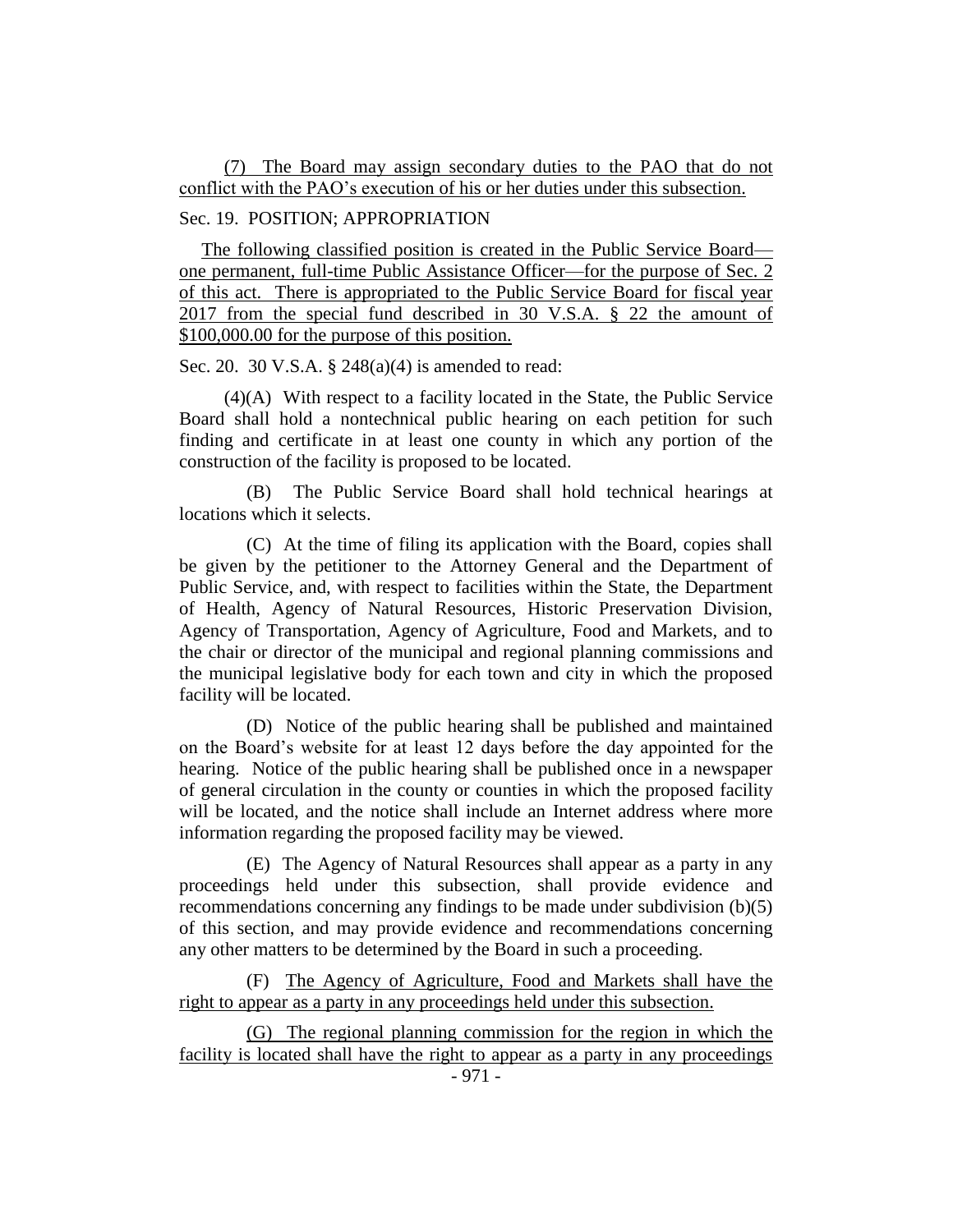## (7) The Board may assign secondary duties to the PAO that do not conflict with the PAO's execution of his or her duties under this subsection.

#### Sec. 19. POSITION; APPROPRIATION

The following classified position is created in the Public Service Board one permanent, full-time Public Assistance Officer—for the purpose of Sec. 2 of this act. There is appropriated to the Public Service Board for fiscal year 2017 from the special fund described in 30 V.S.A. § 22 the amount of \$100,000.00 for the purpose of this position.

Sec. 20. 30 V.S.A. § 248(a)(4) is amended to read:

(4)(A) With respect to a facility located in the State, the Public Service Board shall hold a nontechnical public hearing on each petition for such finding and certificate in at least one county in which any portion of the construction of the facility is proposed to be located.

(B) The Public Service Board shall hold technical hearings at locations which it selects.

(C) At the time of filing its application with the Board, copies shall be given by the petitioner to the Attorney General and the Department of Public Service, and, with respect to facilities within the State, the Department of Health, Agency of Natural Resources, Historic Preservation Division, Agency of Transportation, Agency of Agriculture, Food and Markets, and to the chair or director of the municipal and regional planning commissions and the municipal legislative body for each town and city in which the proposed facility will be located.

(D) Notice of the public hearing shall be published and maintained on the Board's website for at least 12 days before the day appointed for the hearing. Notice of the public hearing shall be published once in a newspaper of general circulation in the county or counties in which the proposed facility will be located, and the notice shall include an Internet address where more information regarding the proposed facility may be viewed.

(E) The Agency of Natural Resources shall appear as a party in any proceedings held under this subsection, shall provide evidence and recommendations concerning any findings to be made under subdivision (b)(5) of this section, and may provide evidence and recommendations concerning any other matters to be determined by the Board in such a proceeding.

(F) The Agency of Agriculture, Food and Markets shall have the right to appear as a party in any proceedings held under this subsection.

(G) The regional planning commission for the region in which the facility is located shall have the right to appear as a party in any proceedings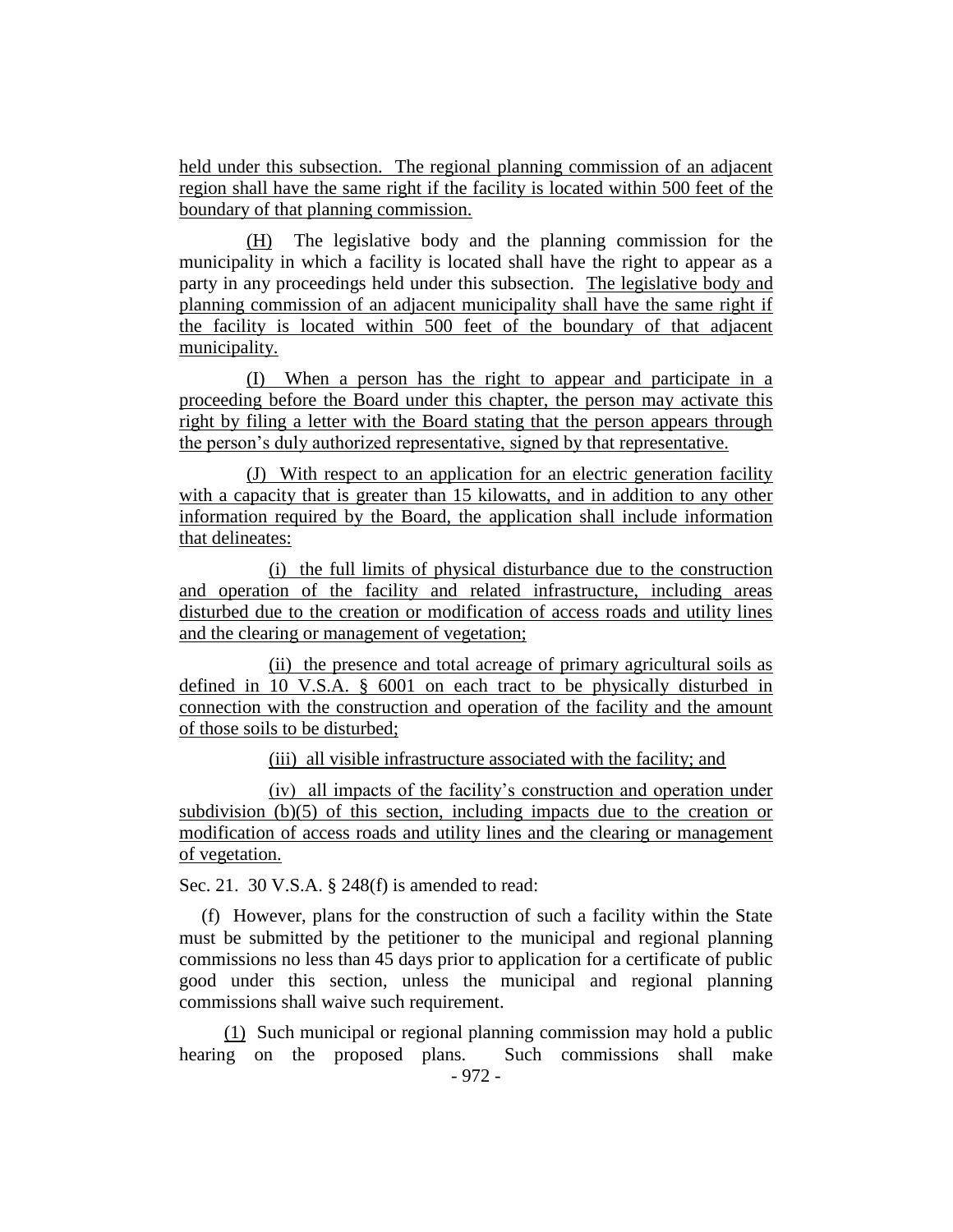held under this subsection. The regional planning commission of an adjacent region shall have the same right if the facility is located within 500 feet of the boundary of that planning commission.

(H) The legislative body and the planning commission for the municipality in which a facility is located shall have the right to appear as a party in any proceedings held under this subsection. The legislative body and planning commission of an adjacent municipality shall have the same right if the facility is located within 500 feet of the boundary of that adjacent municipality.

(I) When a person has the right to appear and participate in a proceeding before the Board under this chapter, the person may activate this right by filing a letter with the Board stating that the person appears through the person's duly authorized representative, signed by that representative.

(J) With respect to an application for an electric generation facility with a capacity that is greater than 15 kilowatts, and in addition to any other information required by the Board, the application shall include information that delineates:

(i) the full limits of physical disturbance due to the construction and operation of the facility and related infrastructure, including areas disturbed due to the creation or modification of access roads and utility lines and the clearing or management of vegetation;

(ii) the presence and total acreage of primary agricultural soils as defined in 10 V.S.A. § 6001 on each tract to be physically disturbed in connection with the construction and operation of the facility and the amount of those soils to be disturbed;

(iii) all visible infrastructure associated with the facility; and

(iv) all impacts of the facility's construction and operation under subdivision (b)(5) of this section, including impacts due to the creation or modification of access roads and utility lines and the clearing or management of vegetation.

Sec. 21. 30 V.S.A. § 248(f) is amended to read:

(f) However, plans for the construction of such a facility within the State must be submitted by the petitioner to the municipal and regional planning commissions no less than 45 days prior to application for a certificate of public good under this section, unless the municipal and regional planning commissions shall waive such requirement.

(1) Such municipal or regional planning commission may hold a public hearing on the proposed plans. Such commissions shall make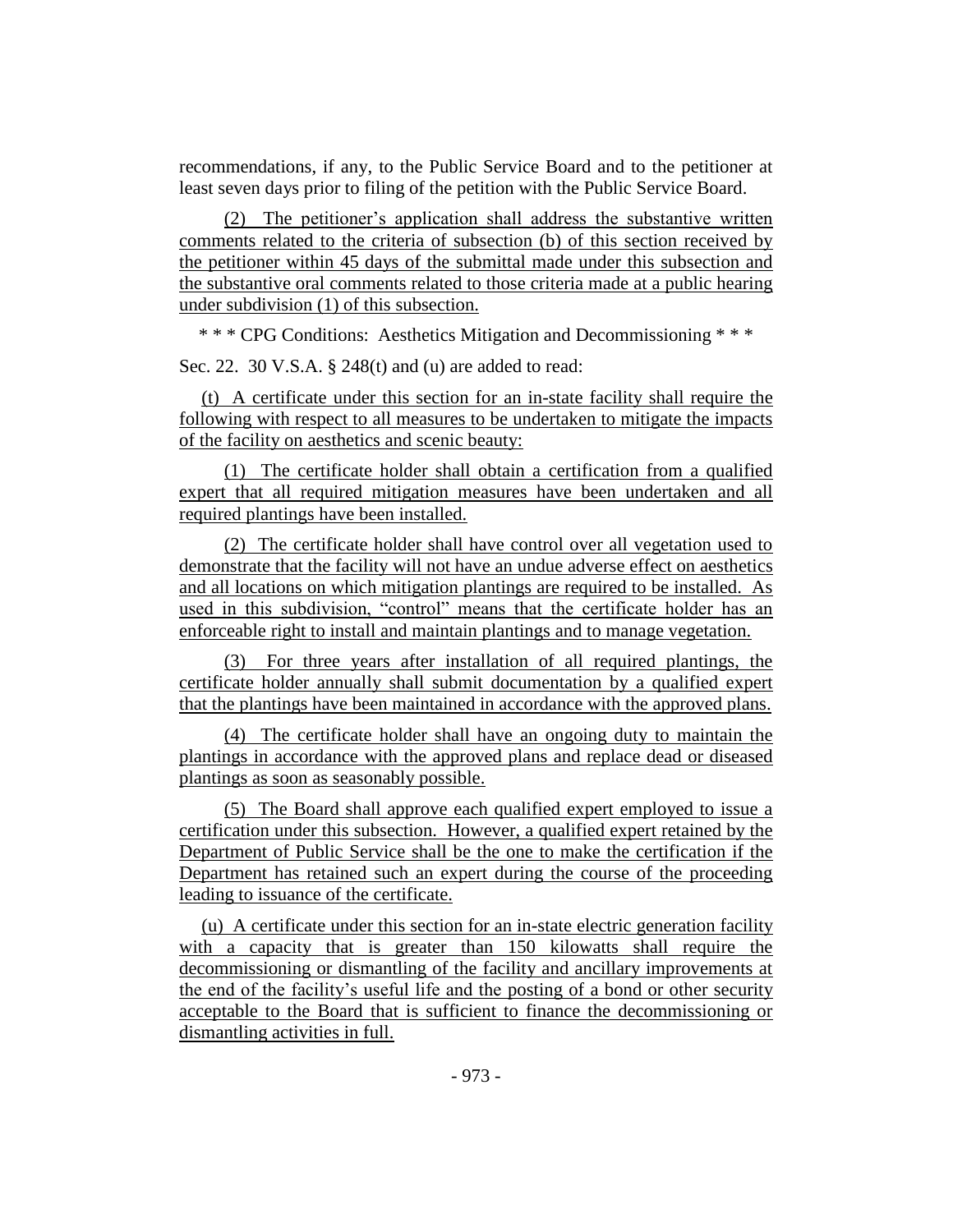recommendations, if any, to the Public Service Board and to the petitioner at least seven days prior to filing of the petition with the Public Service Board.

(2) The petitioner's application shall address the substantive written comments related to the criteria of subsection (b) of this section received by the petitioner within 45 days of the submittal made under this subsection and the substantive oral comments related to those criteria made at a public hearing under subdivision (1) of this subsection.

\* \* \* CPG Conditions: Aesthetics Mitigation and Decommissioning \* \* \*

Sec. 22. 30 V.S.A. § 248(t) and (u) are added to read:

(t) A certificate under this section for an in-state facility shall require the following with respect to all measures to be undertaken to mitigate the impacts of the facility on aesthetics and scenic beauty:

(1) The certificate holder shall obtain a certification from a qualified expert that all required mitigation measures have been undertaken and all required plantings have been installed.

(2) The certificate holder shall have control over all vegetation used to demonstrate that the facility will not have an undue adverse effect on aesthetics and all locations on which mitigation plantings are required to be installed. As used in this subdivision, "control" means that the certificate holder has an enforceable right to install and maintain plantings and to manage vegetation.

(3) For three years after installation of all required plantings, the certificate holder annually shall submit documentation by a qualified expert that the plantings have been maintained in accordance with the approved plans.

(4) The certificate holder shall have an ongoing duty to maintain the plantings in accordance with the approved plans and replace dead or diseased plantings as soon as seasonably possible.

(5) The Board shall approve each qualified expert employed to issue a certification under this subsection. However, a qualified expert retained by the Department of Public Service shall be the one to make the certification if the Department has retained such an expert during the course of the proceeding leading to issuance of the certificate.

(u) A certificate under this section for an in-state electric generation facility with a capacity that is greater than 150 kilowatts shall require the decommissioning or dismantling of the facility and ancillary improvements at the end of the facility's useful life and the posting of a bond or other security acceptable to the Board that is sufficient to finance the decommissioning or dismantling activities in full.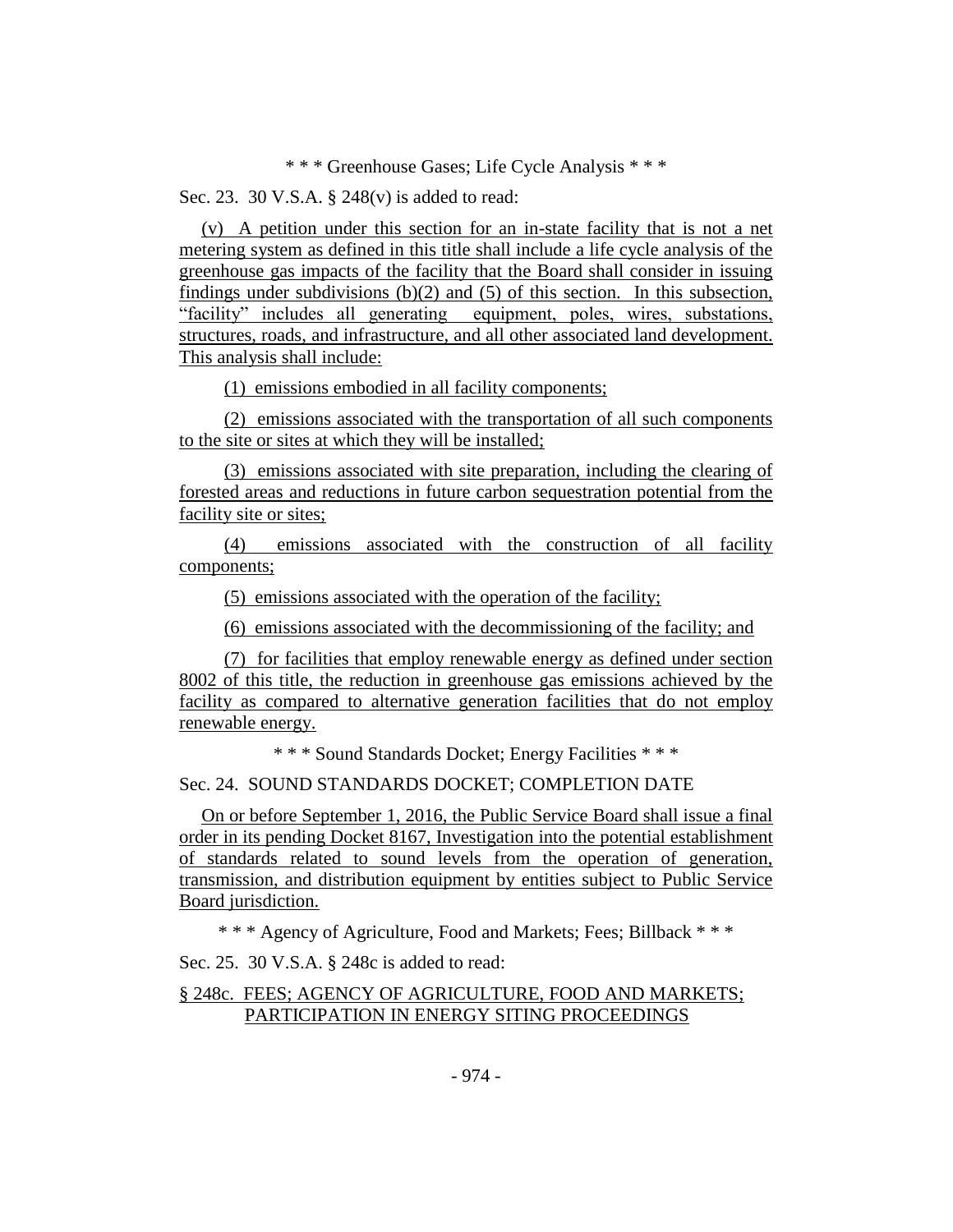## \* \* \* Greenhouse Gases; Life Cycle Analysis \* \* \*

Sec. 23. 30 V.S.A. § 248(v) is added to read:

(v) A petition under this section for an in-state facility that is not a net metering system as defined in this title shall include a life cycle analysis of the greenhouse gas impacts of the facility that the Board shall consider in issuing findings under subdivisions  $(b)(2)$  and  $(5)$  of this section. In this subsection, "facility" includes all generating equipment, poles, wires, substations, structures, roads, and infrastructure, and all other associated land development. This analysis shall include:

(1) emissions embodied in all facility components;

(2) emissions associated with the transportation of all such components to the site or sites at which they will be installed;

(3) emissions associated with site preparation, including the clearing of forested areas and reductions in future carbon sequestration potential from the facility site or sites;

(4) emissions associated with the construction of all facility components;

(5) emissions associated with the operation of the facility;

(6) emissions associated with the decommissioning of the facility; and

(7) for facilities that employ renewable energy as defined under section 8002 of this title, the reduction in greenhouse gas emissions achieved by the facility as compared to alternative generation facilities that do not employ renewable energy.

\* \* \* Sound Standards Docket; Energy Facilities \* \* \*

#### Sec. 24. SOUND STANDARDS DOCKET; COMPLETION DATE

On or before September 1, 2016, the Public Service Board shall issue a final order in its pending Docket 8167, Investigation into the potential establishment of standards related to sound levels from the operation of generation, transmission, and distribution equipment by entities subject to Public Service Board jurisdiction.

\* \* \* Agency of Agriculture, Food and Markets; Fees; Billback \* \* \*

Sec. 25. 30 V.S.A. § 248c is added to read:

## § 248c. FEES; AGENCY OF AGRICULTURE, FOOD AND MARKETS; PARTICIPATION IN ENERGY SITING PROCEEDINGS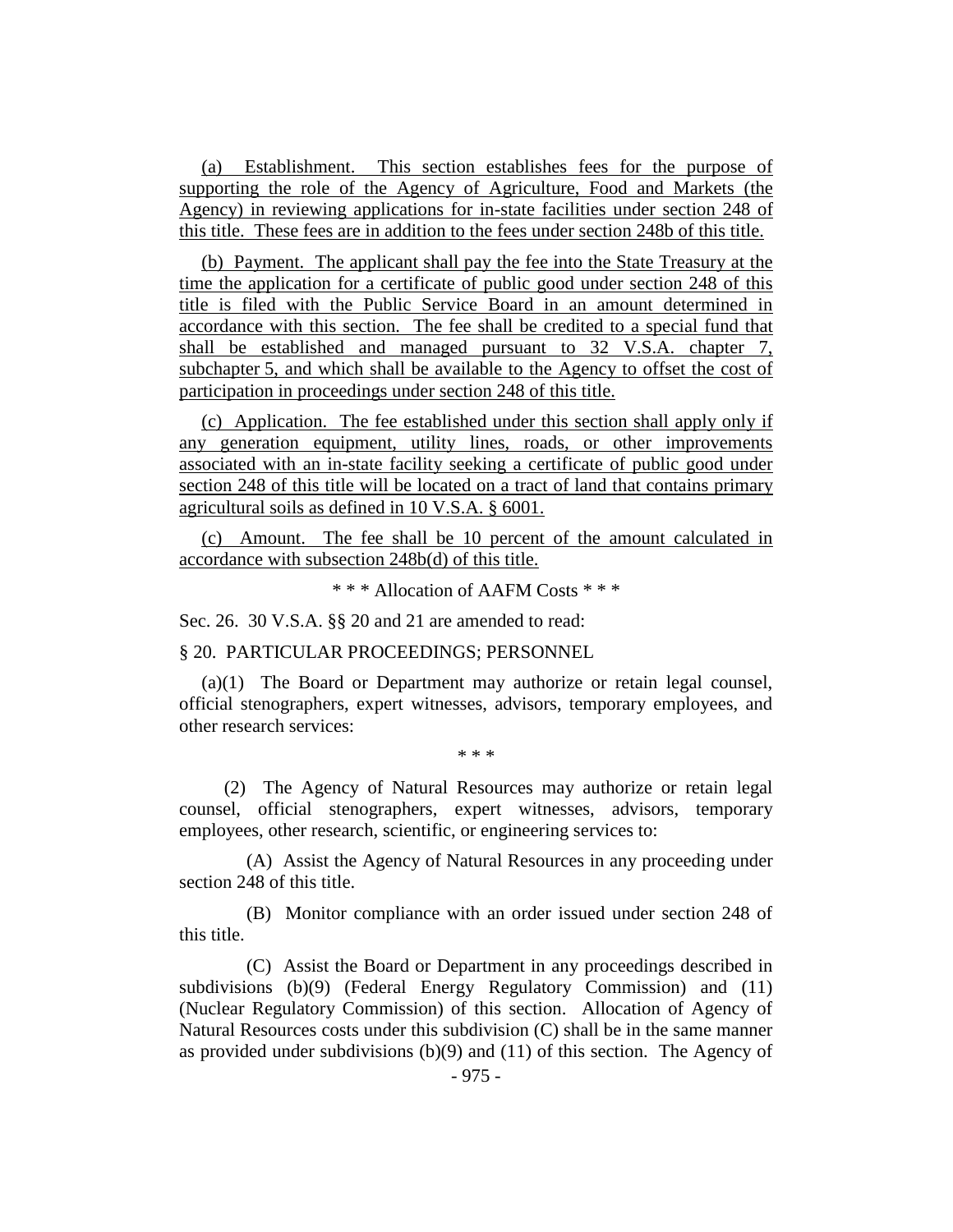(a) Establishment. This section establishes fees for the purpose of supporting the role of the Agency of Agriculture, Food and Markets (the Agency) in reviewing applications for in-state facilities under section 248 of this title. These fees are in addition to the fees under section 248b of this title.

(b) Payment. The applicant shall pay the fee into the State Treasury at the time the application for a certificate of public good under section 248 of this title is filed with the Public Service Board in an amount determined in accordance with this section. The fee shall be credited to a special fund that shall be established and managed pursuant to 32 V.S.A. chapter 7, subchapter 5, and which shall be available to the Agency to offset the cost of participation in proceedings under section 248 of this title.

(c) Application. The fee established under this section shall apply only if any generation equipment, utility lines, roads, or other improvements associated with an in-state facility seeking a certificate of public good under section 248 of this title will be located on a tract of land that contains primary agricultural soils as defined in 10 V.S.A. § 6001.

(c) Amount. The fee shall be 10 percent of the amount calculated in accordance with subsection 248b(d) of this title.

\* \* \* Allocation of AAFM Costs \* \* \*

Sec. 26. 30 V.S.A. §§ 20 and 21 are amended to read:

§ 20. PARTICULAR PROCEEDINGS; PERSONNEL

(a)(1) The Board or Department may authorize or retain legal counsel, official stenographers, expert witnesses, advisors, temporary employees, and other research services:

\* \* \*

(2) The Agency of Natural Resources may authorize or retain legal counsel, official stenographers, expert witnesses, advisors, temporary employees, other research, scientific, or engineering services to:

(A) Assist the Agency of Natural Resources in any proceeding under section 248 of this title.

(B) Monitor compliance with an order issued under section 248 of this title.

(C) Assist the Board or Department in any proceedings described in subdivisions (b)(9) (Federal Energy Regulatory Commission) and (11) (Nuclear Regulatory Commission) of this section. Allocation of Agency of Natural Resources costs under this subdivision (C) shall be in the same manner as provided under subdivisions (b)(9) and (11) of this section. The Agency of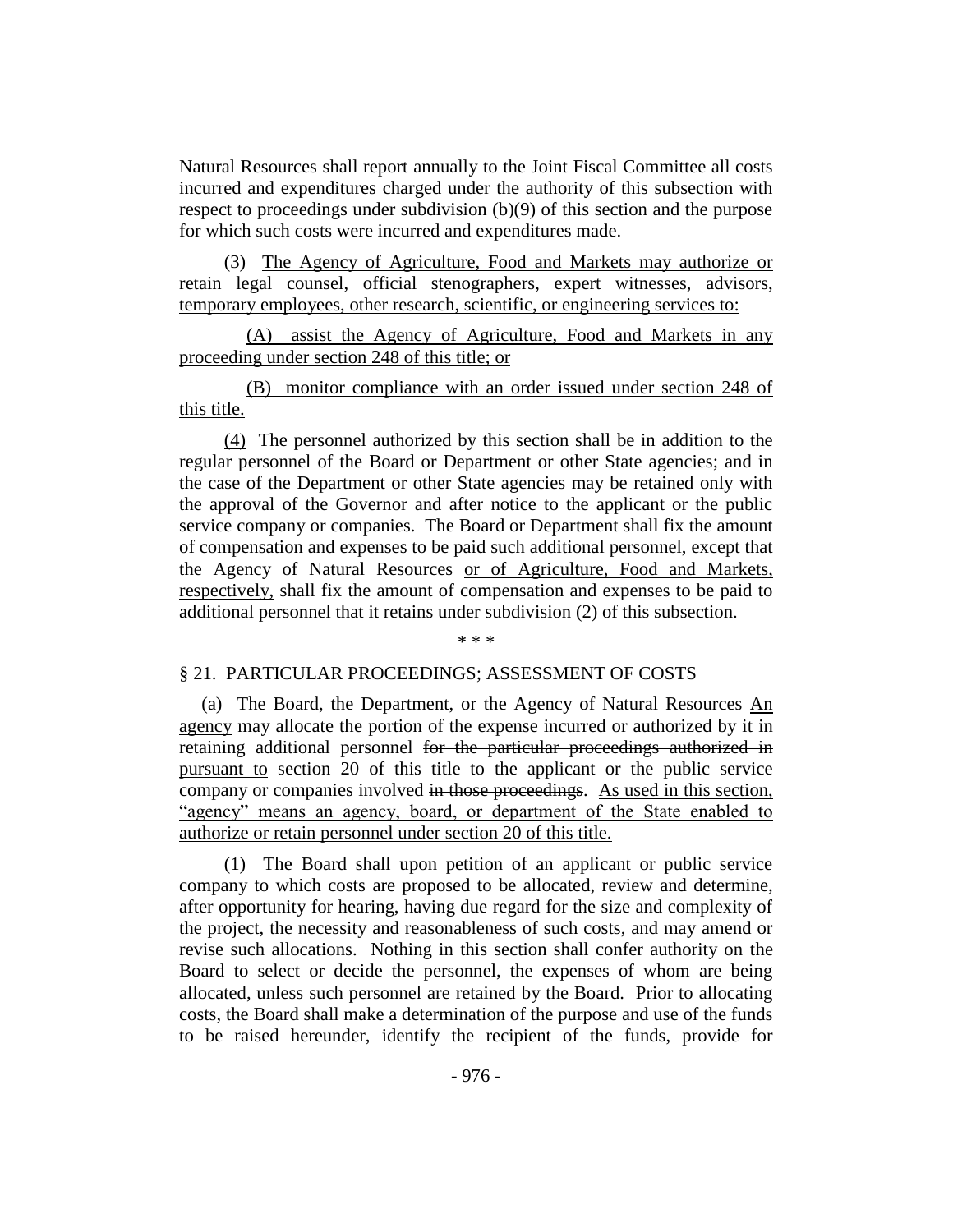Natural Resources shall report annually to the Joint Fiscal Committee all costs incurred and expenditures charged under the authority of this subsection with respect to proceedings under subdivision (b)(9) of this section and the purpose for which such costs were incurred and expenditures made.

(3) The Agency of Agriculture, Food and Markets may authorize or retain legal counsel, official stenographers, expert witnesses, advisors, temporary employees, other research, scientific, or engineering services to:

(A) assist the Agency of Agriculture, Food and Markets in any proceeding under section 248 of this title; or

(B) monitor compliance with an order issued under section 248 of this title.

(4) The personnel authorized by this section shall be in addition to the regular personnel of the Board or Department or other State agencies; and in the case of the Department or other State agencies may be retained only with the approval of the Governor and after notice to the applicant or the public service company or companies. The Board or Department shall fix the amount of compensation and expenses to be paid such additional personnel, except that the Agency of Natural Resources or of Agriculture, Food and Markets, respectively, shall fix the amount of compensation and expenses to be paid to additional personnel that it retains under subdivision (2) of this subsection.

\* \* \*

#### § 21. PARTICULAR PROCEEDINGS; ASSESSMENT OF COSTS

(a) The Board, the Department, or the Agency of Natural Resources An agency may allocate the portion of the expense incurred or authorized by it in retaining additional personnel for the particular proceedings authorized in pursuant to section 20 of this title to the applicant or the public service company or companies involved in those proceedings. As used in this section, "agency" means an agency, board, or department of the State enabled to authorize or retain personnel under section 20 of this title.

(1) The Board shall upon petition of an applicant or public service company to which costs are proposed to be allocated, review and determine, after opportunity for hearing, having due regard for the size and complexity of the project, the necessity and reasonableness of such costs, and may amend or revise such allocations. Nothing in this section shall confer authority on the Board to select or decide the personnel, the expenses of whom are being allocated, unless such personnel are retained by the Board. Prior to allocating costs, the Board shall make a determination of the purpose and use of the funds to be raised hereunder, identify the recipient of the funds, provide for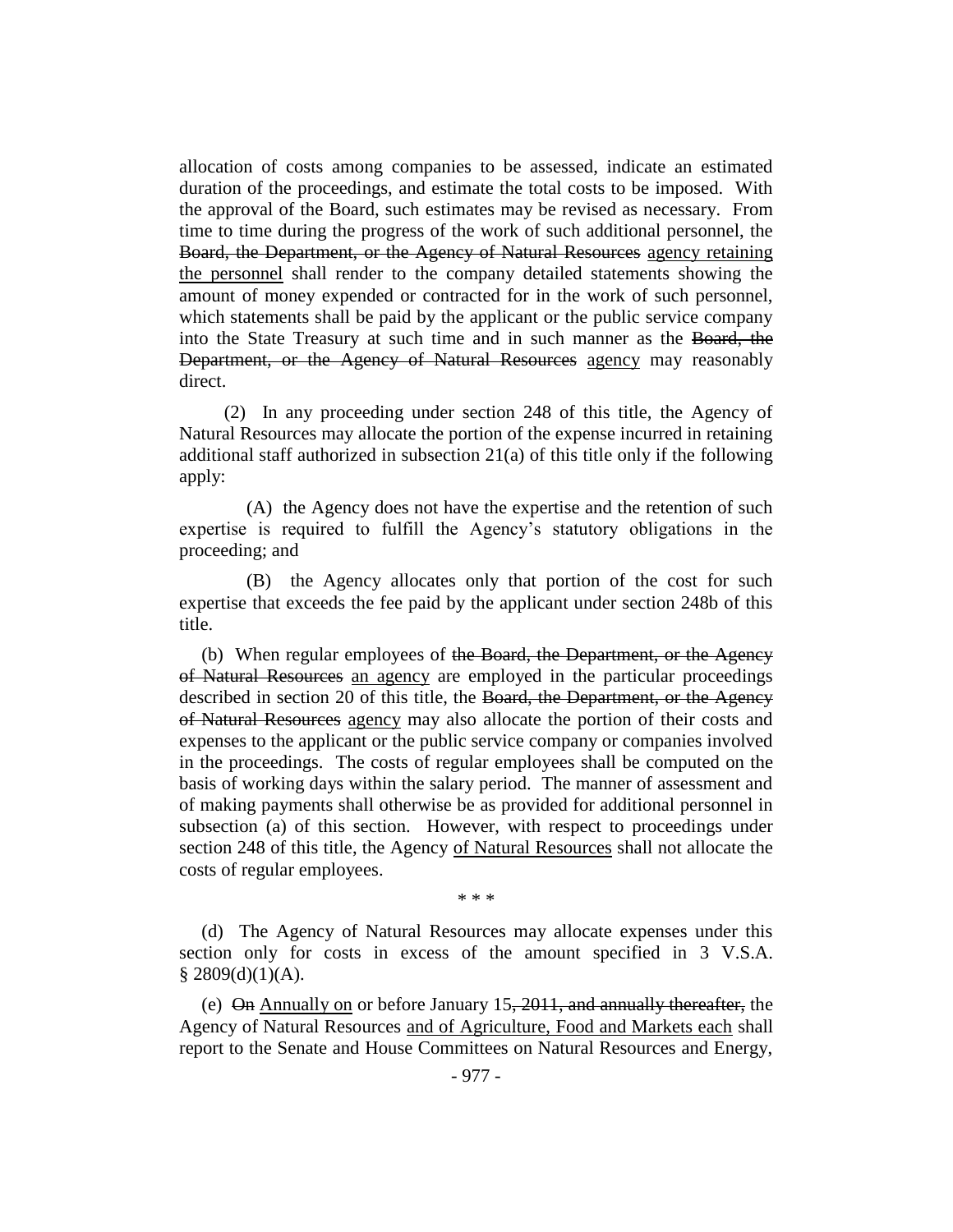allocation of costs among companies to be assessed, indicate an estimated duration of the proceedings, and estimate the total costs to be imposed. With the approval of the Board, such estimates may be revised as necessary. From time to time during the progress of the work of such additional personnel, the Board, the Department, or the Agency of Natural Resources agency retaining the personnel shall render to the company detailed statements showing the amount of money expended or contracted for in the work of such personnel, which statements shall be paid by the applicant or the public service company into the State Treasury at such time and in such manner as the Board, the Department, or the Agency of Natural Resources agency may reasonably direct.

(2) In any proceeding under section 248 of this title, the Agency of Natural Resources may allocate the portion of the expense incurred in retaining additional staff authorized in subsection  $21(a)$  of this title only if the following apply:

(A) the Agency does not have the expertise and the retention of such expertise is required to fulfill the Agency's statutory obligations in the proceeding; and

(B) the Agency allocates only that portion of the cost for such expertise that exceeds the fee paid by the applicant under section 248b of this title.

(b) When regular employees of the Board, the Department, or the Agency of Natural Resources an agency are employed in the particular proceedings described in section 20 of this title, the Board, the Department, or the Agency of Natural Resources agency may also allocate the portion of their costs and expenses to the applicant or the public service company or companies involved in the proceedings. The costs of regular employees shall be computed on the basis of working days within the salary period. The manner of assessment and of making payments shall otherwise be as provided for additional personnel in subsection (a) of this section. However, with respect to proceedings under section 248 of this title, the Agency of Natural Resources shall not allocate the costs of regular employees.

\* \* \*

(d) The Agency of Natural Resources may allocate expenses under this section only for costs in excess of the amount specified in 3 V.S.A.  $§$  2809(d)(1)(A).

(e) On Annually on or before January 15, 2011, and annually thereafter, the Agency of Natural Resources and of Agriculture, Food and Markets each shall report to the Senate and House Committees on Natural Resources and Energy,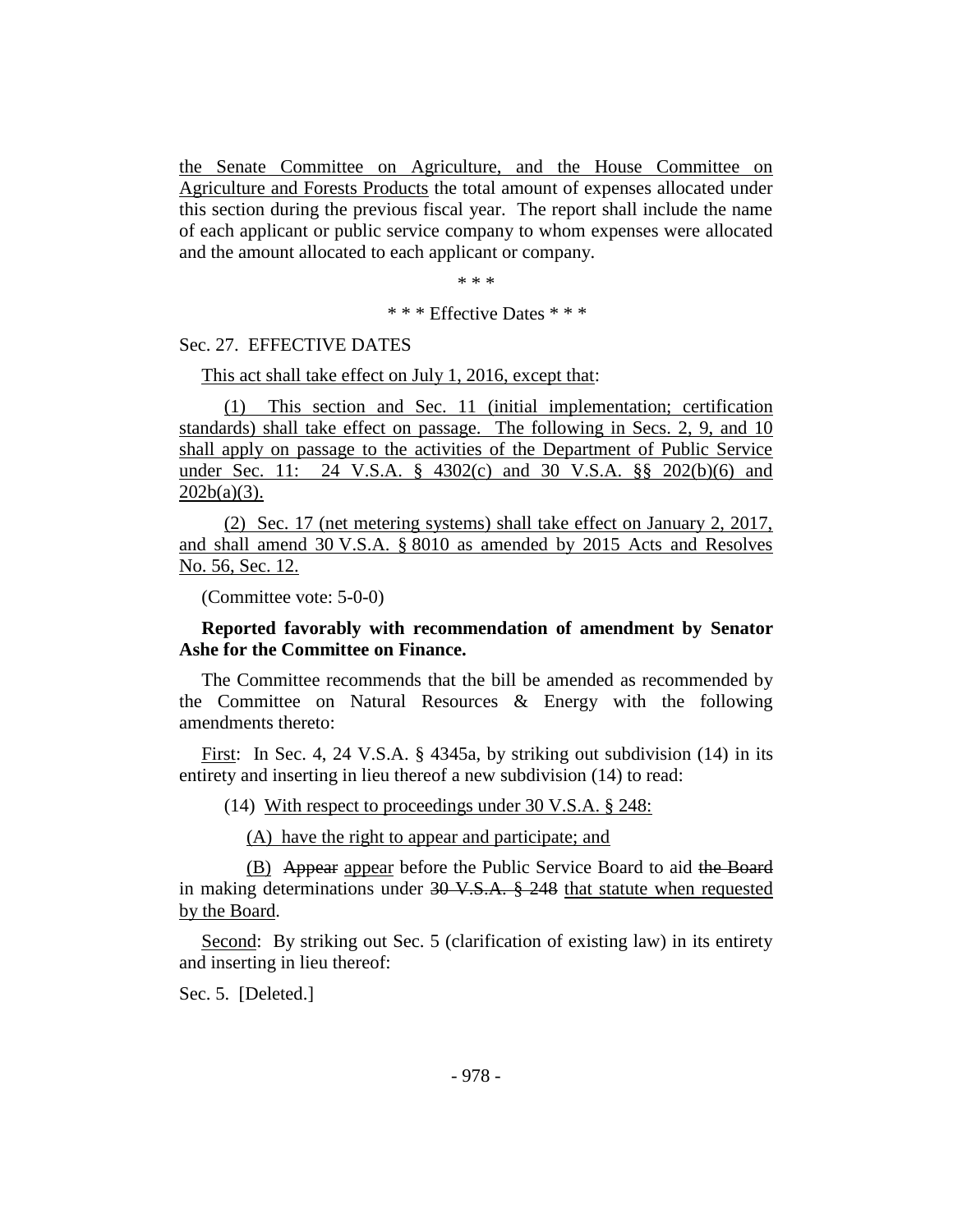the Senate Committee on Agriculture, and the House Committee on Agriculture and Forests Products the total amount of expenses allocated under this section during the previous fiscal year. The report shall include the name of each applicant or public service company to whom expenses were allocated and the amount allocated to each applicant or company.

\* \* \*

#### \* \* \* Effective Dates \* \* \*

Sec. 27. EFFECTIVE DATES

This act shall take effect on July 1, 2016, except that:

(1) This section and Sec. 11 (initial implementation; certification standards) shall take effect on passage. The following in Secs. 2, 9, and 10 shall apply on passage to the activities of the Department of Public Service under Sec. 11: 24 V.S.A. § 4302(c) and 30 V.S.A. §§ 202(b)(6) and  $202b(a)(3)$ .

(2) Sec. 17 (net metering systems) shall take effect on January 2, 2017, and shall amend 30 V.S.A. § 8010 as amended by 2015 Acts and Resolves No. 56, Sec. 12.

(Committee vote: 5-0-0)

## **Reported favorably with recommendation of amendment by Senator Ashe for the Committee on Finance.**

The Committee recommends that the bill be amended as recommended by the Committee on Natural Resources & Energy with the following amendments thereto:

First: In Sec. 4, 24 V.S.A. § 4345a, by striking out subdivision (14) in its entirety and inserting in lieu thereof a new subdivision (14) to read:

(14) With respect to proceedings under 30 V.S.A. § 248:

(A) have the right to appear and participate; and

(B) Appear appear before the Public Service Board to aid the Board in making determinations under  $30 \text{ V.S.A.}$   $\frac{8}{9}$   $248$  that statute when requested by the Board.

Second: By striking out Sec. 5 (clarification of existing law) in its entirety and inserting in lieu thereof:

Sec. 5. [Deleted.]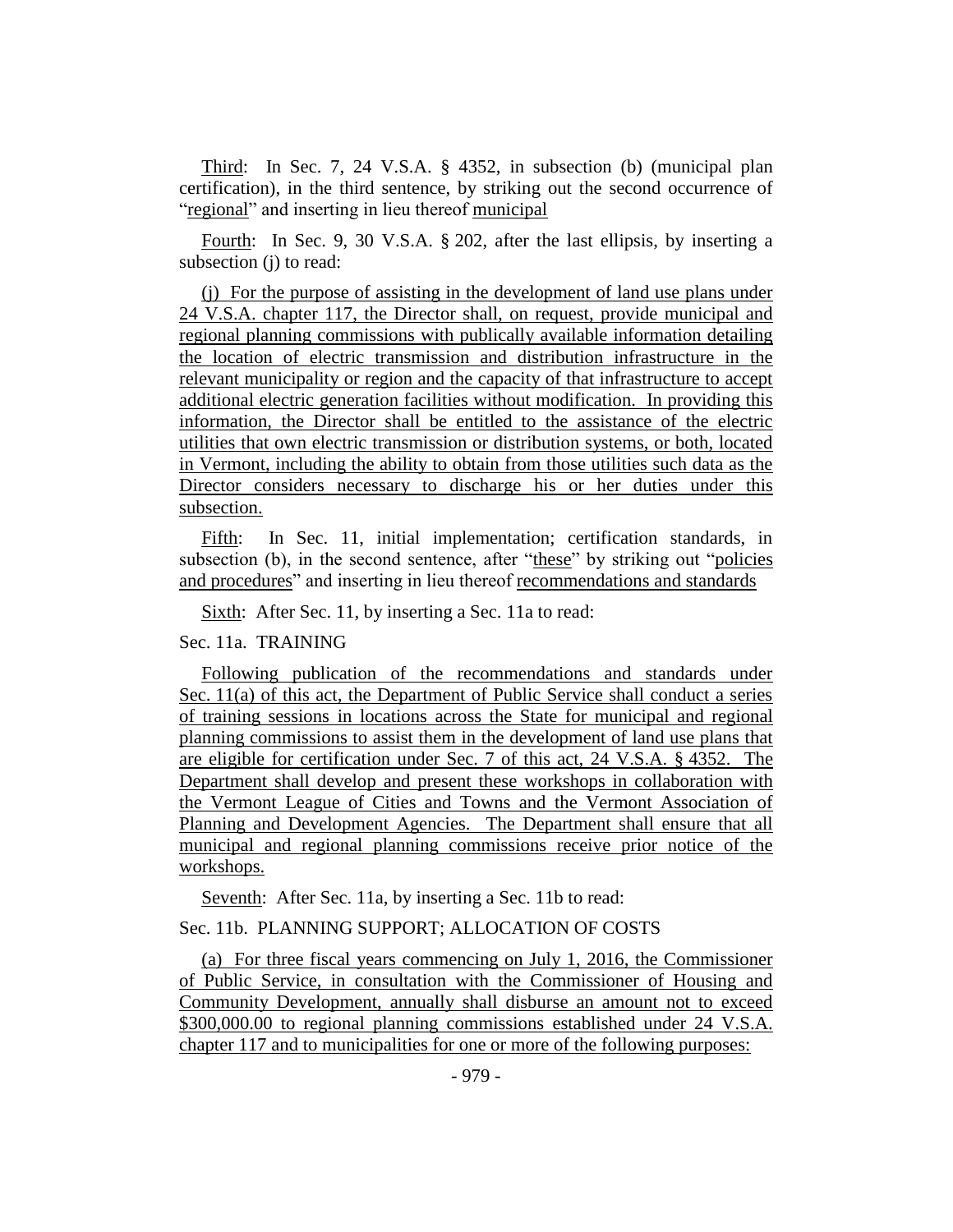Third: In Sec. 7, 24 V.S.A. § 4352, in subsection (b) (municipal plan certification), in the third sentence, by striking out the second occurrence of "regional" and inserting in lieu thereof municipal

Fourth: In Sec. 9, 30 V.S.A. § 202, after the last ellipsis, by inserting a subsection (j) to read:

(j) For the purpose of assisting in the development of land use plans under 24 V.S.A. chapter 117, the Director shall, on request, provide municipal and regional planning commissions with publically available information detailing the location of electric transmission and distribution infrastructure in the relevant municipality or region and the capacity of that infrastructure to accept additional electric generation facilities without modification. In providing this information, the Director shall be entitled to the assistance of the electric utilities that own electric transmission or distribution systems, or both, located in Vermont, including the ability to obtain from those utilities such data as the Director considers necessary to discharge his or her duties under this subsection.

Fifth: In Sec. 11, initial implementation; certification standards, in subsection (b), in the second sentence, after "these" by striking out "policies and procedures" and inserting in lieu thereof recommendations and standards

Sixth: After Sec. 11, by inserting a Sec. 11a to read:

#### Sec. 11a. TRAINING

Following publication of the recommendations and standards under Sec. 11(a) of this act, the Department of Public Service shall conduct a series of training sessions in locations across the State for municipal and regional planning commissions to assist them in the development of land use plans that are eligible for certification under Sec. 7 of this act, 24 V.S.A. § 4352. The Department shall develop and present these workshops in collaboration with the Vermont League of Cities and Towns and the Vermont Association of Planning and Development Agencies. The Department shall ensure that all municipal and regional planning commissions receive prior notice of the workshops.

Seventh: After Sec. 11a, by inserting a Sec. 11b to read:

## Sec. 11b. PLANNING SUPPORT; ALLOCATION OF COSTS

(a) For three fiscal years commencing on July 1, 2016, the Commissioner of Public Service, in consultation with the Commissioner of Housing and Community Development, annually shall disburse an amount not to exceed \$300,000.00 to regional planning commissions established under 24 V.S.A. chapter 117 and to municipalities for one or more of the following purposes: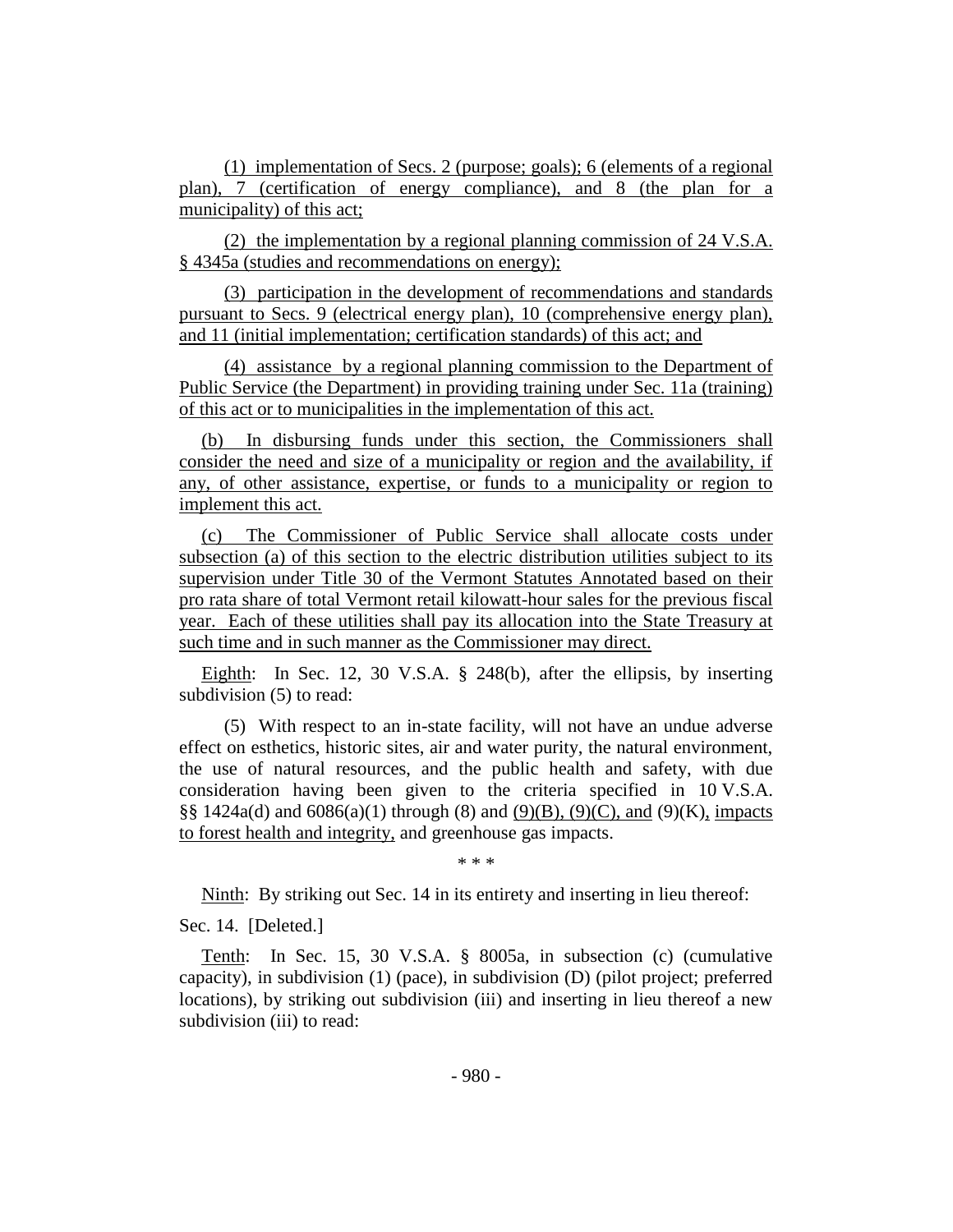(1) implementation of Secs. 2 (purpose; goals); 6 (elements of a regional plan), 7 (certification of energy compliance), and 8 (the plan for a municipality) of this act;

(2) the implementation by a regional planning commission of 24 V.S.A. § 4345a (studies and recommendations on energy);

(3) participation in the development of recommendations and standards pursuant to Secs. 9 (electrical energy plan), 10 (comprehensive energy plan), and 11 (initial implementation; certification standards) of this act; and

(4) assistance by a regional planning commission to the Department of Public Service (the Department) in providing training under Sec. 11a (training) of this act or to municipalities in the implementation of this act.

(b) In disbursing funds under this section, the Commissioners shall consider the need and size of a municipality or region and the availability, if any, of other assistance, expertise, or funds to a municipality or region to implement this act.

(c) The Commissioner of Public Service shall allocate costs under subsection (a) of this section to the electric distribution utilities subject to its supervision under Title 30 of the Vermont Statutes Annotated based on their pro rata share of total Vermont retail kilowatt-hour sales for the previous fiscal year. Each of these utilities shall pay its allocation into the State Treasury at such time and in such manner as the Commissioner may direct.

Eighth: In Sec. 12, 30 V.S.A. § 248(b), after the ellipsis, by inserting subdivision (5) to read:

(5) With respect to an in-state facility, will not have an undue adverse effect on esthetics, historic sites, air and water purity, the natural environment, the use of natural resources, and the public health and safety, with due consideration having been given to the criteria specified in 10 V.S.A. §§ 1424a(d) and  $6086(a)(1)$  through (8) and  $(9)(B)$ ,  $(9)(C)$ , and  $(9)(K)$ , impacts to forest health and integrity, and greenhouse gas impacts.

\* \* \*

Ninth: By striking out Sec. 14 in its entirety and inserting in lieu thereof:

Sec. 14. [Deleted.]

Tenth: In Sec. 15, 30 V.S.A. § 8005a, in subsection (c) (cumulative capacity), in subdivision (1) (pace), in subdivision (D) (pilot project; preferred locations), by striking out subdivision (iii) and inserting in lieu thereof a new subdivision (iii) to read: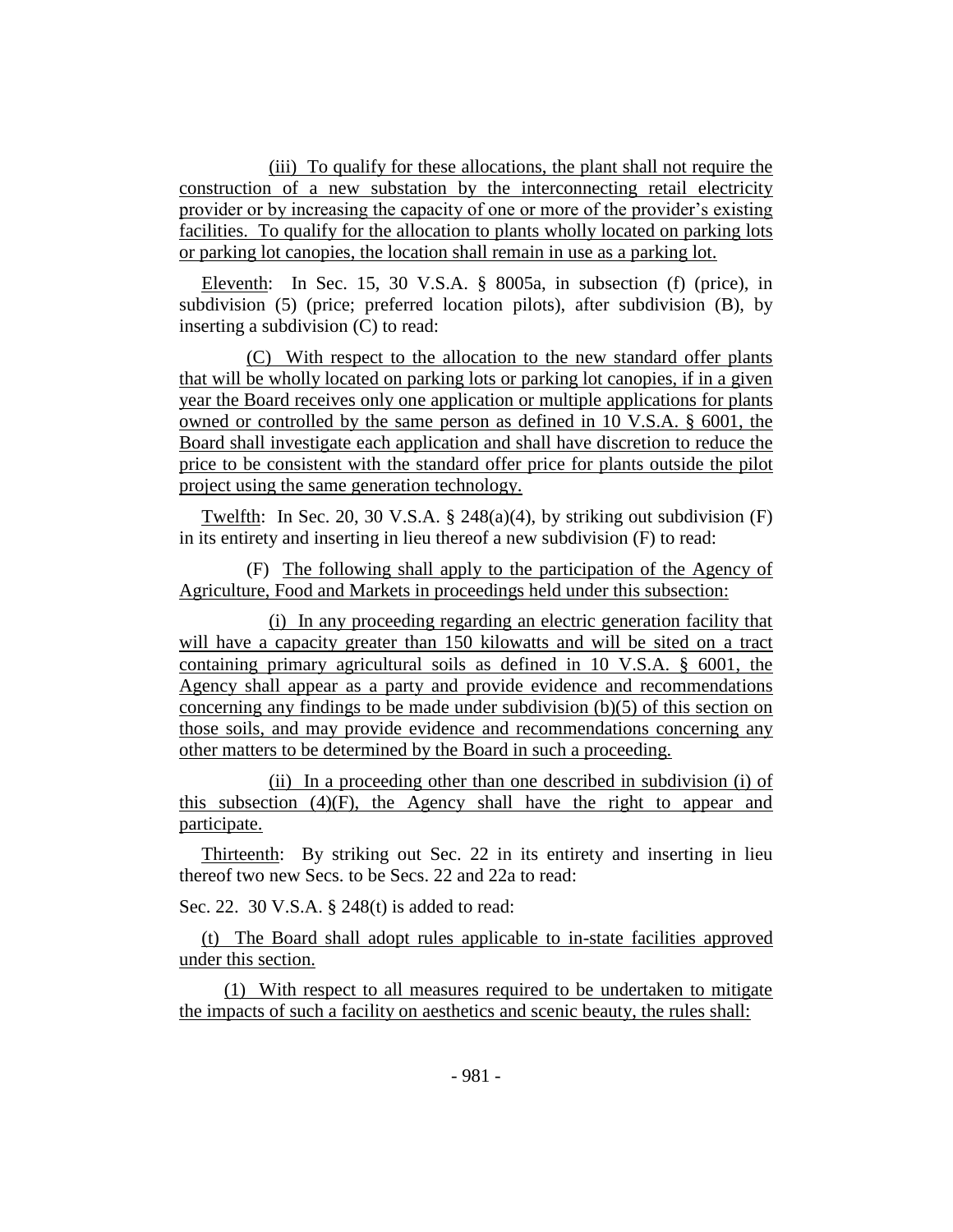(iii) To qualify for these allocations, the plant shall not require the construction of a new substation by the interconnecting retail electricity provider or by increasing the capacity of one or more of the provider's existing facilities. To qualify for the allocation to plants wholly located on parking lots or parking lot canopies, the location shall remain in use as a parking lot.

Eleventh: In Sec. 15, 30 V.S.A. § 8005a, in subsection (f) (price), in subdivision (5) (price; preferred location pilots), after subdivision (B), by inserting a subdivision (C) to read:

(C) With respect to the allocation to the new standard offer plants that will be wholly located on parking lots or parking lot canopies, if in a given year the Board receives only one application or multiple applications for plants owned or controlled by the same person as defined in 10 V.S.A. § 6001, the Board shall investigate each application and shall have discretion to reduce the price to be consistent with the standard offer price for plants outside the pilot project using the same generation technology.

Twelfth: In Sec. 20, 30 V.S.A.  $\S$  248(a)(4), by striking out subdivision (F) in its entirety and inserting in lieu thereof a new subdivision (F) to read:

(F) The following shall apply to the participation of the Agency of Agriculture, Food and Markets in proceedings held under this subsection:

(i) In any proceeding regarding an electric generation facility that will have a capacity greater than 150 kilowatts and will be sited on a tract containing primary agricultural soils as defined in 10 V.S.A. § 6001, the Agency shall appear as a party and provide evidence and recommendations concerning any findings to be made under subdivision (b)(5) of this section on those soils, and may provide evidence and recommendations concerning any other matters to be determined by the Board in such a proceeding.

(ii) In a proceeding other than one described in subdivision (i) of this subsection  $(4)(F)$ , the Agency shall have the right to appear and participate.

Thirteenth: By striking out Sec. 22 in its entirety and inserting in lieu thereof two new Secs. to be Secs. 22 and 22a to read:

Sec. 22. 30 V.S.A. § 248(t) is added to read:

(t) The Board shall adopt rules applicable to in-state facilities approved under this section.

(1) With respect to all measures required to be undertaken to mitigate the impacts of such a facility on aesthetics and scenic beauty, the rules shall: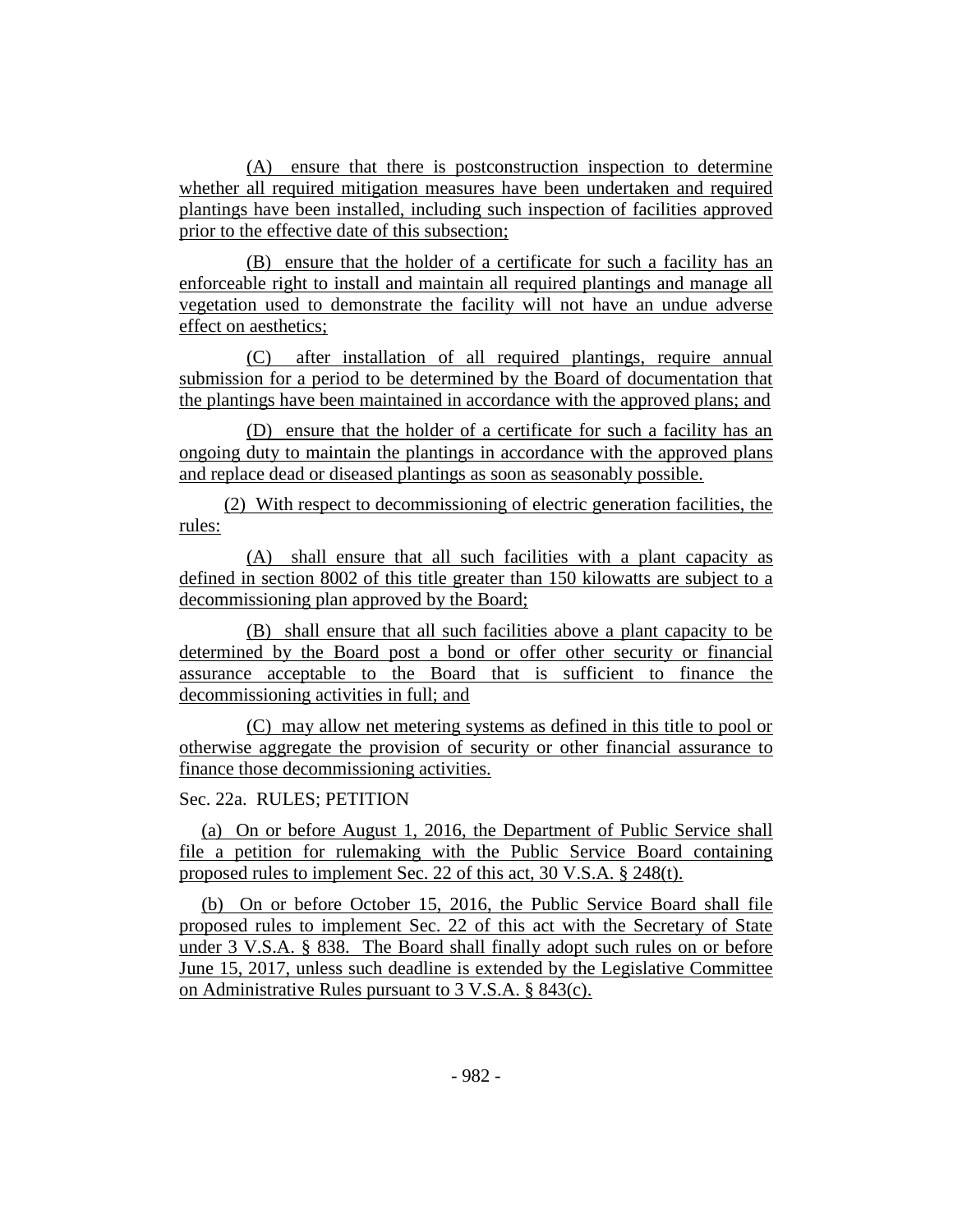(A) ensure that there is postconstruction inspection to determine whether all required mitigation measures have been undertaken and required plantings have been installed, including such inspection of facilities approved prior to the effective date of this subsection;

(B) ensure that the holder of a certificate for such a facility has an enforceable right to install and maintain all required plantings and manage all vegetation used to demonstrate the facility will not have an undue adverse effect on aesthetics;

(C) after installation of all required plantings, require annual submission for a period to be determined by the Board of documentation that the plantings have been maintained in accordance with the approved plans; and

(D) ensure that the holder of a certificate for such a facility has an ongoing duty to maintain the plantings in accordance with the approved plans and replace dead or diseased plantings as soon as seasonably possible.

(2) With respect to decommissioning of electric generation facilities, the rules:

(A) shall ensure that all such facilities with a plant capacity as defined in section 8002 of this title greater than 150 kilowatts are subject to a decommissioning plan approved by the Board;

(B) shall ensure that all such facilities above a plant capacity to be determined by the Board post a bond or offer other security or financial assurance acceptable to the Board that is sufficient to finance the decommissioning activities in full; and

(C) may allow net metering systems as defined in this title to pool or otherwise aggregate the provision of security or other financial assurance to finance those decommissioning activities.

## Sec. 22a. RULES; PETITION

(a) On or before August 1, 2016, the Department of Public Service shall file a petition for rulemaking with the Public Service Board containing proposed rules to implement Sec. 22 of this act, 30 V.S.A. § 248(t).

(b) On or before October 15, 2016, the Public Service Board shall file proposed rules to implement Sec. 22 of this act with the Secretary of State under 3 V.S.A. § 838. The Board shall finally adopt such rules on or before June 15, 2017, unless such deadline is extended by the Legislative Committee on Administrative Rules pursuant to 3 V.S.A. § 843(c).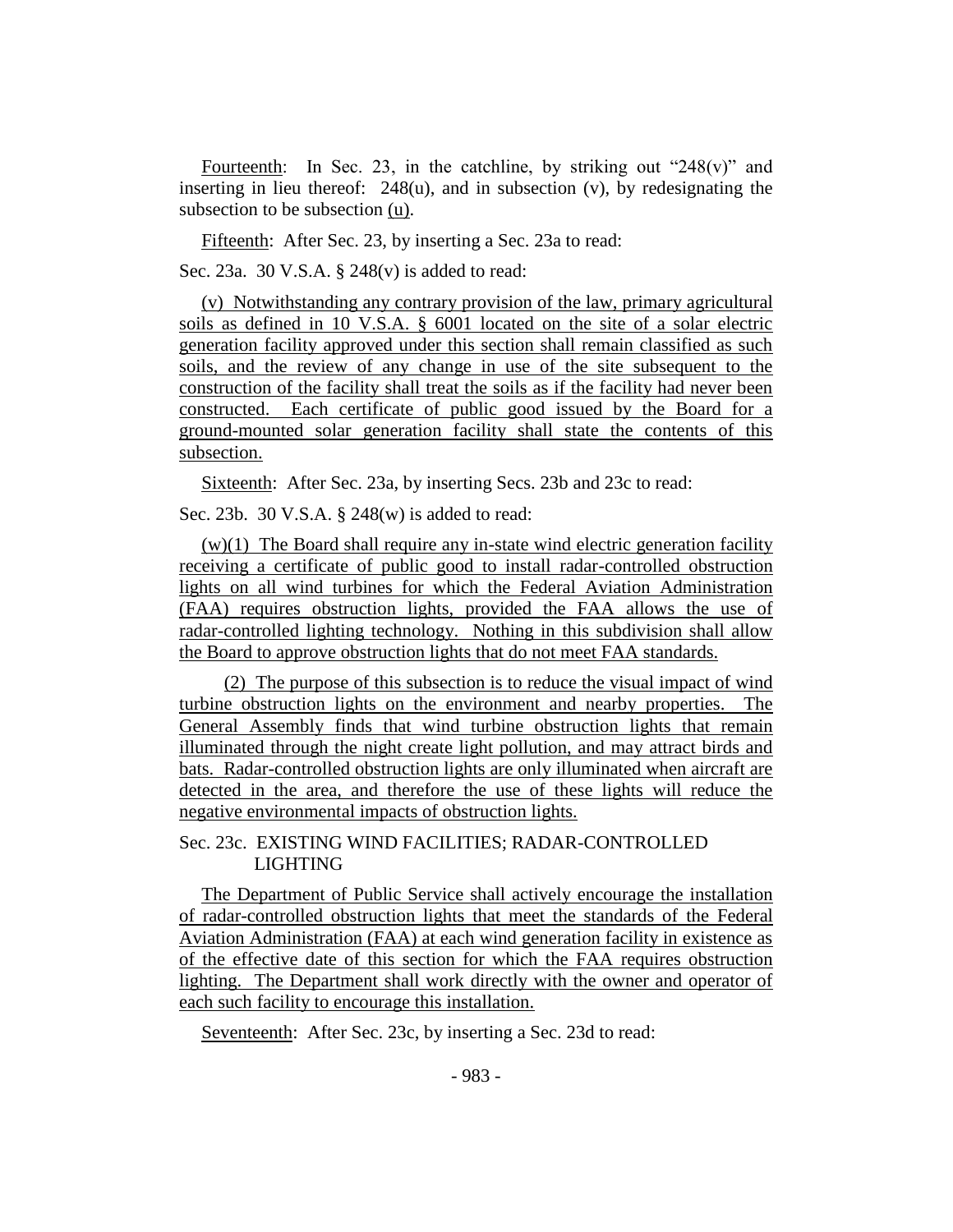Fourteenth: In Sec. 23, in the catchline, by striking out "248(v)" and inserting in lieu thereof: 248(u), and in subsection (v), by redesignating the subsection to be subsection (u).

Fifteenth: After Sec. 23, by inserting a Sec. 23a to read:

Sec. 23a. 30 V.S.A. § 248(v) is added to read:

(v) Notwithstanding any contrary provision of the law, primary agricultural soils as defined in 10 V.S.A. § 6001 located on the site of a solar electric generation facility approved under this section shall remain classified as such soils, and the review of any change in use of the site subsequent to the construction of the facility shall treat the soils as if the facility had never been constructed. Each certificate of public good issued by the Board for a ground-mounted solar generation facility shall state the contents of this subsection.

Sixteenth: After Sec. 23a, by inserting Secs. 23b and 23c to read:

Sec. 23b. 30 V.S.A. § 248(w) is added to read:

 $(w)(1)$  The Board shall require any in-state wind electric generation facility receiving a certificate of public good to install radar-controlled obstruction lights on all wind turbines for which the Federal Aviation Administration (FAA) requires obstruction lights, provided the FAA allows the use of radar-controlled lighting technology. Nothing in this subdivision shall allow the Board to approve obstruction lights that do not meet FAA standards.

(2) The purpose of this subsection is to reduce the visual impact of wind turbine obstruction lights on the environment and nearby properties. The General Assembly finds that wind turbine obstruction lights that remain illuminated through the night create light pollution, and may attract birds and bats. Radar-controlled obstruction lights are only illuminated when aircraft are detected in the area, and therefore the use of these lights will reduce the negative environmental impacts of obstruction lights.

## Sec. 23c. EXISTING WIND FACILITIES; RADAR-CONTROLLED LIGHTING

The Department of Public Service shall actively encourage the installation of radar-controlled obstruction lights that meet the standards of the Federal Aviation Administration (FAA) at each wind generation facility in existence as of the effective date of this section for which the FAA requires obstruction lighting. The Department shall work directly with the owner and operator of each such facility to encourage this installation.

Seventeenth: After Sec. 23c, by inserting a Sec. 23d to read: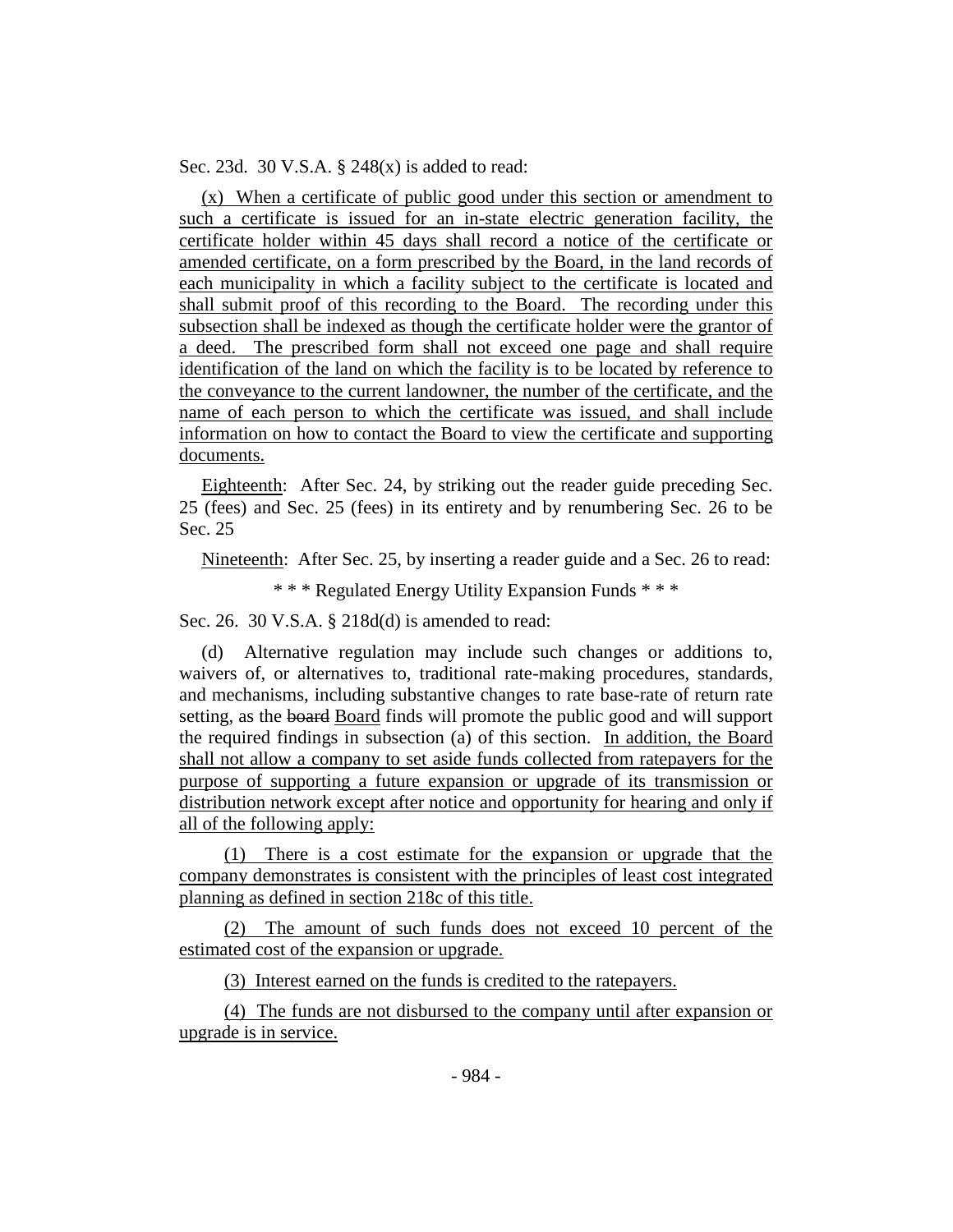Sec. 23d. 30 V.S.A. § 248(x) is added to read:

(x) When a certificate of public good under this section or amendment to such a certificate is issued for an in-state electric generation facility, the certificate holder within 45 days shall record a notice of the certificate or amended certificate, on a form prescribed by the Board, in the land records of each municipality in which a facility subject to the certificate is located and shall submit proof of this recording to the Board. The recording under this subsection shall be indexed as though the certificate holder were the grantor of a deed. The prescribed form shall not exceed one page and shall require identification of the land on which the facility is to be located by reference to the conveyance to the current landowner, the number of the certificate, and the name of each person to which the certificate was issued, and shall include information on how to contact the Board to view the certificate and supporting documents.

Eighteenth: After Sec. 24, by striking out the reader guide preceding Sec. 25 (fees) and Sec. 25 (fees) in its entirety and by renumbering Sec. 26 to be Sec. 25

Nineteenth: After Sec. 25, by inserting a reader guide and a Sec. 26 to read:

\* \* \* Regulated Energy Utility Expansion Funds \* \* \*

Sec. 26. 30 V.S.A. § 218d(d) is amended to read:

(d) Alternative regulation may include such changes or additions to, waivers of, or alternatives to, traditional rate-making procedures, standards, and mechanisms, including substantive changes to rate base-rate of return rate setting, as the board Board finds will promote the public good and will support the required findings in subsection (a) of this section. In addition, the Board shall not allow a company to set aside funds collected from ratepayers for the purpose of supporting a future expansion or upgrade of its transmission or distribution network except after notice and opportunity for hearing and only if all of the following apply:

(1) There is a cost estimate for the expansion or upgrade that the company demonstrates is consistent with the principles of least cost integrated planning as defined in section 218c of this title.

(2) The amount of such funds does not exceed 10 percent of the estimated cost of the expansion or upgrade.

(3) Interest earned on the funds is credited to the ratepayers.

(4) The funds are not disbursed to the company until after expansion or upgrade is in service.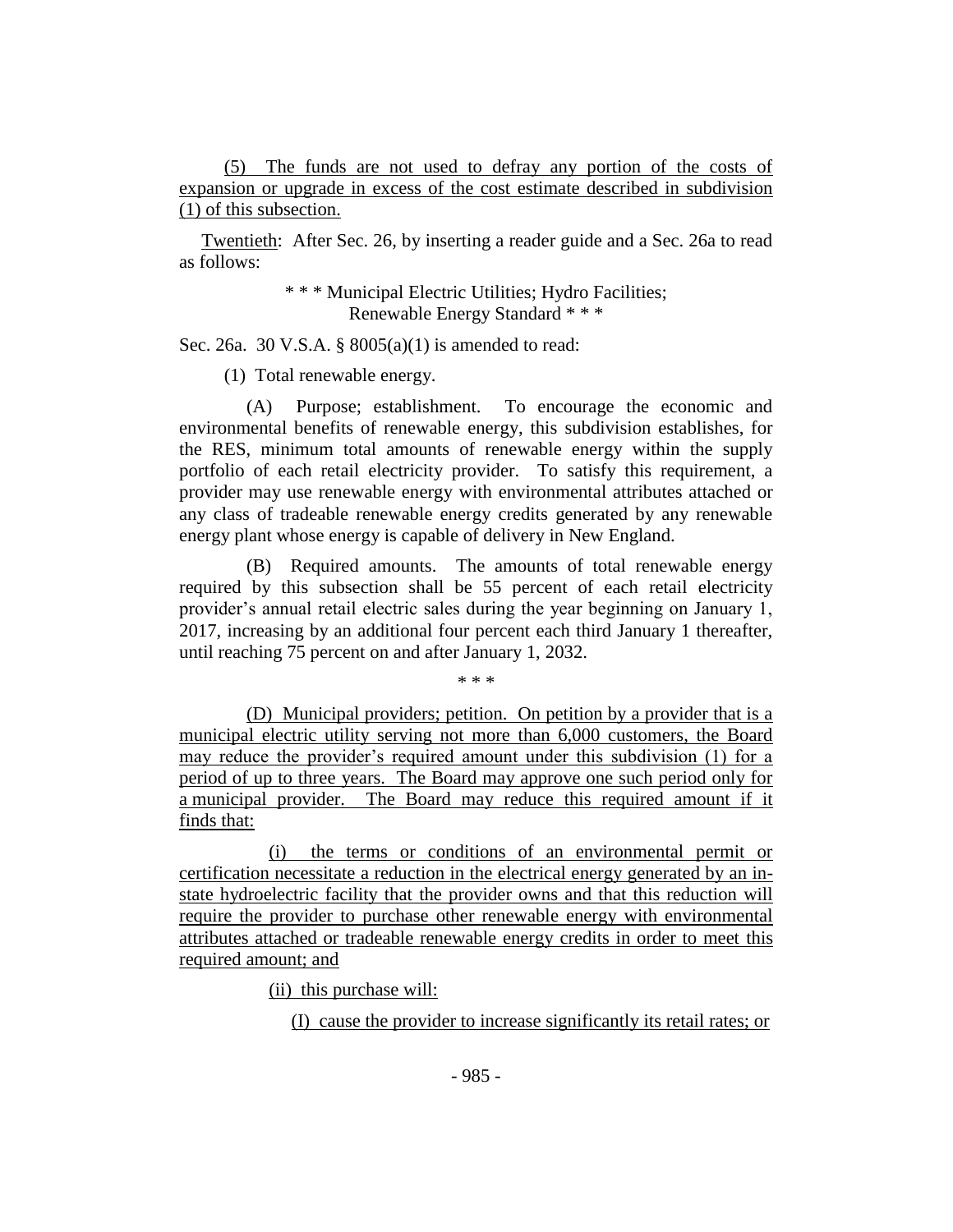(5) The funds are not used to defray any portion of the costs of expansion or upgrade in excess of the cost estimate described in subdivision (1) of this subsection.

Twentieth: After Sec. 26, by inserting a reader guide and a Sec. 26a to read as follows:

> \* \* \* Municipal Electric Utilities; Hydro Facilities; Renewable Energy Standard \* \* \*

Sec. 26a. 30 V.S.A. § 8005(a)(1) is amended to read:

(1) Total renewable energy.

(A) Purpose; establishment. To encourage the economic and environmental benefits of renewable energy, this subdivision establishes, for the RES, minimum total amounts of renewable energy within the supply portfolio of each retail electricity provider. To satisfy this requirement, a provider may use renewable energy with environmental attributes attached or any class of tradeable renewable energy credits generated by any renewable energy plant whose energy is capable of delivery in New England.

(B) Required amounts. The amounts of total renewable energy required by this subsection shall be 55 percent of each retail electricity provider's annual retail electric sales during the year beginning on January 1, 2017, increasing by an additional four percent each third January 1 thereafter, until reaching 75 percent on and after January 1, 2032.

\* \* \*

(D) Municipal providers; petition. On petition by a provider that is a municipal electric utility serving not more than 6,000 customers, the Board may reduce the provider's required amount under this subdivision (1) for a period of up to three years. The Board may approve one such period only for a municipal provider. The Board may reduce this required amount if it finds that:

(i) the terms or conditions of an environmental permit or certification necessitate a reduction in the electrical energy generated by an instate hydroelectric facility that the provider owns and that this reduction will require the provider to purchase other renewable energy with environmental attributes attached or tradeable renewable energy credits in order to meet this required amount; and

(ii) this purchase will:

(I) cause the provider to increase significantly its retail rates; or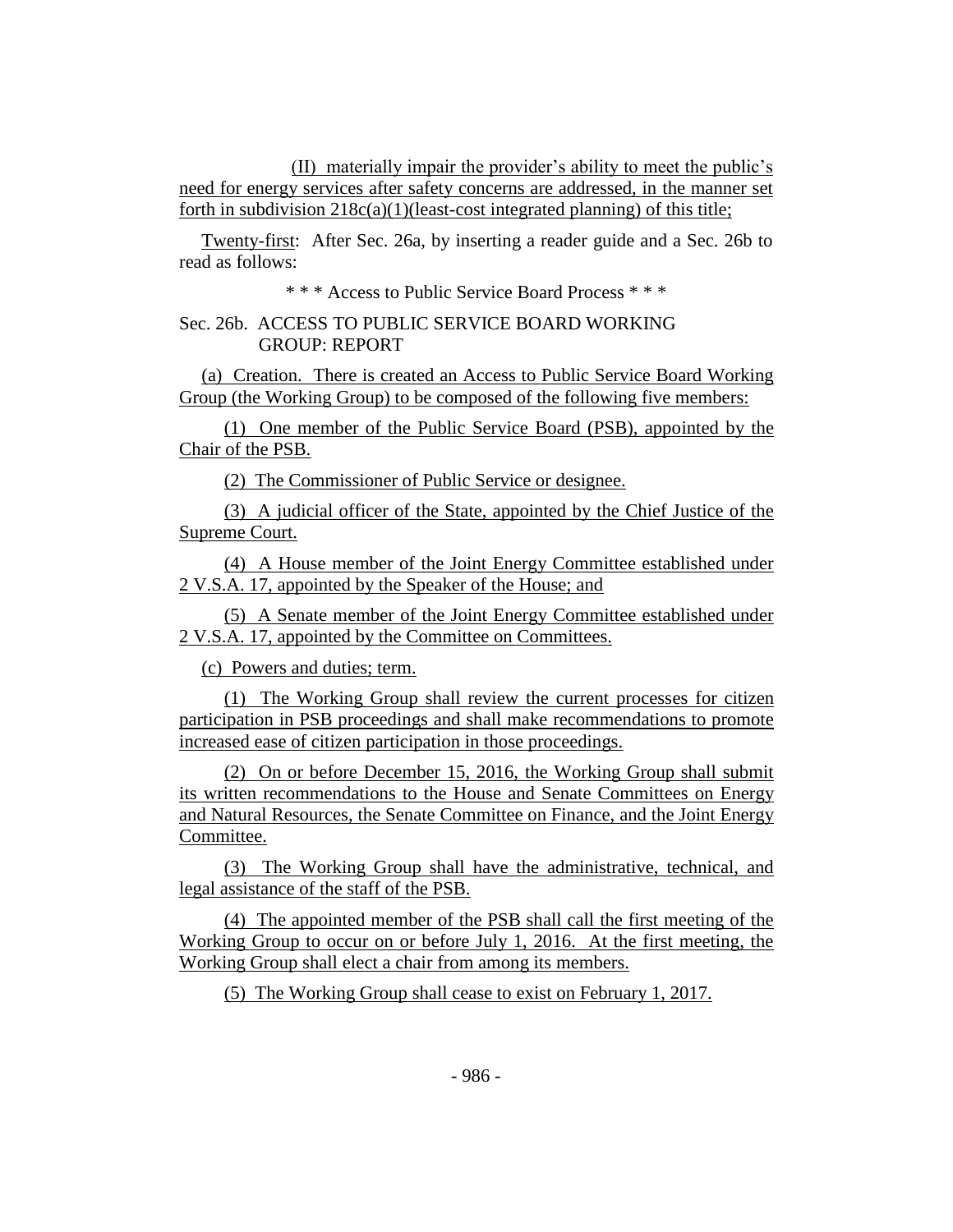(II) materially impair the provider's ability to meet the public's need for energy services after safety concerns are addressed, in the manner set forth in subdivision  $218c(a)(1)(least-cost integrated planning)$  of this title;

Twenty-first: After Sec. 26a, by inserting a reader guide and a Sec. 26b to read as follows:

\* \* \* Access to Public Service Board Process \* \* \*

## Sec. 26b. ACCESS TO PUBLIC SERVICE BOARD WORKING GROUP: REPORT

(a) Creation. There is created an Access to Public Service Board Working Group (the Working Group) to be composed of the following five members:

(1) One member of the Public Service Board (PSB), appointed by the Chair of the PSB.

(2) The Commissioner of Public Service or designee.

(3) A judicial officer of the State, appointed by the Chief Justice of the Supreme Court.

(4) A House member of the Joint Energy Committee established under 2 V.S.A. 17, appointed by the Speaker of the House; and

(5) A Senate member of the Joint Energy Committee established under 2 V.S.A. 17, appointed by the Committee on Committees.

(c) Powers and duties; term.

(1) The Working Group shall review the current processes for citizen participation in PSB proceedings and shall make recommendations to promote increased ease of citizen participation in those proceedings.

(2) On or before December 15, 2016, the Working Group shall submit its written recommendations to the House and Senate Committees on Energy and Natural Resources, the Senate Committee on Finance, and the Joint Energy Committee.

(3) The Working Group shall have the administrative, technical, and legal assistance of the staff of the PSB.

(4) The appointed member of the PSB shall call the first meeting of the Working Group to occur on or before July 1, 2016. At the first meeting, the Working Group shall elect a chair from among its members.

(5) The Working Group shall cease to exist on February 1, 2017.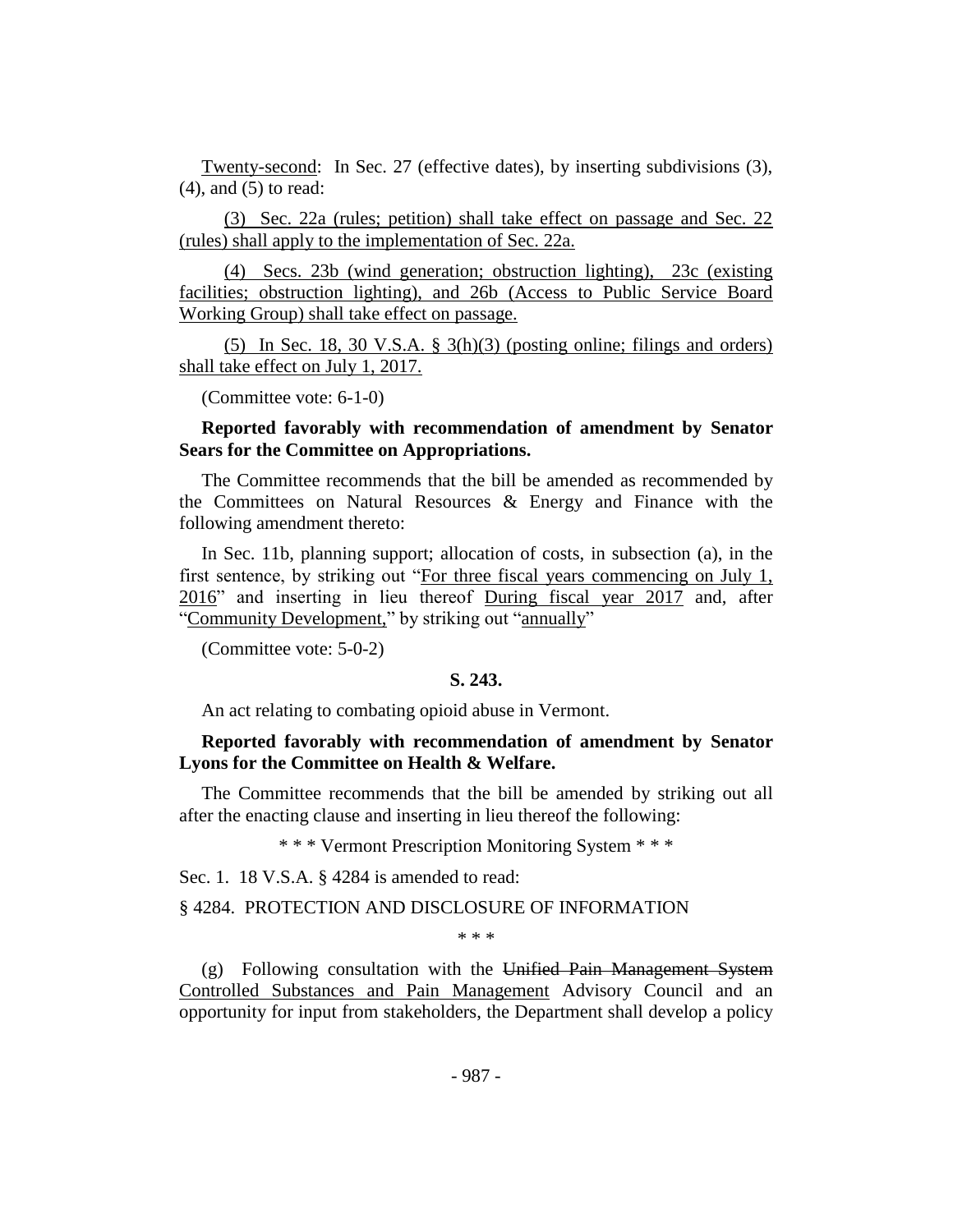Twenty-second: In Sec. 27 (effective dates), by inserting subdivisions (3), (4), and (5) to read:

(3) Sec. 22a (rules; petition) shall take effect on passage and Sec. 22 (rules) shall apply to the implementation of Sec. 22a.

(4) Secs. 23b (wind generation; obstruction lighting), 23c (existing facilities; obstruction lighting), and 26b (Access to Public Service Board Working Group) shall take effect on passage.

(5) In Sec. 18, 30 V.S.A.  $\S$  3(h)(3) (posting online; filings and orders) shall take effect on July 1, 2017.

(Committee vote: 6-1-0)

## **Reported favorably with recommendation of amendment by Senator Sears for the Committee on Appropriations.**

The Committee recommends that the bill be amended as recommended by the Committees on Natural Resources & Energy and Finance with the following amendment thereto:

In Sec. 11b, planning support; allocation of costs, in subsection (a), in the first sentence, by striking out "For three fiscal years commencing on July 1, 2016" and inserting in lieu thereof During fiscal year 2017 and, after "Community Development," by striking out "annually"

(Committee vote: 5-0-2)

#### **S. 243.**

An act relating to combating opioid abuse in Vermont.

#### **Reported favorably with recommendation of amendment by Senator Lyons for the Committee on Health & Welfare.**

The Committee recommends that the bill be amended by striking out all after the enacting clause and inserting in lieu thereof the following:

\* \* \* Vermont Prescription Monitoring System \* \* \*

Sec. 1. 18 V.S.A. § 4284 is amended to read:

#### § 4284. PROTECTION AND DISCLOSURE OF INFORMATION

\* \* \*

(g) Following consultation with the Unified Pain Management System Controlled Substances and Pain Management Advisory Council and an opportunity for input from stakeholders, the Department shall develop a policy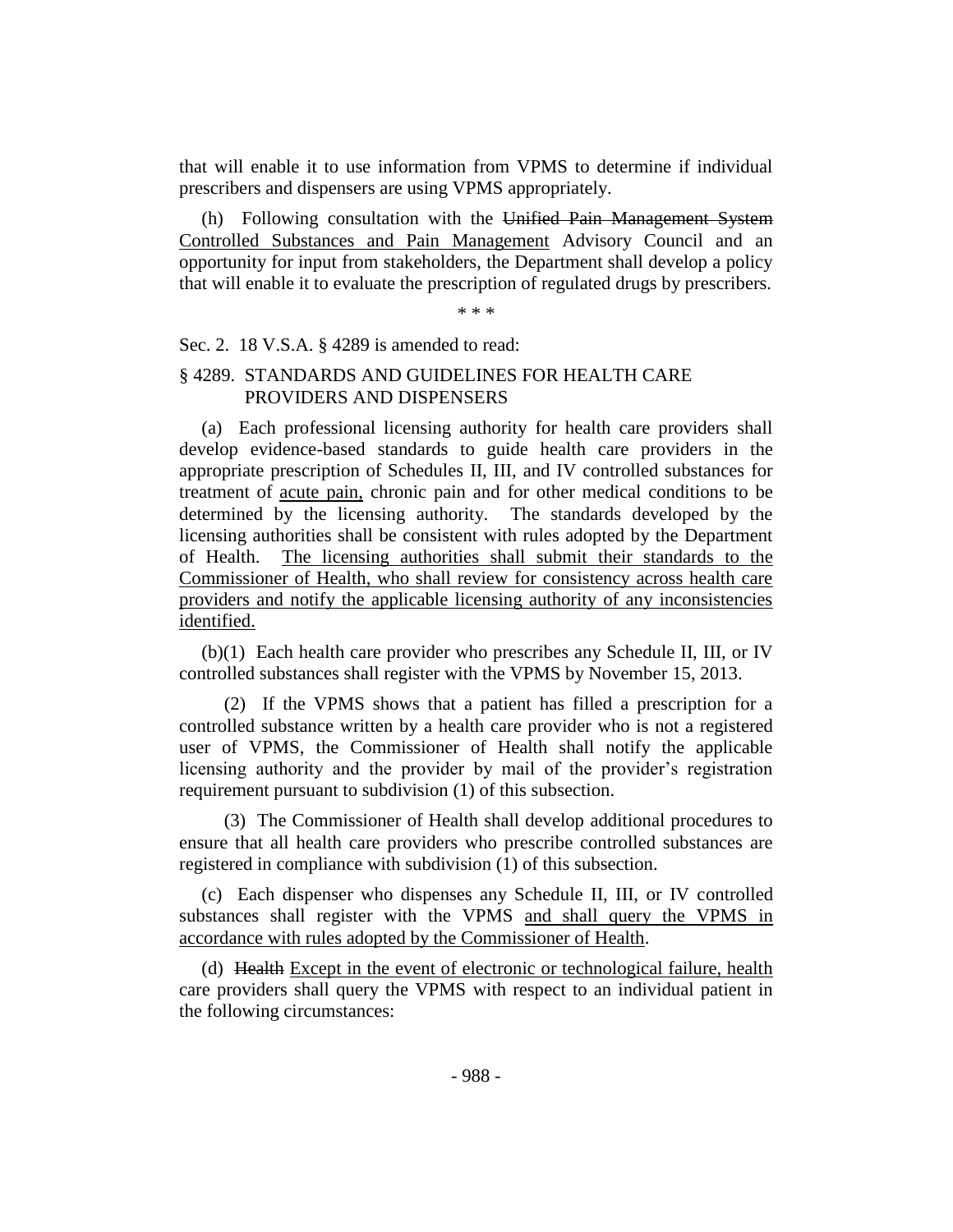that will enable it to use information from VPMS to determine if individual prescribers and dispensers are using VPMS appropriately.

(h) Following consultation with the Unified Pain Management System Controlled Substances and Pain Management Advisory Council and an opportunity for input from stakeholders, the Department shall develop a policy that will enable it to evaluate the prescription of regulated drugs by prescribers.

\* \* \*

#### Sec. 2. 18 V.S.A. § 4289 is amended to read:

## § 4289. STANDARDS AND GUIDELINES FOR HEALTH CARE PROVIDERS AND DISPENSERS

(a) Each professional licensing authority for health care providers shall develop evidence-based standards to guide health care providers in the appropriate prescription of Schedules II, III, and IV controlled substances for treatment of acute pain, chronic pain and for other medical conditions to be determined by the licensing authority. The standards developed by the licensing authorities shall be consistent with rules adopted by the Department of Health. The licensing authorities shall submit their standards to the Commissioner of Health, who shall review for consistency across health care providers and notify the applicable licensing authority of any inconsistencies identified.

(b)(1) Each health care provider who prescribes any Schedule II, III, or IV controlled substances shall register with the VPMS by November 15, 2013.

(2) If the VPMS shows that a patient has filled a prescription for a controlled substance written by a health care provider who is not a registered user of VPMS, the Commissioner of Health shall notify the applicable licensing authority and the provider by mail of the provider's registration requirement pursuant to subdivision (1) of this subsection.

(3) The Commissioner of Health shall develop additional procedures to ensure that all health care providers who prescribe controlled substances are registered in compliance with subdivision (1) of this subsection.

(c) Each dispenser who dispenses any Schedule II, III, or IV controlled substances shall register with the VPMS and shall query the VPMS in accordance with rules adopted by the Commissioner of Health.

(d) Health Except in the event of electronic or technological failure, health care providers shall query the VPMS with respect to an individual patient in the following circumstances: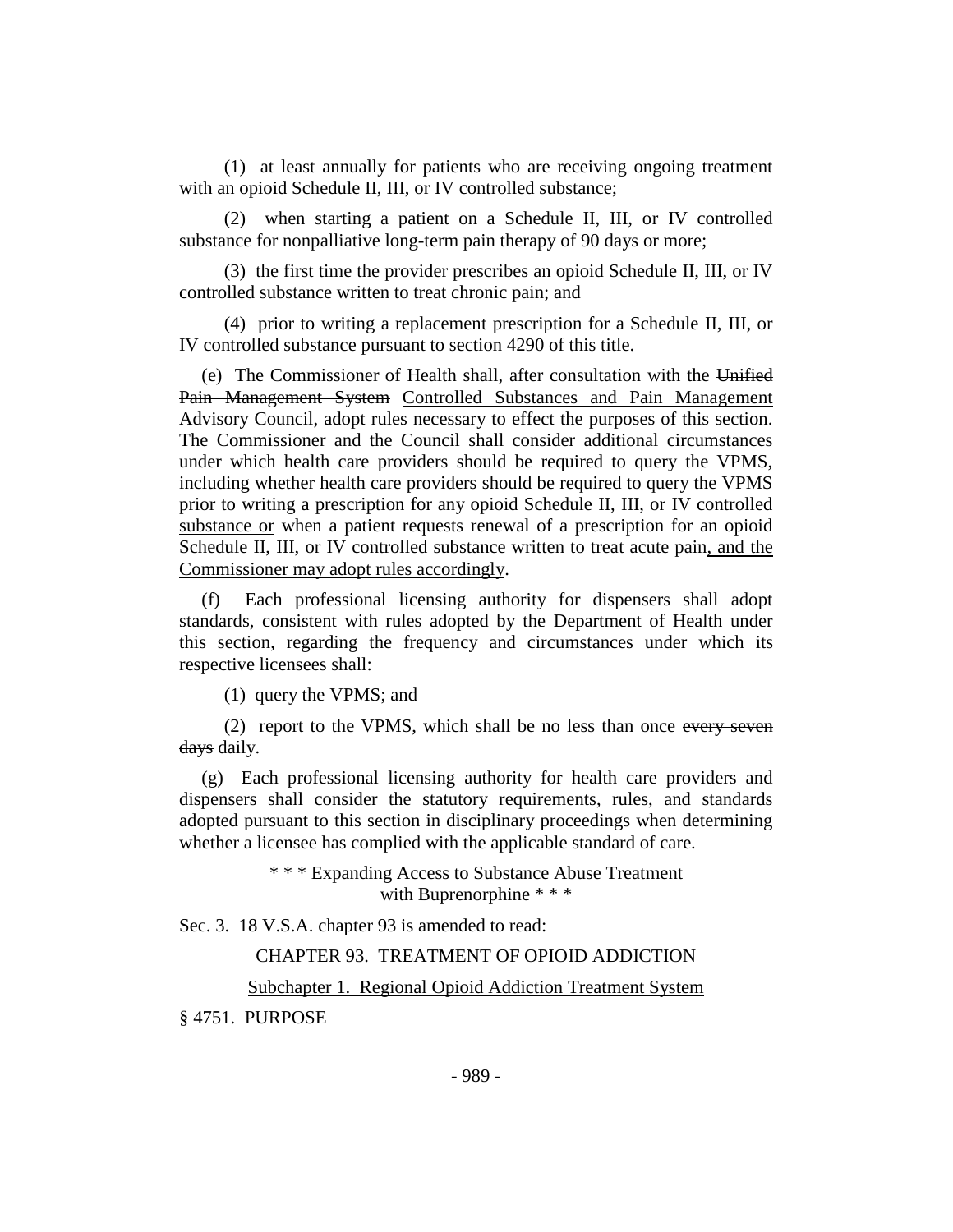(1) at least annually for patients who are receiving ongoing treatment with an opioid Schedule II, III, or IV controlled substance;

(2) when starting a patient on a Schedule II, III, or IV controlled substance for nonpalliative long-term pain therapy of 90 days or more;

(3) the first time the provider prescribes an opioid Schedule II, III, or IV controlled substance written to treat chronic pain; and

(4) prior to writing a replacement prescription for a Schedule II, III, or IV controlled substance pursuant to section 4290 of this title.

(e) The Commissioner of Health shall, after consultation with the Unified Pain Management System Controlled Substances and Pain Management Advisory Council, adopt rules necessary to effect the purposes of this section. The Commissioner and the Council shall consider additional circumstances under which health care providers should be required to query the VPMS, including whether health care providers should be required to query the VPMS prior to writing a prescription for any opioid Schedule II, III, or IV controlled substance or when a patient requests renewal of a prescription for an opioid Schedule II, III, or IV controlled substance written to treat acute pain, and the Commissioner may adopt rules accordingly.

(f) Each professional licensing authority for dispensers shall adopt standards, consistent with rules adopted by the Department of Health under this section, regarding the frequency and circumstances under which its respective licensees shall:

(1) query the VPMS; and

(2) report to the VPMS, which shall be no less than once every seven days daily.

(g) Each professional licensing authority for health care providers and dispensers shall consider the statutory requirements, rules, and standards adopted pursuant to this section in disciplinary proceedings when determining whether a licensee has complied with the applicable standard of care.

> \* \* \* Expanding Access to Substance Abuse Treatment with Buprenorphine \* \* \*

Sec. 3. 18 V.S.A. chapter 93 is amended to read:

CHAPTER 93. TREATMENT OF OPIOID ADDICTION

Subchapter 1. Regional Opioid Addiction Treatment System

§ 4751. PURPOSE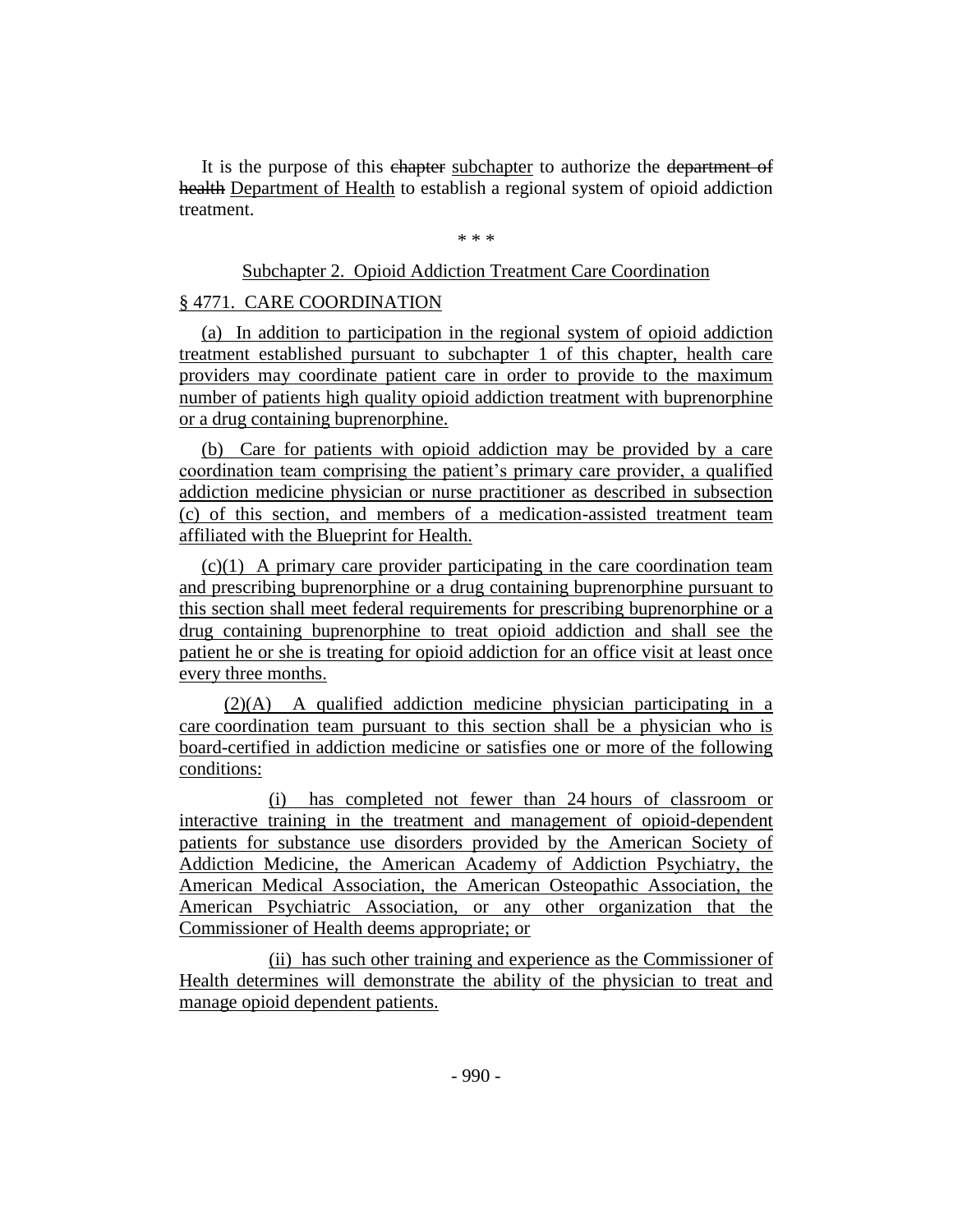It is the purpose of this chapter subchapter to authorize the department of health Department of Health to establish a regional system of opioid addiction treatment.

\* \* \*

#### Subchapter 2. Opioid Addiction Treatment Care Coordination

#### § 4771. CARE COORDINATION

(a) In addition to participation in the regional system of opioid addiction treatment established pursuant to subchapter 1 of this chapter, health care providers may coordinate patient care in order to provide to the maximum number of patients high quality opioid addiction treatment with buprenorphine or a drug containing buprenorphine.

(b) Care for patients with opioid addiction may be provided by a care coordination team comprising the patient's primary care provider, a qualified addiction medicine physician or nurse practitioner as described in subsection (c) of this section, and members of a medication-assisted treatment team affiliated with the Blueprint for Health.

(c)(1) A primary care provider participating in the care coordination team and prescribing buprenorphine or a drug containing buprenorphine pursuant to this section shall meet federal requirements for prescribing buprenorphine or a drug containing buprenorphine to treat opioid addiction and shall see the patient he or she is treating for opioid addiction for an office visit at least once every three months.

(2)(A) A qualified addiction medicine physician participating in a care coordination team pursuant to this section shall be a physician who is board-certified in addiction medicine or satisfies one or more of the following conditions:

(i) has completed not fewer than 24 hours of classroom or interactive training in the treatment and management of opioid-dependent patients for substance use disorders provided by the American Society of Addiction Medicine, the American Academy of Addiction Psychiatry, the American Medical Association, the American Osteopathic Association, the American Psychiatric Association, or any other organization that the Commissioner of Health deems appropriate; or

(ii) has such other training and experience as the Commissioner of Health determines will demonstrate the ability of the physician to treat and manage opioid dependent patients.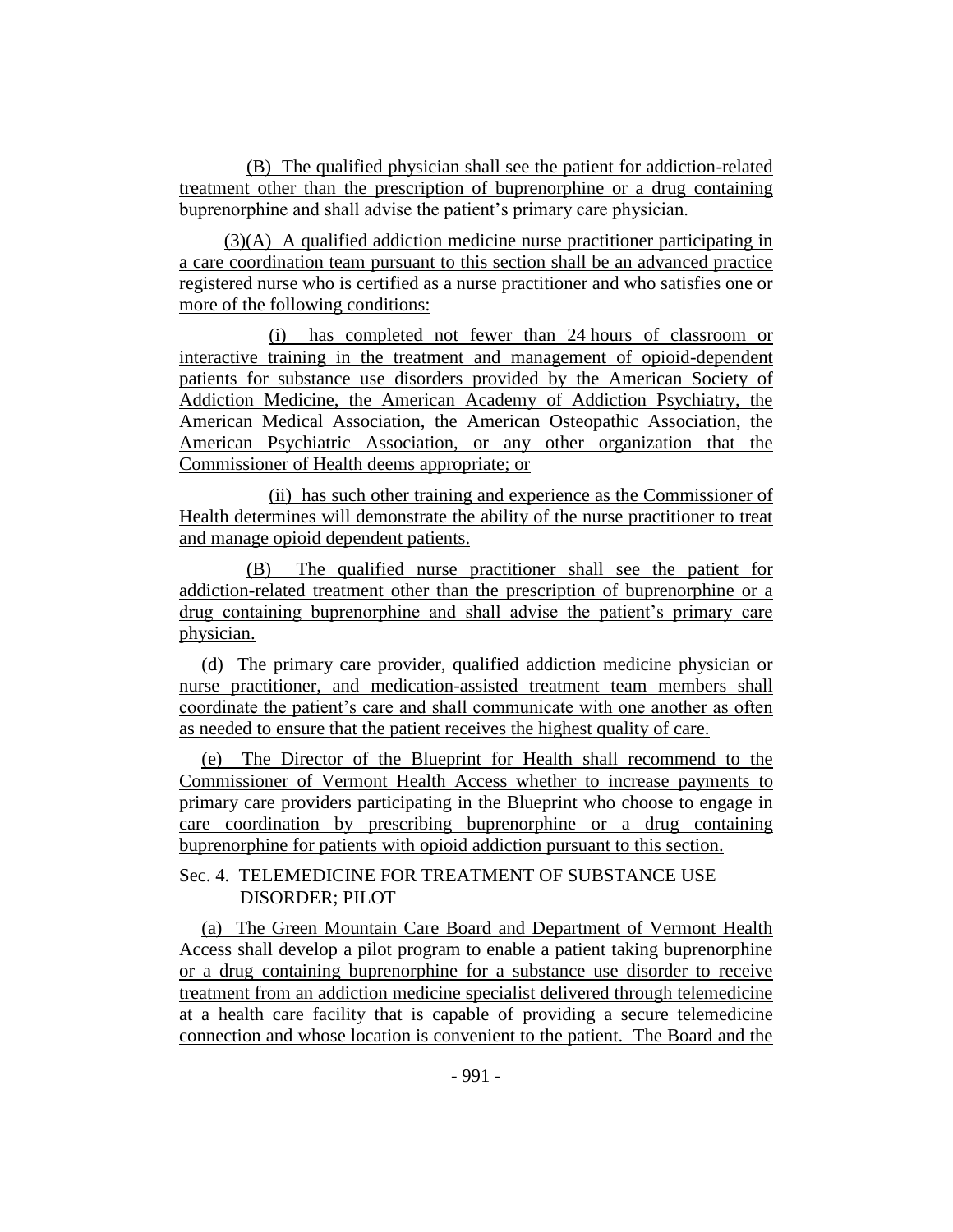(B) The qualified physician shall see the patient for addiction-related treatment other than the prescription of buprenorphine or a drug containing buprenorphine and shall advise the patient's primary care physician.

(3)(A) A qualified addiction medicine nurse practitioner participating in a care coordination team pursuant to this section shall be an advanced practice registered nurse who is certified as a nurse practitioner and who satisfies one or more of the following conditions:

(i) has completed not fewer than 24 hours of classroom or interactive training in the treatment and management of opioid-dependent patients for substance use disorders provided by the American Society of Addiction Medicine, the American Academy of Addiction Psychiatry, the American Medical Association, the American Osteopathic Association, the American Psychiatric Association, or any other organization that the Commissioner of Health deems appropriate; or

(ii) has such other training and experience as the Commissioner of Health determines will demonstrate the ability of the nurse practitioner to treat and manage opioid dependent patients.

(B) The qualified nurse practitioner shall see the patient for addiction-related treatment other than the prescription of buprenorphine or a drug containing buprenorphine and shall advise the patient's primary care physician.

(d) The primary care provider, qualified addiction medicine physician or nurse practitioner, and medication-assisted treatment team members shall coordinate the patient's care and shall communicate with one another as often as needed to ensure that the patient receives the highest quality of care.

(e) The Director of the Blueprint for Health shall recommend to the Commissioner of Vermont Health Access whether to increase payments to primary care providers participating in the Blueprint who choose to engage in care coordination by prescribing buprenorphine or a drug containing buprenorphine for patients with opioid addiction pursuant to this section.

## Sec. 4. TELEMEDICINE FOR TREATMENT OF SUBSTANCE USE DISORDER; PILOT

(a)The Green Mountain Care Board and Department of Vermont Health Access shall develop a pilot program to enable a patient taking buprenorphine or a drug containing buprenorphine for a substance use disorder to receive treatment from an addiction medicine specialist delivered through telemedicine at a health care facility that is capable of providing a secure telemedicine connection and whose location is convenient to the patient. The Board and the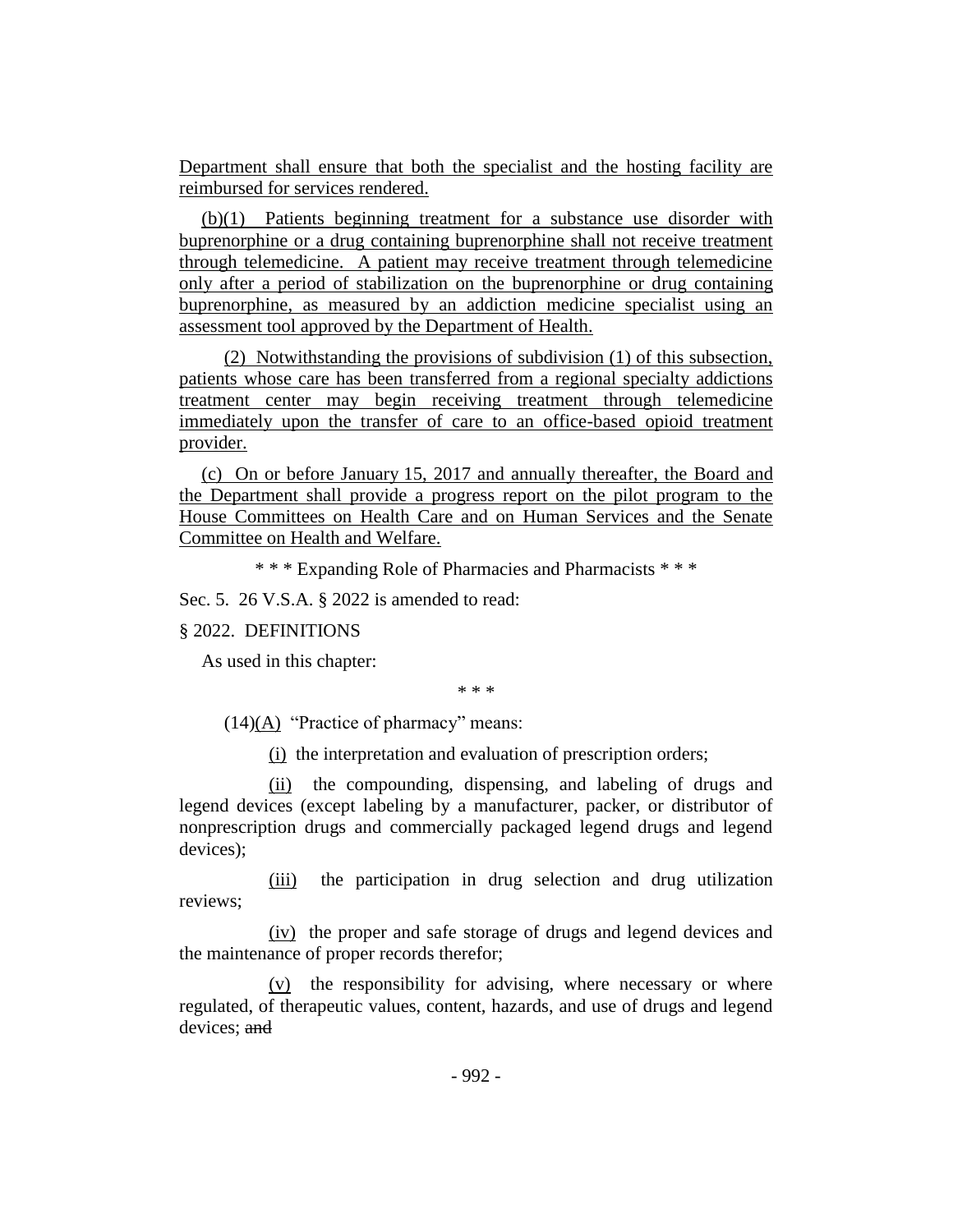Department shall ensure that both the specialist and the hosting facility are reimbursed for services rendered.

(b)(1) Patients beginning treatment for a substance use disorder with buprenorphine or a drug containing buprenorphine shall not receive treatment through telemedicine. A patient may receive treatment through telemedicine only after a period of stabilization on the buprenorphine or drug containing buprenorphine, as measured by an addiction medicine specialist using an assessment tool approved by the Department of Health.

(2) Notwithstanding the provisions of subdivision (1) of this subsection, patients whose care has been transferred from a regional specialty addictions treatment center may begin receiving treatment through telemedicine immediately upon the transfer of care to an office-based opioid treatment provider.

(c) On or before January 15, 2017 and annually thereafter, the Board and the Department shall provide a progress report on the pilot program to the House Committees on Health Care and on Human Services and the Senate Committee on Health and Welfare.

\* \* \* Expanding Role of Pharmacies and Pharmacists \* \* \*

Sec. 5. 26 V.S.A. § 2022 is amended to read:

#### § 2022. DEFINITIONS

As used in this chapter:

\* \* \*

 $(14)(A)$  "Practice of pharmacy" means:

(i) the interpretation and evaluation of prescription orders;

(ii) the compounding, dispensing, and labeling of drugs and legend devices (except labeling by a manufacturer, packer, or distributor of nonprescription drugs and commercially packaged legend drugs and legend devices);

(iii) the participation in drug selection and drug utilization reviews;

(iv) the proper and safe storage of drugs and legend devices and the maintenance of proper records therefor;

(v) the responsibility for advising, where necessary or where regulated, of therapeutic values, content, hazards, and use of drugs and legend devices; and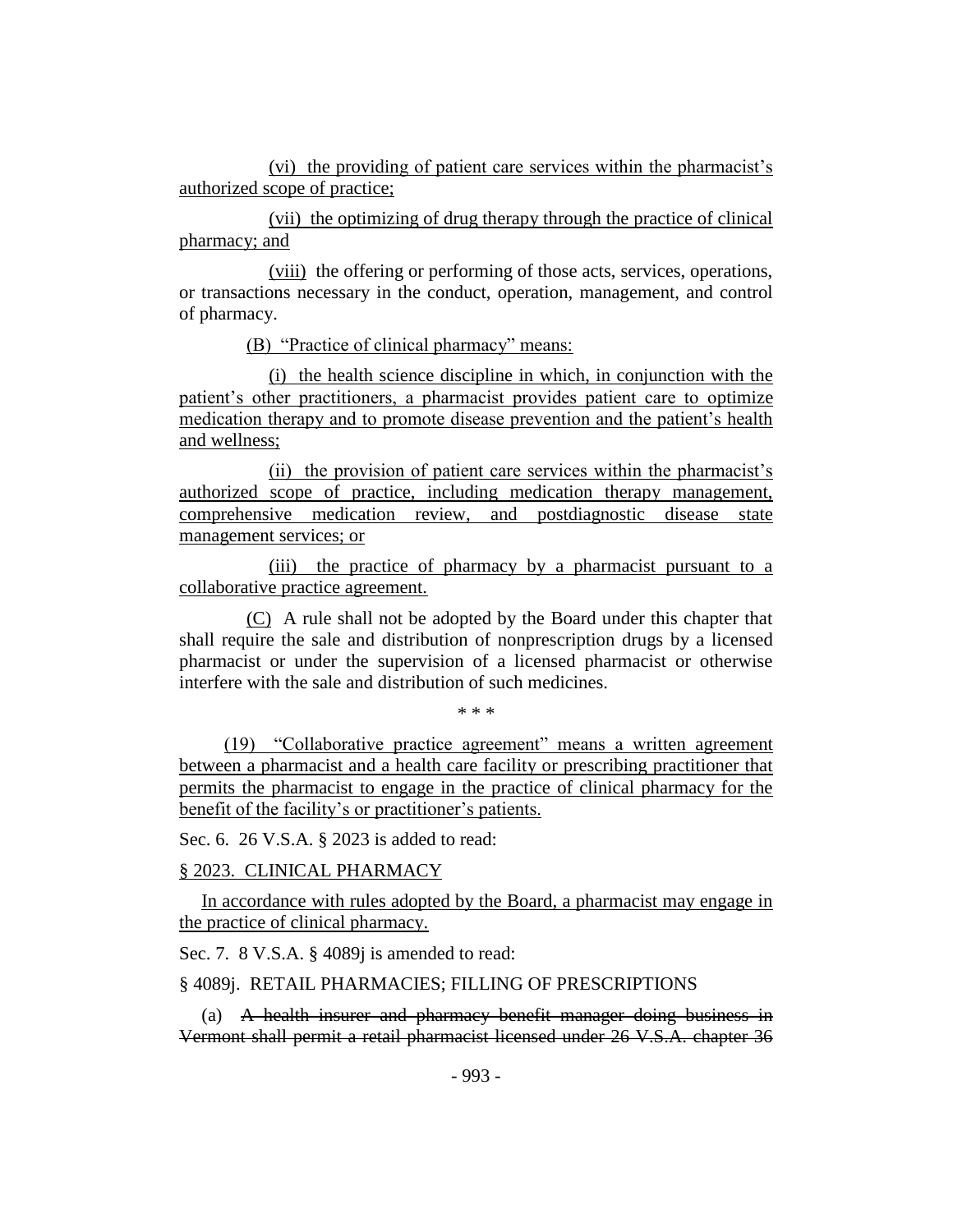(vi) the providing of patient care services within the pharmacist's authorized scope of practice;

(vii) the optimizing of drug therapy through the practice of clinical pharmacy; and

(viii) the offering or performing of those acts, services, operations, or transactions necessary in the conduct, operation, management, and control of pharmacy.

(B) "Practice of clinical pharmacy" means:

(i) the health science discipline in which, in conjunction with the patient's other practitioners, a pharmacist provides patient care to optimize medication therapy and to promote disease prevention and the patient's health and wellness;

(ii) the provision of patient care services within the pharmacist's authorized scope of practice, including medication therapy management, comprehensive medication review, and postdiagnostic disease state management services; or

(iii) the practice of pharmacy by a pharmacist pursuant to a collaborative practice agreement.

(C) A rule shall not be adopted by the Board under this chapter that shall require the sale and distribution of nonprescription drugs by a licensed pharmacist or under the supervision of a licensed pharmacist or otherwise interfere with the sale and distribution of such medicines.

.<br>ماه - ماه - ماه

(19) "Collaborative practice agreement" means a written agreement between a pharmacist and a health care facility or prescribing practitioner that permits the pharmacist to engage in the practice of clinical pharmacy for the benefit of the facility's or practitioner's patients.

Sec. 6. 26 V.S.A. § 2023 is added to read:

§ 2023. CLINICAL PHARMACY

In accordance with rules adopted by the Board, a pharmacist may engage in the practice of clinical pharmacy.

Sec. 7. 8 V.S.A. § 4089*j* is amended to read:

§ 4089j. RETAIL PHARMACIES; FILLING OF PRESCRIPTIONS

(a) A health insurer and pharmacy benefit manager doing business in Vermont shall permit a retail pharmacist licensed under 26 V.S.A. chapter 36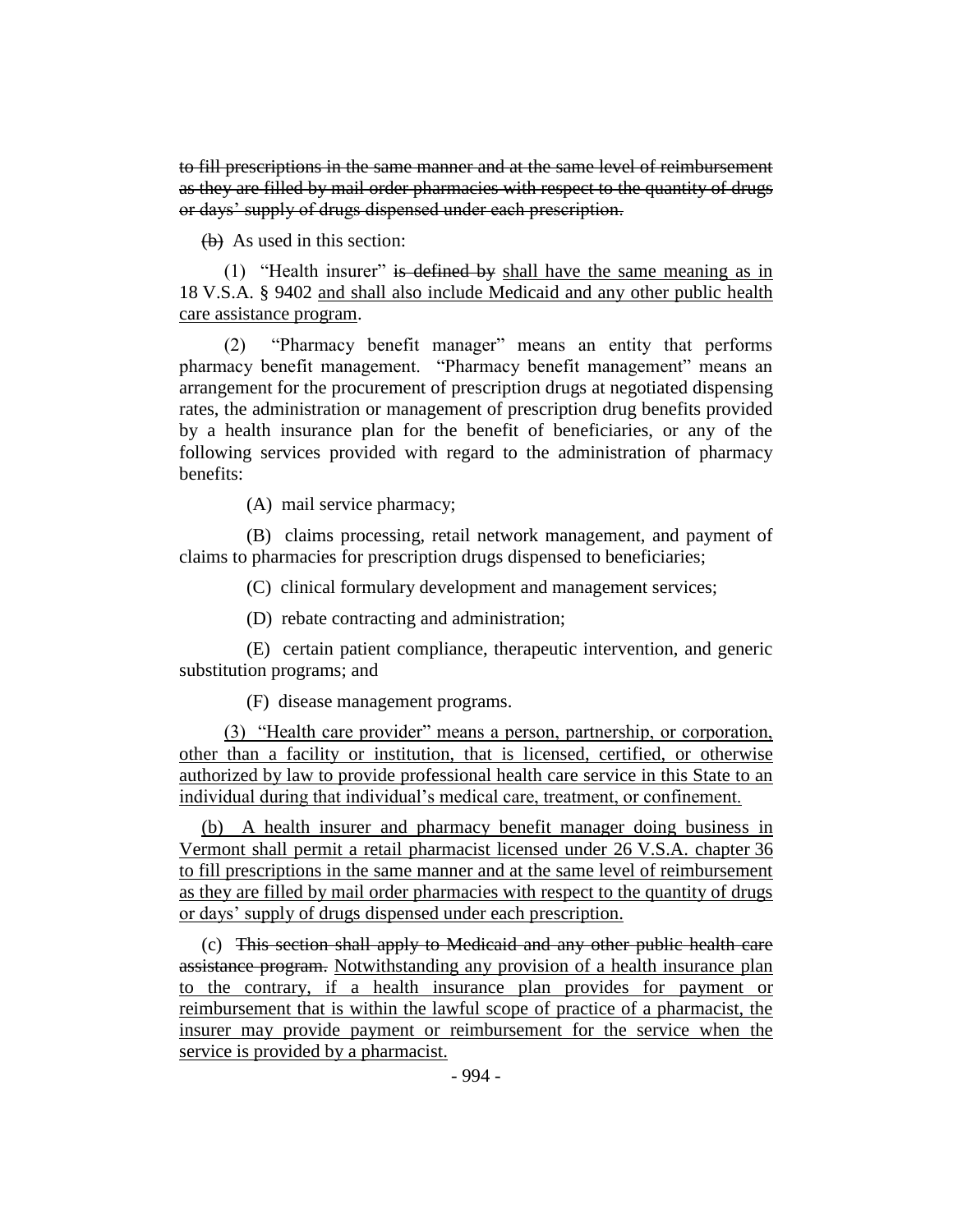to fill prescriptions in the same manner and at the same level of reimbursement as they are filled by mail order pharmacies with respect to the quantity of drugs or days' supply of drugs dispensed under each prescription.

(b) As used in this section:

(1) "Health insurer" is defined by shall have the same meaning as in 18 V.S.A. § 9402 and shall also include Medicaid and any other public health care assistance program.

(2) "Pharmacy benefit manager" means an entity that performs pharmacy benefit management. "Pharmacy benefit management" means an arrangement for the procurement of prescription drugs at negotiated dispensing rates, the administration or management of prescription drug benefits provided by a health insurance plan for the benefit of beneficiaries, or any of the following services provided with regard to the administration of pharmacy benefits:

(A) mail service pharmacy;

(B) claims processing, retail network management, and payment of claims to pharmacies for prescription drugs dispensed to beneficiaries;

(C) clinical formulary development and management services;

(D) rebate contracting and administration;

(E) certain patient compliance, therapeutic intervention, and generic substitution programs; and

(F) disease management programs.

(3) "Health care provider" means a person, partnership, or corporation, other than a facility or institution, that is licensed, certified, or otherwise authorized by law to provide professional health care service in this State to an individual during that individual's medical care, treatment, or confinement.

(b) A health insurer and pharmacy benefit manager doing business in Vermont shall permit a retail pharmacist licensed under 26 V.S.A. chapter 36 to fill prescriptions in the same manner and at the same level of reimbursement as they are filled by mail order pharmacies with respect to the quantity of drugs or days' supply of drugs dispensed under each prescription.

(c) This section shall apply to Medicaid and any other public health care assistance program. Notwithstanding any provision of a health insurance plan to the contrary, if a health insurance plan provides for payment or reimbursement that is within the lawful scope of practice of a pharmacist, the insurer may provide payment or reimbursement for the service when the service is provided by a pharmacist.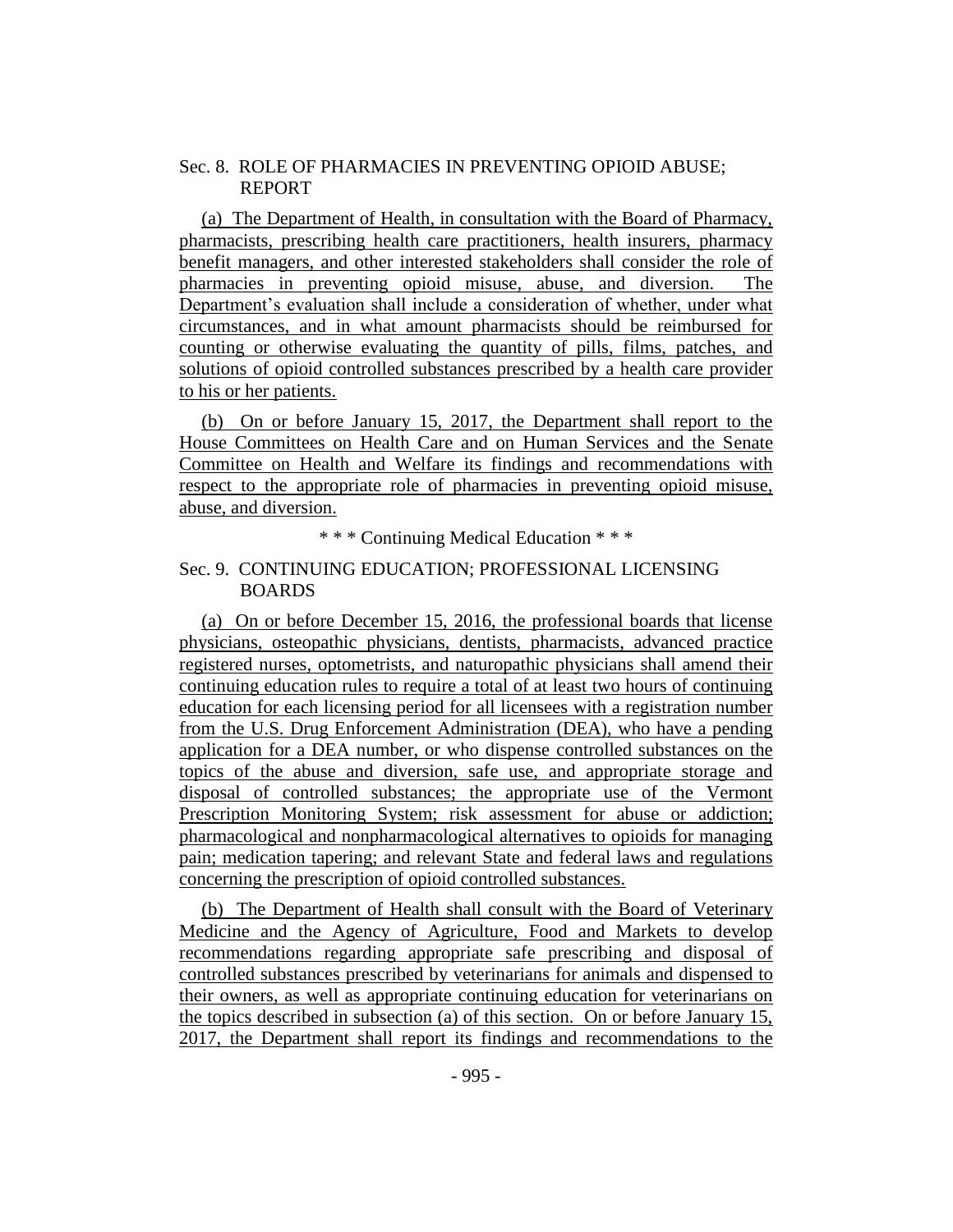## Sec. 8. ROLE OF PHARMACIES IN PREVENTING OPIOID ABUSE; REPORT

(a) The Department of Health, in consultation with the Board of Pharmacy, pharmacists, prescribing health care practitioners, health insurers, pharmacy benefit managers, and other interested stakeholders shall consider the role of pharmacies in preventing opioid misuse, abuse, and diversion. The Department's evaluation shall include a consideration of whether, under what circumstances, and in what amount pharmacists should be reimbursed for counting or otherwise evaluating the quantity of pills, films, patches, and solutions of opioid controlled substances prescribed by a health care provider to his or her patients.

(b) On or before January 15, 2017, the Department shall report to the House Committees on Health Care and on Human Services and the Senate Committee on Health and Welfare its findings and recommendations with respect to the appropriate role of pharmacies in preventing opioid misuse, abuse, and diversion.

\* \* \* Continuing Medical Education \* \* \*

## Sec. 9. CONTINUING EDUCATION; PROFESSIONAL LICENSING BOARDS

(a)On or before December 15, 2016, the professional boards that license physicians, osteopathic physicians, dentists, pharmacists, advanced practice registered nurses, optometrists, and naturopathic physicians shall amend their continuing education rules to require a total of at least two hours of continuing education for each licensing period for all licensees with a registration number from the U.S. Drug Enforcement Administration (DEA), who have a pending application for a DEA number, or who dispense controlled substances on the topics of the abuse and diversion, safe use, and appropriate storage and disposal of controlled substances; the appropriate use of the Vermont Prescription Monitoring System; risk assessment for abuse or addiction; pharmacological and nonpharmacological alternatives to opioids for managing pain; medication tapering; and relevant State and federal laws and regulations concerning the prescription of opioid controlled substances.

(b) The Department of Health shall consult with the Board of Veterinary Medicine and the Agency of Agriculture, Food and Markets to develop recommendations regarding appropriate safe prescribing and disposal of controlled substances prescribed by veterinarians for animals and dispensed to their owners, as well as appropriate continuing education for veterinarians on the topics described in subsection (a) of this section. On or before January 15, 2017, the Department shall report its findings and recommendations to the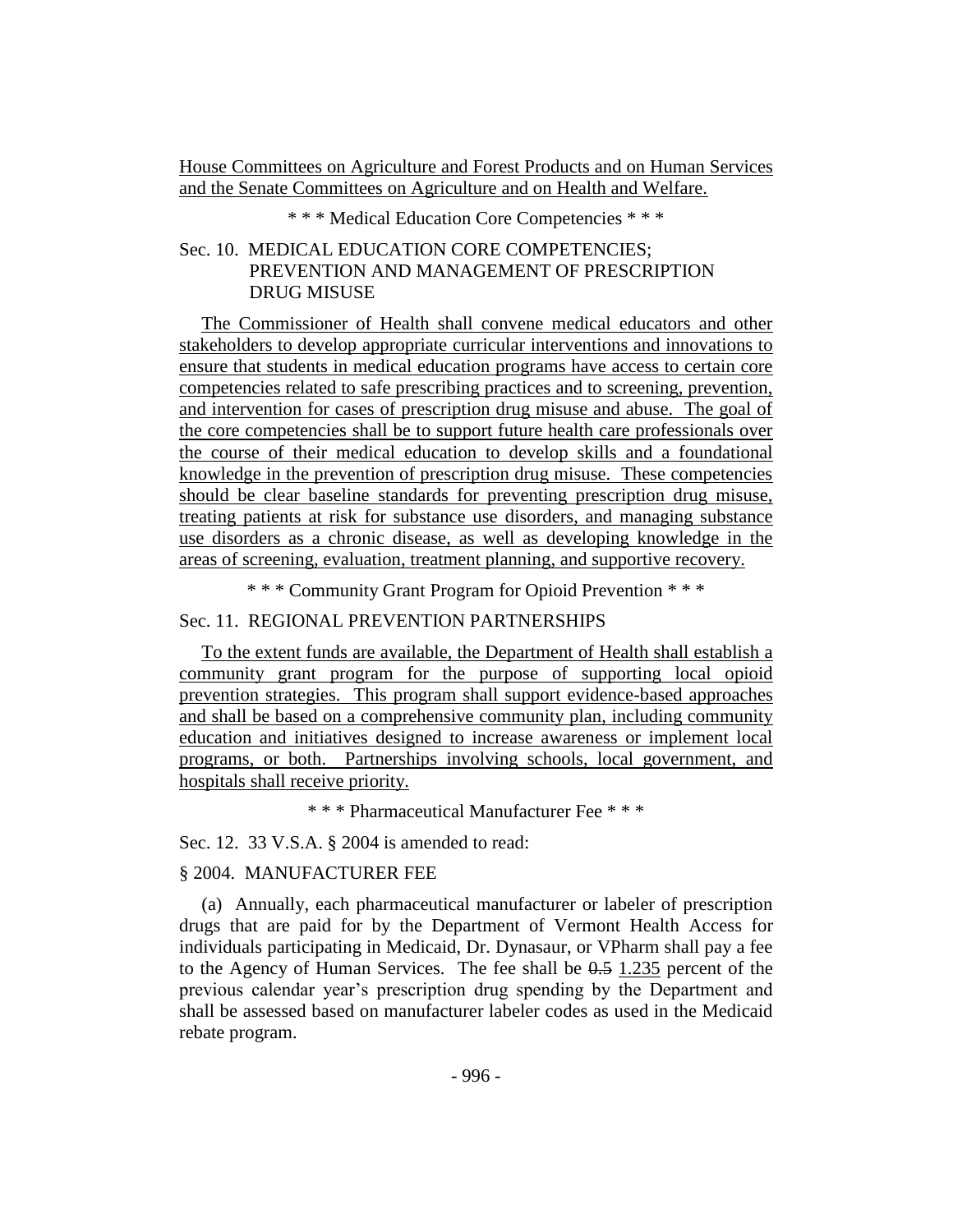House Committees on Agriculture and Forest Products and on Human Services and the Senate Committees on Agriculture and on Health and Welfare.

\* \* \* Medical Education Core Competencies \* \* \*

## Sec. 10. MEDICAL EDUCATION CORE COMPETENCIES; PREVENTION AND MANAGEMENT OF PRESCRIPTION DRUG MISUSE

The Commissioner of Health shall convene medical educators and other stakeholders to develop appropriate curricular interventions and innovations to ensure that students in medical education programs have access to certain core competencies related to safe prescribing practices and to screening, prevention, and intervention for cases of prescription drug misuse and abuse. The goal of the core competencies shall be to support future health care professionals over the course of their medical education to develop skills and a foundational knowledge in the prevention of prescription drug misuse. These competencies should be clear baseline standards for preventing prescription drug misuse, treating patients at risk for substance use disorders, and managing substance use disorders as a chronic disease, as well as developing knowledge in the areas of screening, evaluation, treatment planning, and supportive recovery.

\* \* \* Community Grant Program for Opioid Prevention \* \* \*

## Sec. 11. REGIONAL PREVENTION PARTNERSHIPS

To the extent funds are available, the Department of Health shall establish a community grant program for the purpose of supporting local opioid prevention strategies. This program shall support evidence-based approaches and shall be based on a comprehensive community plan, including community education and initiatives designed to increase awareness or implement local programs, or both. Partnerships involving schools, local government, and hospitals shall receive priority.

\* \* \* Pharmaceutical Manufacturer Fee \* \* \*

Sec. 12. 33 V.S.A. § 2004 is amended to read:

## § 2004. MANUFACTURER FEE

(a) Annually, each pharmaceutical manufacturer or labeler of prescription drugs that are paid for by the Department of Vermont Health Access for individuals participating in Medicaid, Dr. Dynasaur, or VPharm shall pay a fee to the Agency of Human Services. The fee shall be  $0.5$  1.235 percent of the previous calendar year's prescription drug spending by the Department and shall be assessed based on manufacturer labeler codes as used in the Medicaid rebate program.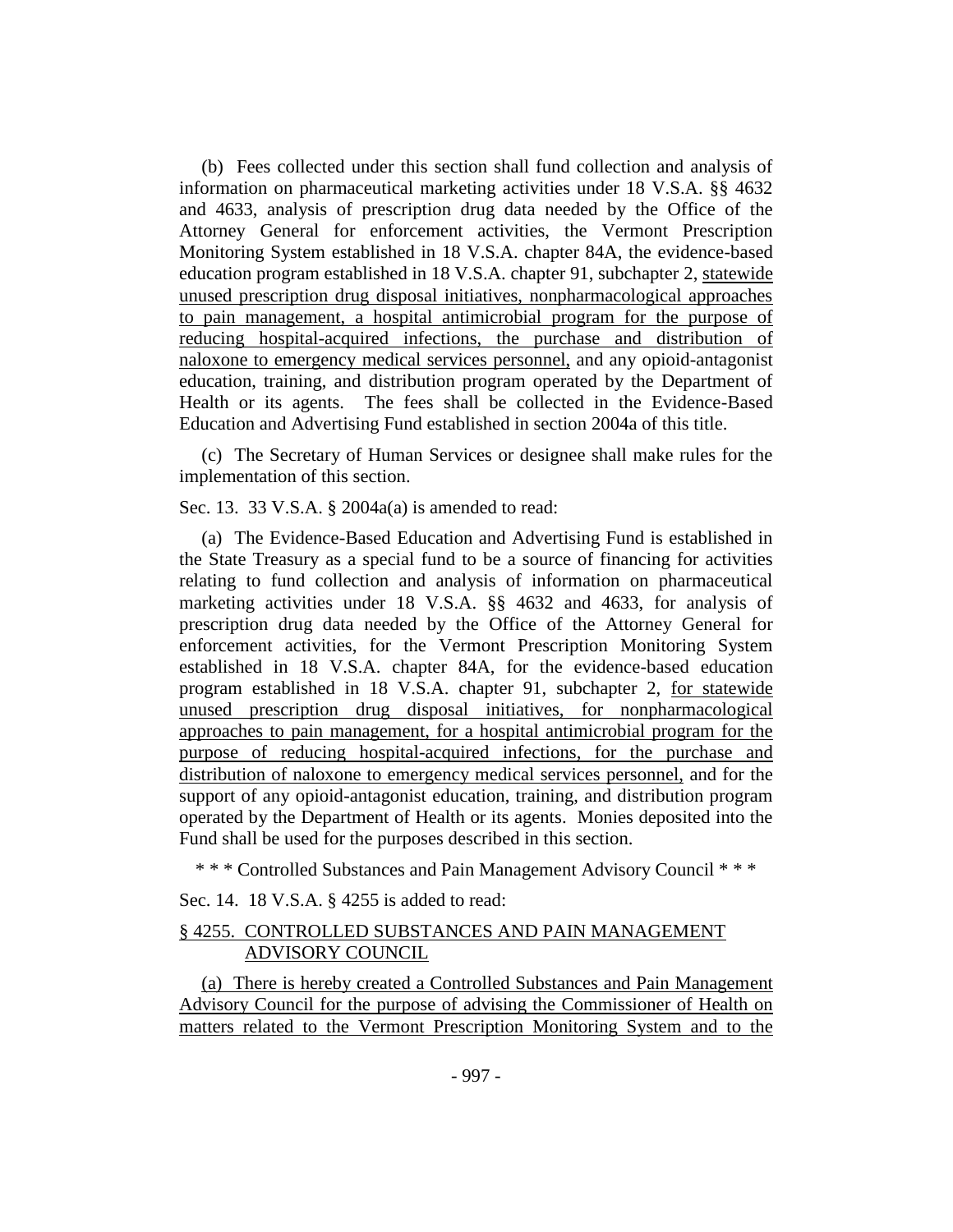(b) Fees collected under this section shall fund collection and analysis of information on pharmaceutical marketing activities under 18 V.S.A. §§ 4632 and 4633, analysis of prescription drug data needed by the Office of the Attorney General for enforcement activities, the Vermont Prescription Monitoring System established in 18 V.S.A. chapter 84A, the evidence-based education program established in 18 V.S.A. chapter 91, subchapter 2, statewide unused prescription drug disposal initiatives, nonpharmacological approaches to pain management, a hospital antimicrobial program for the purpose of reducing hospital-acquired infections, the purchase and distribution of naloxone to emergency medical services personnel, and any opioid-antagonist education, training, and distribution program operated by the Department of Health or its agents. The fees shall be collected in the Evidence-Based Education and Advertising Fund established in section 2004a of this title.

(c) The Secretary of Human Services or designee shall make rules for the implementation of this section.

Sec. 13. 33 V.S.A. § 2004a(a) is amended to read:

(a) The Evidence-Based Education and Advertising Fund is established in the State Treasury as a special fund to be a source of financing for activities relating to fund collection and analysis of information on pharmaceutical marketing activities under 18 V.S.A. §§ 4632 and 4633, for analysis of prescription drug data needed by the Office of the Attorney General for enforcement activities, for the Vermont Prescription Monitoring System established in 18 V.S.A. chapter 84A, for the evidence-based education program established in 18 V.S.A. chapter 91, subchapter 2, for statewide unused prescription drug disposal initiatives, for nonpharmacological approaches to pain management, for a hospital antimicrobial program for the purpose of reducing hospital-acquired infections, for the purchase and distribution of naloxone to emergency medical services personnel, and for the support of any opioid-antagonist education, training, and distribution program operated by the Department of Health or its agents. Monies deposited into the Fund shall be used for the purposes described in this section.

\* \* \* Controlled Substances and Pain Management Advisory Council \* \* \*

Sec. 14. 18 V.S.A. § 4255 is added to read:

## § 4255. CONTROLLED SUBSTANCES AND PAIN MANAGEMENT ADVISORY COUNCIL

(a) There is hereby created a Controlled Substances and Pain Management Advisory Council for the purpose of advising the Commissioner of Health on matters related to the Vermont Prescription Monitoring System and to the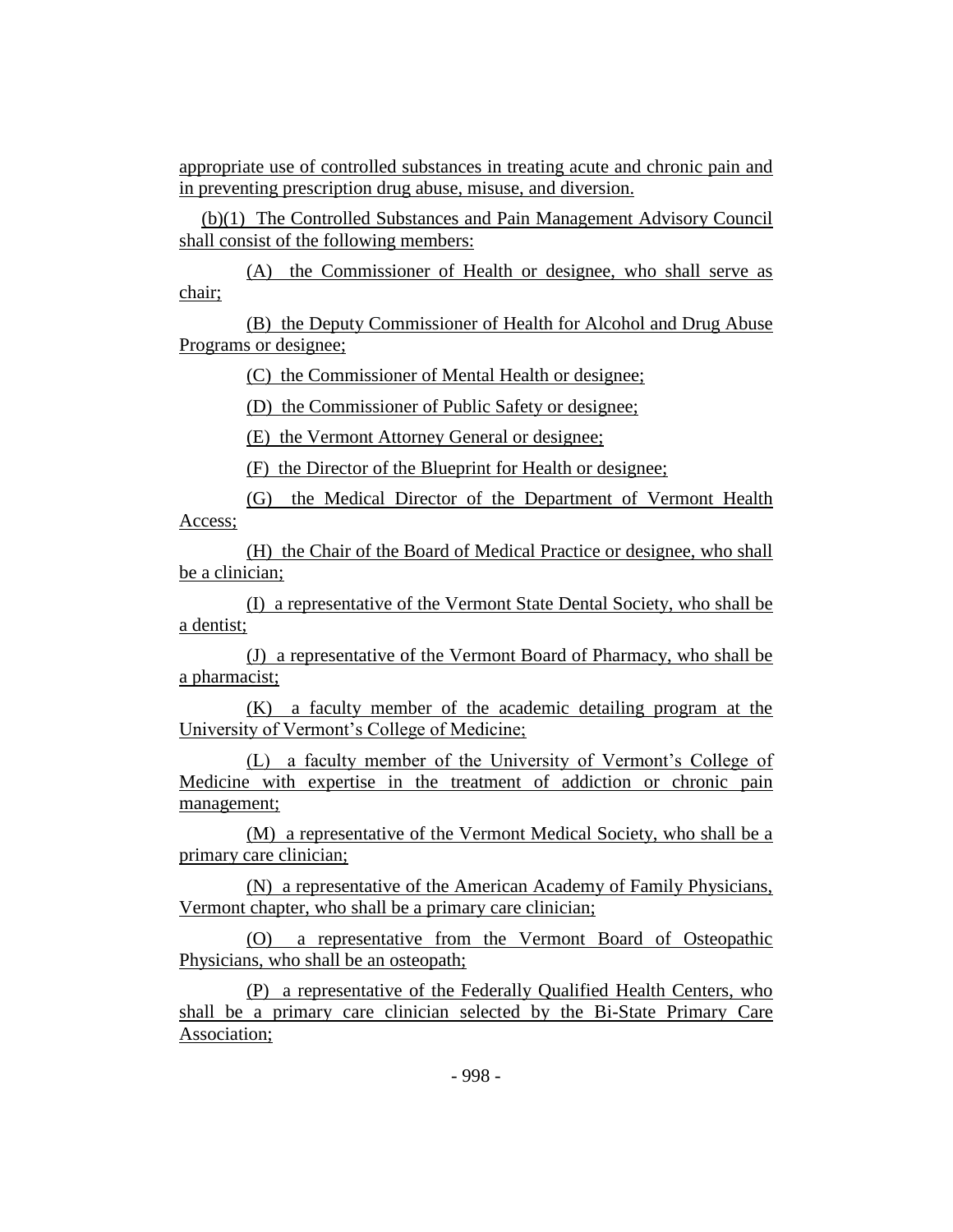appropriate use of controlled substances in treating acute and chronic pain and in preventing prescription drug abuse, misuse, and diversion.

(b)(1) The Controlled Substances and Pain Management Advisory Council shall consist of the following members:

(A) the Commissioner of Health or designee, who shall serve as chair;

(B) the Deputy Commissioner of Health for Alcohol and Drug Abuse Programs or designee;

(C) the Commissioner of Mental Health or designee;

(D) the Commissioner of Public Safety or designee;

(E) the Vermont Attorney General or designee;

(F) the Director of the Blueprint for Health or designee;

(G) the Medical Director of the Department of Vermont Health Access;

(H) the Chair of the Board of Medical Practice or designee, who shall be a clinician;

(I) a representative of the Vermont State Dental Society, who shall be a dentist;

(J) a representative of the Vermont Board of Pharmacy, who shall be a pharmacist;

(K) a faculty member of the academic detailing program at the University of Vermont's College of Medicine;

(L) a faculty member of the University of Vermont's College of Medicine with expertise in the treatment of addiction or chronic pain management;

(M) a representative of the Vermont Medical Society, who shall be a primary care clinician;

(N) a representative of the American Academy of Family Physicians, Vermont chapter, who shall be a primary care clinician;

(O) a representative from the Vermont Board of Osteopathic Physicians, who shall be an osteopath;

(P) a representative of the Federally Qualified Health Centers, who shall be a primary care clinician selected by the Bi-State Primary Care Association;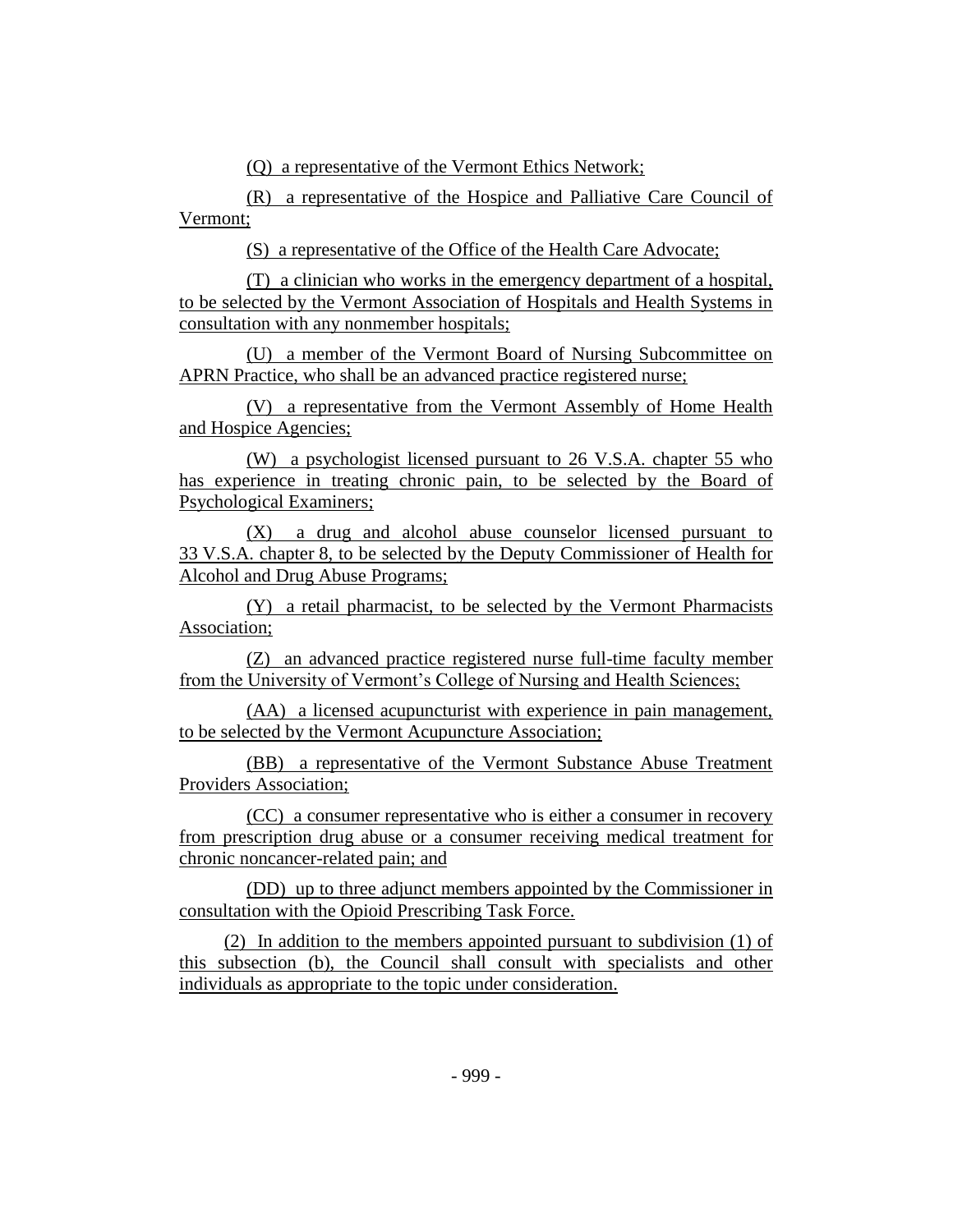(Q) a representative of the Vermont Ethics Network;

(R) a representative of the Hospice and Palliative Care Council of Vermont;

(S) a representative of the Office of the Health Care Advocate;

(T) a clinician who works in the emergency department of a hospital, to be selected by the Vermont Association of Hospitals and Health Systems in consultation with any nonmember hospitals;

(U) a member of the Vermont Board of Nursing Subcommittee on APRN Practice, who shall be an advanced practice registered nurse;

(V) a representative from the Vermont Assembly of Home Health and Hospice Agencies;

(W) a psychologist licensed pursuant to 26 V.S.A. chapter 55 who has experience in treating chronic pain, to be selected by the Board of Psychological Examiners;

(X) a drug and alcohol abuse counselor licensed pursuant to 33 V.S.A. chapter 8, to be selected by the Deputy Commissioner of Health for Alcohol and Drug Abuse Programs;

(Y) a retail pharmacist, to be selected by the Vermont Pharmacists Association;

(Z) an advanced practice registered nurse full-time faculty member from the University of Vermont's College of Nursing and Health Sciences;

(AA) a licensed acupuncturist with experience in pain management, to be selected by the Vermont Acupuncture Association;

(BB) a representative of the Vermont Substance Abuse Treatment Providers Association;

(CC) a consumer representative who is either a consumer in recovery from prescription drug abuse or a consumer receiving medical treatment for chronic noncancer-related pain; and

(DD) up to three adjunct members appointed by the Commissioner in consultation with the Opioid Prescribing Task Force.

(2) In addition to the members appointed pursuant to subdivision (1) of this subsection (b), the Council shall consult with specialists and other individuals as appropriate to the topic under consideration.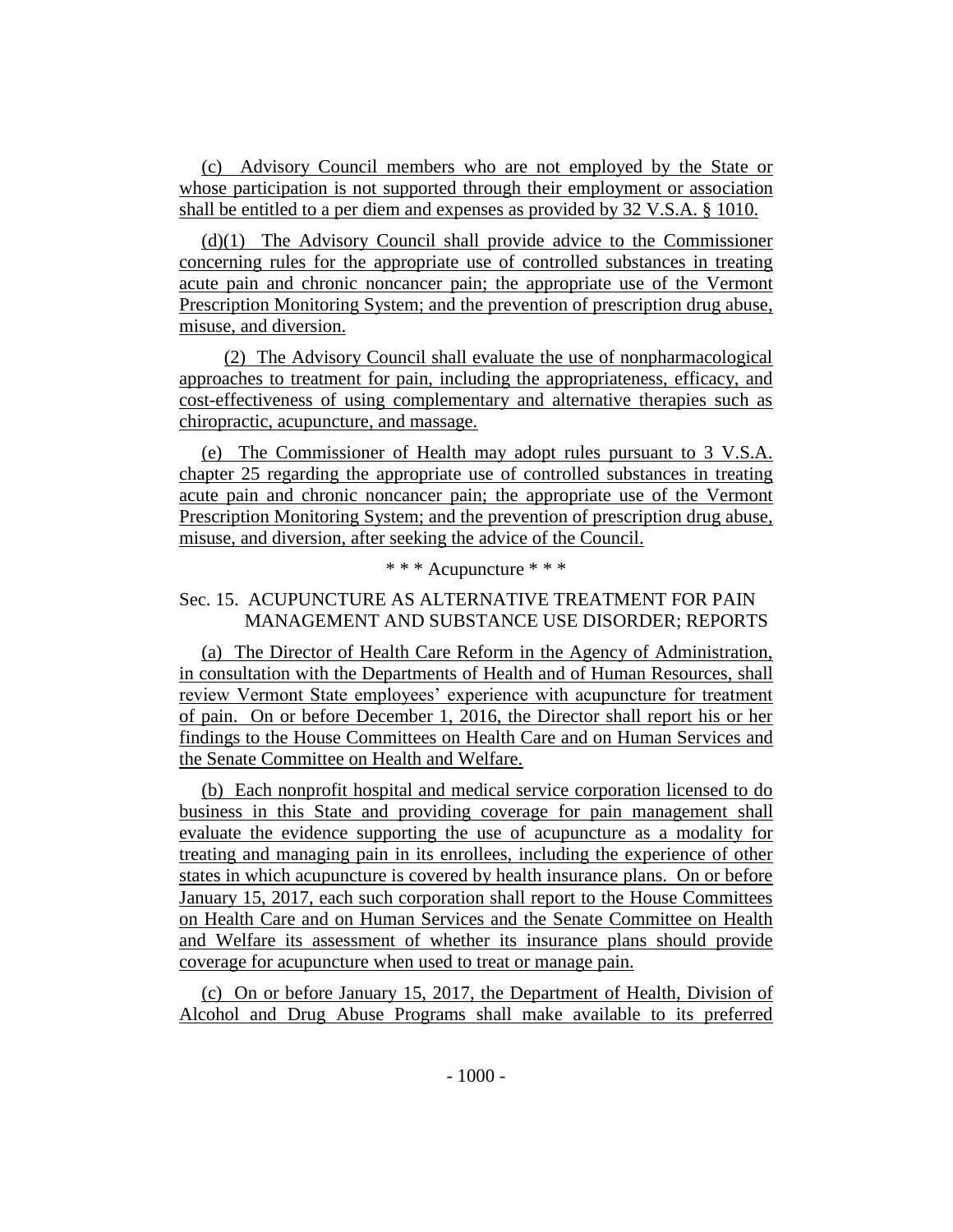(c) Advisory Council members who are not employed by the State or whose participation is not supported through their employment or association shall be entitled to a per diem and expenses as provided by 32 V.S.A. § 1010.

(d)(1) The Advisory Council shall provide advice to the Commissioner concerning rules for the appropriate use of controlled substances in treating acute pain and chronic noncancer pain; the appropriate use of the Vermont Prescription Monitoring System; and the prevention of prescription drug abuse, misuse, and diversion.

(2) The Advisory Council shall evaluate the use of nonpharmacological approaches to treatment for pain, including the appropriateness, efficacy, and cost-effectiveness of using complementary and alternative therapies such as chiropractic, acupuncture, and massage.

(e) The Commissioner of Health may adopt rules pursuant to 3 V.S.A. chapter 25 regarding the appropriate use of controlled substances in treating acute pain and chronic noncancer pain; the appropriate use of the Vermont Prescription Monitoring System; and the prevention of prescription drug abuse, misuse, and diversion, after seeking the advice of the Council.

## \* \* \* Acupuncture \* \* \*

## Sec. 15.ACUPUNCTURE AS ALTERNATIVE TREATMENT FOR PAIN MANAGEMENT AND SUBSTANCE USE DISORDER; REPORTS

(a) The Director of Health Care Reform in the Agency of Administration, in consultation with the Departments of Health and of Human Resources, shall review Vermont State employees' experience with acupuncture for treatment of pain. On or before December 1, 2016, the Director shall report his or her findings to the House Committees on Health Care and on Human Services and the Senate Committee on Health and Welfare.

(b) Each nonprofit hospital and medical service corporation licensed to do business in this State and providing coverage for pain management shall evaluate the evidence supporting the use of acupuncture as a modality for treating and managing pain in its enrollees, including the experience of other states in which acupuncture is covered by health insurance plans. On or before January 15, 2017, each such corporation shall report to the House Committees on Health Care and on Human Services and the Senate Committee on Health and Welfare its assessment of whether its insurance plans should provide coverage for acupuncture when used to treat or manage pain.

(c) On or before January 15, 2017, the Department of Health, Division of Alcohol and Drug Abuse Programs shall make available to its preferred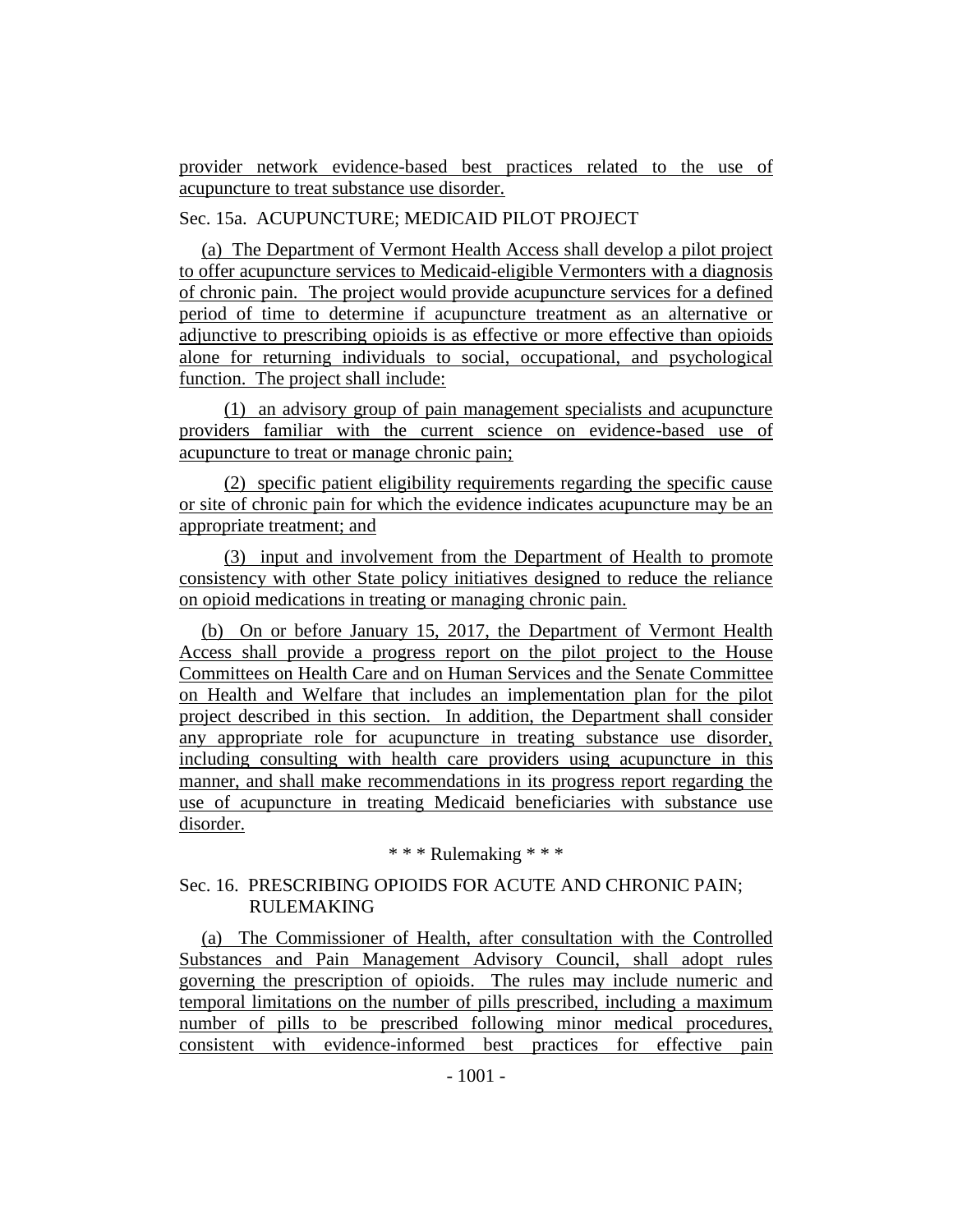provider network evidence-based best practices related to the use of acupuncture to treat substance use disorder.

## Sec. 15a. ACUPUNCTURE; MEDICAID PILOT PROJECT

(a) The Department of Vermont Health Access shall develop a pilot project to offer acupuncture services to Medicaid-eligible Vermonters with a diagnosis of chronic pain. The project would provide acupuncture services for a defined period of time to determine if acupuncture treatment as an alternative or adjunctive to prescribing opioids is as effective or more effective than opioids alone for returning individuals to social, occupational, and psychological function. The project shall include:

(1) an advisory group of pain management specialists and acupuncture providers familiar with the current science on evidence-based use of acupuncture to treat or manage chronic pain;

(2) specific patient eligibility requirements regarding the specific cause or site of chronic pain for which the evidence indicates acupuncture may be an appropriate treatment; and

(3) input and involvement from the Department of Health to promote consistency with other State policy initiatives designed to reduce the reliance on opioid medications in treating or managing chronic pain.

(b) On or before January 15, 2017, the Department of Vermont Health Access shall provide a progress report on the pilot project to the House Committees on Health Care and on Human Services and the Senate Committee on Health and Welfare that includes an implementation plan for the pilot project described in this section. In addition, the Department shall consider any appropriate role for acupuncture in treating substance use disorder, including consulting with health care providers using acupuncture in this manner, and shall make recommendations in its progress report regarding the use of acupuncture in treating Medicaid beneficiaries with substance use disorder.

\* \* \* Rulemaking \* \* \*

## Sec. 16. PRESCRIBING OPIOIDS FOR ACUTE AND CHRONIC PAIN; RULEMAKING

(a) The Commissioner of Health, after consultation with the Controlled Substances and Pain Management Advisory Council, shall adopt rules governing the prescription of opioids. The rules may include numeric and temporal limitations on the number of pills prescribed, including a maximum number of pills to be prescribed following minor medical procedures, consistent with evidence-informed best practices for effective pain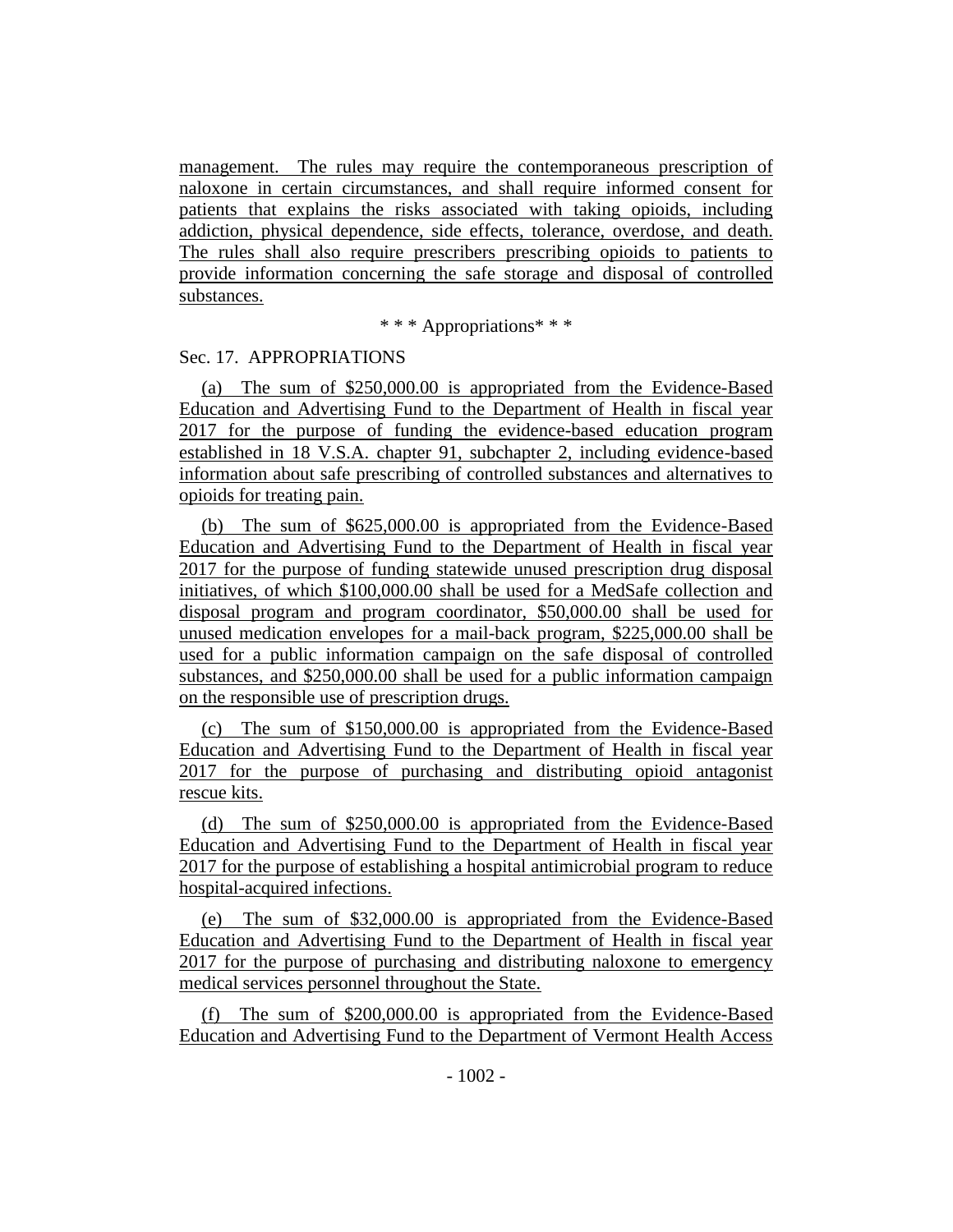management. The rules may require the contemporaneous prescription of naloxone in certain circumstances, and shall require informed consent for patients that explains the risks associated with taking opioids, including addiction, physical dependence, side effects, tolerance, overdose, and death. The rules shall also require prescribers prescribing opioids to patients to provide information concerning the safe storage and disposal of controlled substances.

\* \* \* Appropriations\* \* \*

#### Sec. 17. APPROPRIATIONS

(a) The sum of \$250,000.00 is appropriated from the Evidence-Based Education and Advertising Fund to the Department of Health in fiscal year 2017 for the purpose of funding the evidence-based education program established in 18 V.S.A. chapter 91, subchapter 2, including evidence-based information about safe prescribing of controlled substances and alternatives to opioids for treating pain.

(b) The sum of \$625,000.00 is appropriated from the Evidence-Based Education and Advertising Fund to the Department of Health in fiscal year 2017 for the purpose of funding statewide unused prescription drug disposal initiatives, of which \$100,000.00 shall be used for a MedSafe collection and disposal program and program coordinator, \$50,000.00 shall be used for unused medication envelopes for a mail-back program, \$225,000.00 shall be used for a public information campaign on the safe disposal of controlled substances, and \$250,000.00 shall be used for a public information campaign on the responsible use of prescription drugs.

(c) The sum of \$150,000.00 is appropriated from the Evidence-Based Education and Advertising Fund to the Department of Health in fiscal year 2017 for the purpose of purchasing and distributing opioid antagonist rescue kits.

(d) The sum of \$250,000.00 is appropriated from the Evidence-Based Education and Advertising Fund to the Department of Health in fiscal year 2017 for the purpose of establishing a hospital antimicrobial program to reduce hospital-acquired infections.

(e) The sum of \$32,000.00 is appropriated from the Evidence-Based Education and Advertising Fund to the Department of Health in fiscal year 2017 for the purpose of purchasing and distributing naloxone to emergency medical services personnel throughout the State.

(f) The sum of \$200,000.00 is appropriated from the Evidence-Based Education and Advertising Fund to the Department of Vermont Health Access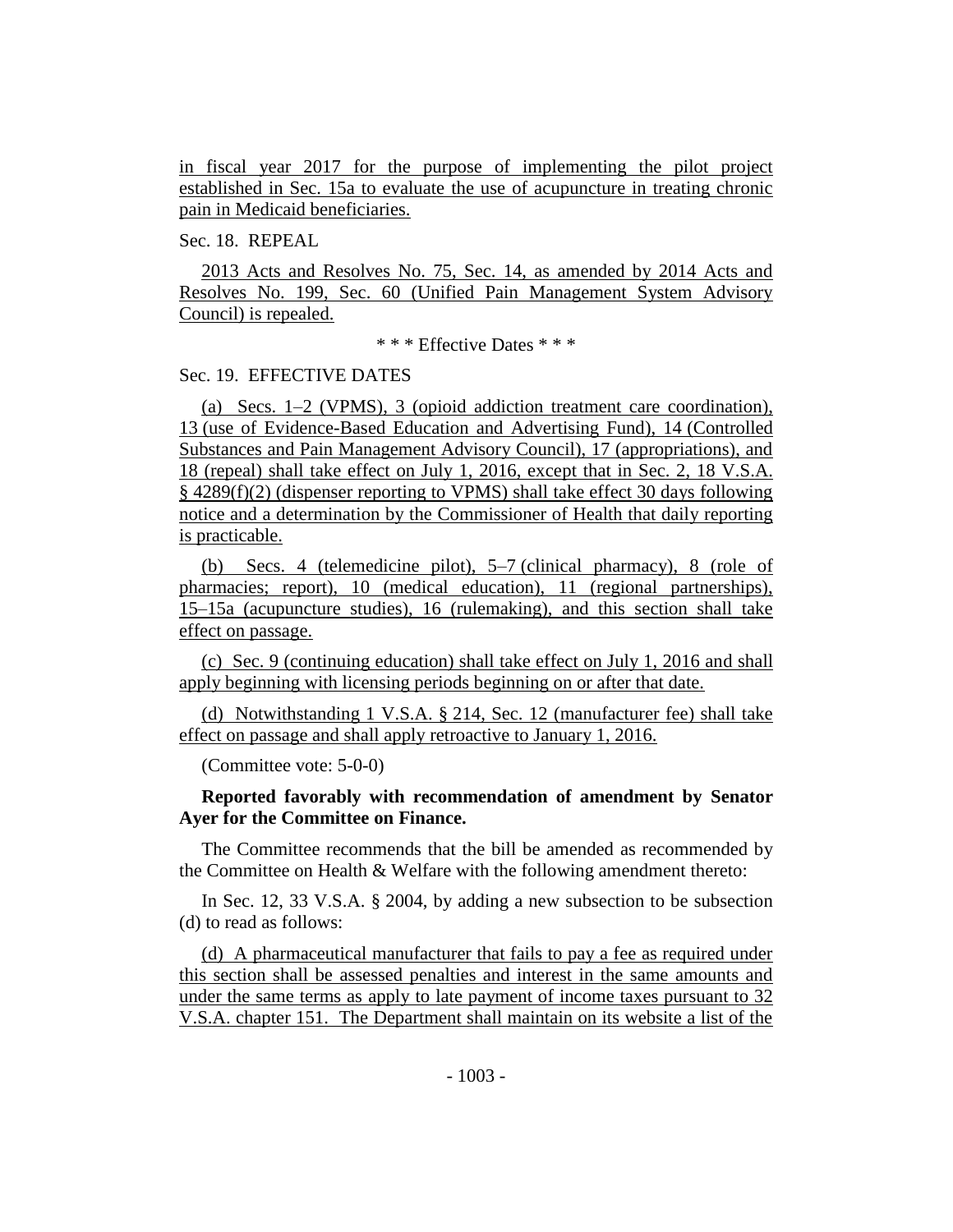in fiscal year 2017 for the purpose of implementing the pilot project established in Sec. 15a to evaluate the use of acupuncture in treating chronic pain in Medicaid beneficiaries.

## Sec. 18. REPEAL

2013 Acts and Resolves No. 75, Sec. 14, as amended by 2014 Acts and Resolves No. 199, Sec. 60 (Unified Pain Management System Advisory Council) is repealed.

\* \* \* Effective Dates \* \* \*

#### Sec. 19. EFFECTIVE DATES

(a) Secs. 1–2 (VPMS), 3 (opioid addiction treatment care coordination), 13 (use of Evidence-Based Education and Advertising Fund), 14 (Controlled Substances and Pain Management Advisory Council), 17 (appropriations), and 18 (repeal) shall take effect on July 1, 2016, except that in Sec. 2, 18 V.S.A. § 4289(f)(2) (dispenser reporting to VPMS) shall take effect 30 days following notice and a determination by the Commissioner of Health that daily reporting is practicable.

(b) Secs. 4 (telemedicine pilot), 5–7 (clinical pharmacy), 8 (role of pharmacies; report), 10 (medical education), 11 (regional partnerships), 15–15a (acupuncture studies), 16 (rulemaking), and this section shall take effect on passage.

(c) Sec. 9 (continuing education) shall take effect on July 1, 2016 and shall apply beginning with licensing periods beginning on or after that date.

(d) Notwithstanding 1 V.S.A. § 214, Sec. 12 (manufacturer fee) shall take effect on passage and shall apply retroactive to January 1, 2016.

(Committee vote: 5-0-0)

## **Reported favorably with recommendation of amendment by Senator Ayer for the Committee on Finance.**

The Committee recommends that the bill be amended as recommended by the Committee on Health & Welfare with the following amendment thereto:

In Sec. 12, 33 V.S.A. § 2004, by adding a new subsection to be subsection (d) to read as follows:

(d) A pharmaceutical manufacturer that fails to pay a fee as required under this section shall be assessed penalties and interest in the same amounts and under the same terms as apply to late payment of income taxes pursuant to 32 V.S.A. chapter 151. The Department shall maintain on its website a list of the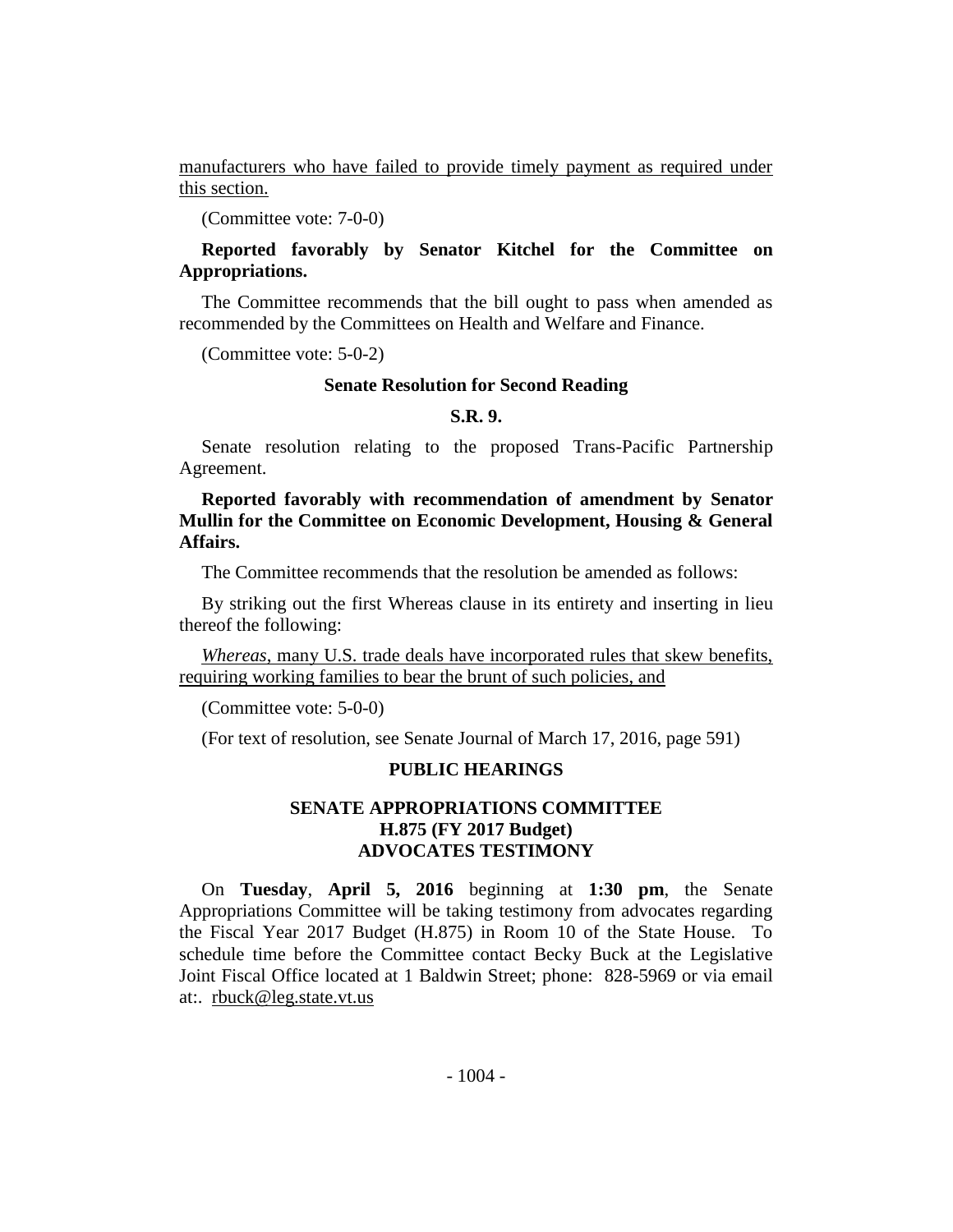manufacturers who have failed to provide timely payment as required under this section.

(Committee vote: 7-0-0)

## **Reported favorably by Senator Kitchel for the Committee on Appropriations.**

The Committee recommends that the bill ought to pass when amended as recommended by the Committees on Health and Welfare and Finance.

(Committee vote: 5-0-2)

#### **Senate Resolution for Second Reading**

#### **S.R. 9.**

Senate resolution relating to the proposed Trans-Pacific Partnership Agreement.

**Reported favorably with recommendation of amendment by Senator Mullin for the Committee on Economic Development, Housing & General Affairs.**

The Committee recommends that the resolution be amended as follows:

By striking out the first Whereas clause in its entirety and inserting in lieu thereof the following:

*Whereas*, many U.S. trade deals have incorporated rules that skew benefits, requiring working families to bear the brunt of such policies, and

(Committee vote: 5-0-0)

(For text of resolution, see Senate Journal of March 17, 2016, page 591)

## **PUBLIC HEARINGS**

## **SENATE APPROPRIATIONS COMMITTEE H.875 (FY 2017 Budget) ADVOCATES TESTIMONY**

On **Tuesday**, **April 5, 2016** beginning at **1:30 pm**, the Senate Appropriations Committee will be taking testimony from advocates regarding the Fiscal Year 2017 Budget (H.875) in Room 10 of the State House. To schedule time before the Committee contact Becky Buck at the Legislative Joint Fiscal Office located at 1 Baldwin Street; phone: 828-5969 or via email at:. rbuck@leg.state.vt.us